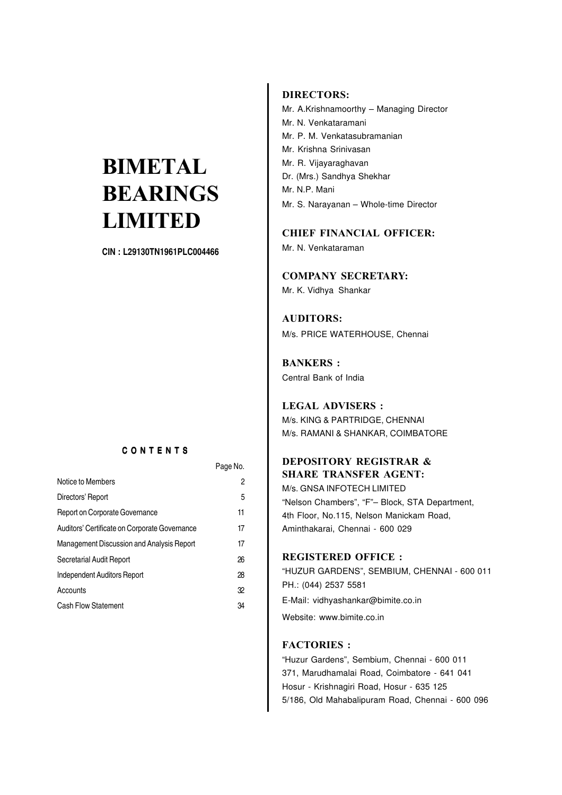CIN : L29130TN1961PLC004466

#### C O N T E N T S

|                                               | Page No. |
|-----------------------------------------------|----------|
| Notice to Members                             | 2        |
| Directors' Report                             | 5        |
| Report on Corporate Governance                | 11       |
| Auditors' Certificate on Corporate Governance | 17       |
| Management Discussion and Analysis Report     | 17       |
| Secretarial Audit Report                      | 26       |
| Independent Auditors Report                   | 28       |
| Accounts                                      | 32       |
| <b>Cash Flow Statement</b>                    | 34       |

#### **DIRECTORS:**

Mr. A.Krishnamoorthy – Managing Director Mr. N. Venkataramani Mr. P. M. Venkatasubramanian Mr. Krishna Srinivasan Mr. R. Vijayaraghavan Dr. (Mrs.) Sandhya Shekhar Mr. N.P. Mani Mr. S. Narayanan – Whole-time Director

**CHIEF FINANCIAL OFFICER:**

Mr. N. Venkataraman

**COMPANY SECRETARY:**

Mr. K. Vidhya Shankar

**AUDITORS:** M/s. PRICE WATERHOUSE, Chennai

**BANKERS :** Central Bank of India

#### **LEGAL ADVISERS :**

M/s. KING & PARTRIDGE, CHENNAI M/s. RAMANI & SHANKAR, COIMBATORE

#### **DEPOSITORY REGISTRAR & SHARE TRANSFER AGENT:**

M/s. GNSA INFOTECH LIMITED "Nelson Chambers", "F"– Block, STA Department, 4th Floor, No.115, Nelson Manickam Road, Aminthakarai, Chennai - 600 029

#### **REGISTERED OFFICE :**

"HUZUR GARDENS", SEMBIUM, CHENNAI - 600 011 PH.: (044) 2537 5581 E-Mail: vidhyashankar@bimite.co.in Website: www.bimite.co.in

#### **FACTORIES :**

"Huzur Gardens", Sembium, Chennai - 600 011 371, Marudhamalai Road, Coimbatore - 641 041 Hosur - Krishnagiri Road, Hosur - 635 125 5/186, Old Mahabalipuram Road, Chennai - 600 096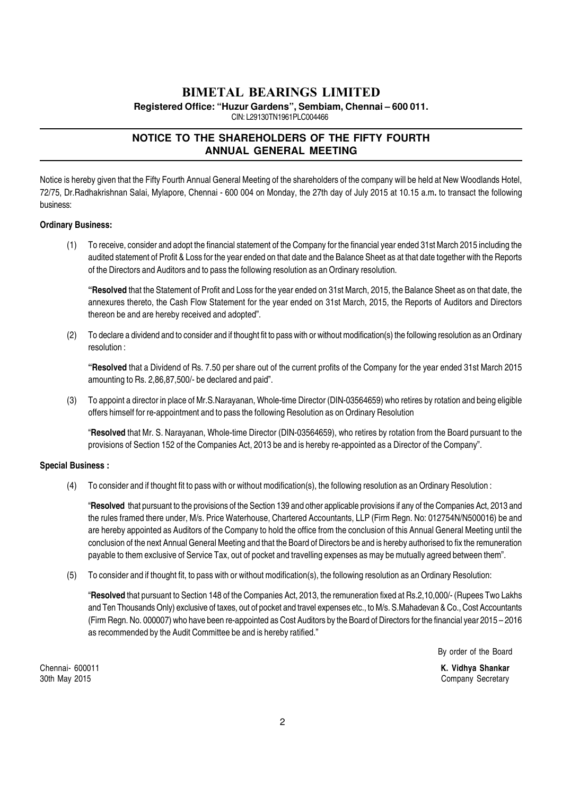**Registered Office: "Huzur Gardens", Sembiam, Chennai – 600 011.**

CIN: L29130TN1961PLC004466

#### **NOTICE TO THE SHAREHOLDERS OF THE FIFTY FOURTH ANNUAL GENERAL MEETING**

Notice is hereby given that the Fifty Fourth Annual General Meeting of the shareholders of the company will be held at New Woodlands Hotel, 72/75, Dr.Radhakrishnan Salai, Mylapore, Chennai - 600 004 on Monday, the 27th day of July 2015 at 10.15 a.m. to transact the following business:

#### Ordinary Business:

(1) To receive, consider and adopt the financial statement of the Company for the financial year ended 31st March 2015 including the audited statement of Profit & Loss for the year ended on that date and the Balance Sheet as at that date together with the Reports of the Directors and Auditors and to pass the following resolution as an Ordinary resolution.

"Resolved that the Statement of Profit and Loss for the year ended on 31st March, 2015, the Balance Sheet as on that date, the annexures thereto, the Cash Flow Statement for the year ended on 31st March, 2015, the Reports of Auditors and Directors thereon be and are hereby received and adopted".

(2) To declare a dividend and to consider and if thought fit to pass with or without modification(s) the following resolution as an Ordinary resolution :

"Resolved that a Dividend of Rs. 7.50 per share out of the current profits of the Company for the year ended 31st March 2015 amounting to Rs. 2,86,87,500/- be declared and paid".

(3) To appoint a director in place of Mr.S.Narayanan, Whole-time Director (DIN-03564659) who retires by rotation and being eligible offers himself for re-appointment and to pass the following Resolution as on Ordinary Resolution

"Resolved that Mr. S. Narayanan, Whole-time Director (DIN-03564659), who retires by rotation from the Board pursuant to the provisions of Section 152 of the Companies Act, 2013 be and is hereby re-appointed as a Director of the Company".

#### Special Business :

(4) To consider and if thought fit to pass with or without modification(s), the following resolution as an Ordinary Resolution :

"Resolved that pursuant to the provisions of the Section 139 and other applicable provisions if any of the Companies Act, 2013 and the rules framed there under, M/s. Price Waterhouse, Chartered Accountants, LLP (Firm Regn. No: 012754N/N500016) be and are hereby appointed as Auditors of the Company to hold the office from the conclusion of this Annual General Meeting until the conclusion of the next Annual General Meeting and that the Board of Directors be and is hereby authorised to fix the remuneration payable to them exclusive of Service Tax, out of pocket and travelling expenses as may be mutually agreed between them".

(5) To consider and if thought fit, to pass with or without modification(s), the following resolution as an Ordinary Resolution:

"Resolved that pursuant to Section 148 of the Companies Act, 2013, the remuneration fixed at Rs.2,10,000/- (Rupees Two Lakhs and Ten Thousands Only) exclusive of taxes, out of pocket and travel expenses etc., to M/s. S.Mahadevan & Co., Cost Accountants (Firm Regn. No. 000007) who have been re-appointed as Cost Auditors by the Board of Directors for the financial year 2015 – 2016 as recommended by the Audit Committee be and is hereby ratified."

By order of the Board

30th May 2015 Company Secretary

Chennai- 600011 **K. Vidhya Shankar**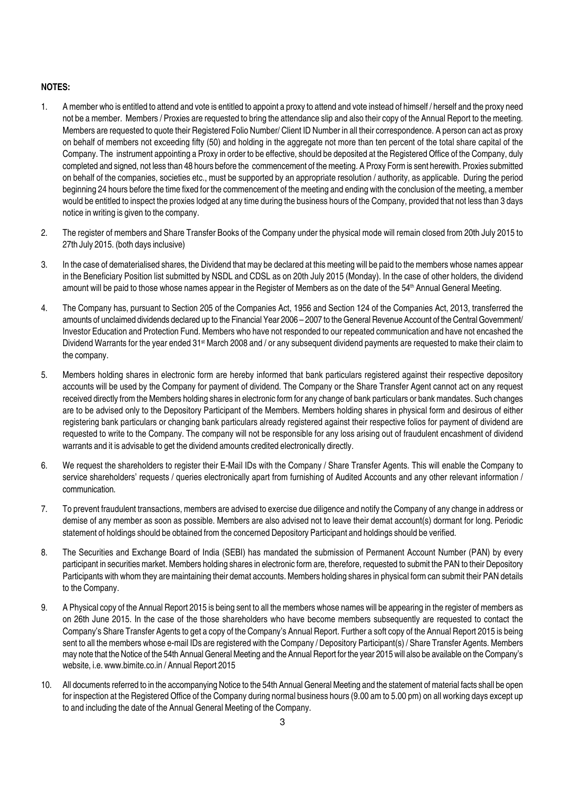#### NOTES:

- 1. A member who is entitled to attend and vote is entitled to appoint a proxy to attend and vote instead of himself / herself and the proxy need not be a member. Members / Proxies are requested to bring the attendance slip and also their copy of the Annual Report to the meeting. Members are requested to quote their Registered Folio Number/ Client ID Number in all their correspondence. A person can act as proxy on behalf of members not exceeding fifty (50) and holding in the aggregate not more than ten percent of the total share capital of the Company. The instrument appointing a Proxy in order to be effective, should be deposited at the Registered Office of the Company, duly completed and signed, not less than 48 hours before the commencement of the meeting. A Proxy Form is sent herewith. Proxies submitted on behalf of the companies, societies etc., must be supported by an appropriate resolution / authority, as applicable. During the period beginning 24 hours before the time fixed for the commencement of the meeting and ending with the conclusion of the meeting, a member would be entitled to inspect the proxies lodged at any time during the business hours of the Company, provided that not less than 3 days notice in writing is given to the company.
- 2. The register of members and Share Transfer Books of the Company under the physical mode will remain closed from 20th July 2015 to 27th July 2015. (both days inclusive)
- 3. In the case of dematerialised shares, the Dividend that may be declared at this meeting will be paid to the members whose names appear in the Beneficiary Position list submitted by NSDL and CDSL as on 20th July 2015 (Monday). In the case of other holders, the dividend amount will be paid to those whose names appear in the Register of Members as on the date of the 54<sup>th</sup> Annual General Meeting.
- 4. The Company has, pursuant to Section 205 of the Companies Act, 1956 and Section 124 of the Companies Act, 2013, transferred the amounts of unclaimed dividends declared up to the Financial Year 2006 – 2007 to the General Revenue Account of the Central Government/ Investor Education and Protection Fund. Members who have not responded to our repeated communication and have not encashed the Dividend Warrants for the year ended 31<sup>st</sup> March 2008 and / or any subsequent dividend payments are requested to make their claim to the company.
- 5. Members holding shares in electronic form are hereby informed that bank particulars registered against their respective depository accounts will be used by the Company for payment of dividend. The Company or the Share Transfer Agent cannot act on any request received directly from the Members holding shares in electronic form for any change of bank particulars or bank mandates. Such changes are to be advised only to the Depository Participant of the Members. Members holding shares in physical form and desirous of either registering bank particulars or changing bank particulars already registered against their respective folios for payment of dividend are requested to write to the Company. The company will not be responsible for any loss arising out of fraudulent encashment of dividend warrants and it is advisable to get the dividend amounts credited electronically directly.
- 6. We request the shareholders to register their E-Mail IDs with the Company / Share Transfer Agents. This will enable the Company to service shareholders' requests / queries electronically apart from furnishing of Audited Accounts and any other relevant information / communication.
- 7. To prevent fraudulent transactions, members are advised to exercise due diligence and notify the Company of any change in address or demise of any member as soon as possible. Members are also advised not to leave their demat account(s) dormant for long. Periodic statement of holdings should be obtained from the concerned Depository Participant and holdings should be verified.
- 8. The Securities and Exchange Board of India (SEBI) has mandated the submission of Permanent Account Number (PAN) by every participant in securities market. Members holding shares in electronic form are, therefore, requested to submit the PAN to their Depository Participants with whom they are maintaining their demat accounts. Members holding shares in physical form can submit their PAN details to the Company.
- 9. A Physical copy of the Annual Report 2015 is being sent to all the members whose names will be appearing in the register of members as on 26th June 2015. In the case of the those shareholders who have become members subsequently are requested to contact the Company's Share Transfer Agents to get a copy of the Company's Annual Report. Further a soft copy of the Annual Report 2015 is being sent to all the members whose e-mail IDs are registered with the Company / Depository Participant(s) / Share Transfer Agents. Members may note that the Notice of the 54th Annual General Meeting and the Annual Report for the year 2015 will also be available on the Company's website, i.e. www.bimite.co.in / Annual Report 2015
- 10. All documents referred to in the accompanying Notice to the 54th Annual General Meeting and the statement of material facts shall be open for inspection at the Registered Office of the Company during normal business hours (9.00 am to 5.00 pm) on all working days except up to and including the date of the Annual General Meeting of the Company.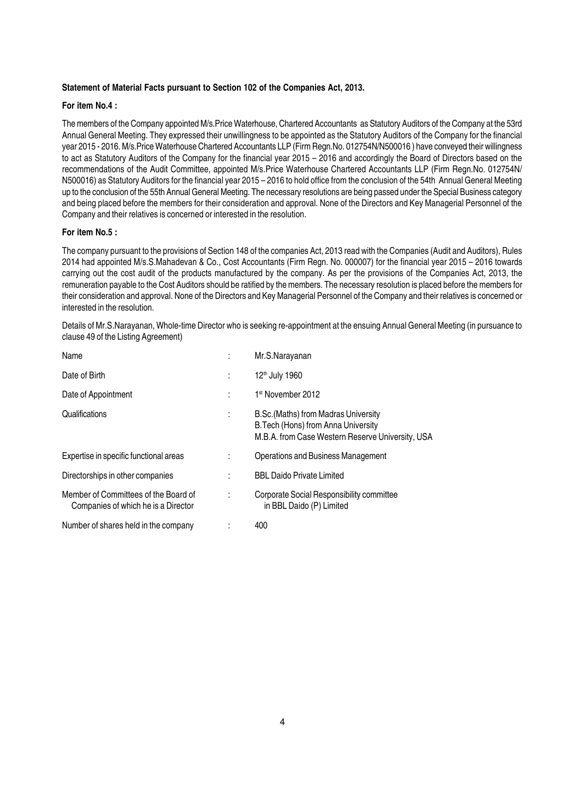#### Statement of Material Facts pursuant to Section 102 of the Companies Act, 2013.

#### For item No.4 :

The members of the Company appointed M/s.Price Waterhouse, Chartered Accountants as Statutory Auditors of the Company at the 53rd Annual General Meeting. They expressed their unwillingness to be appointed as the Statutory Auditors of the Company for the financial year 2015 - 2016. M/s.Price Waterhouse Chartered Accountants LLP (Firm Regn.No. 012754N/N500016 ) have conveyed their willingness to act as Statutory Auditors of the Company for the financial year 2015 – 2016 and accordingly the Board of Directors based on the recommendations of the Audit Committee, appointed M/s.Price Waterhouse Chartered Accountants LLP (Firm Regn.No. 012754N/ N500016) as Statutory Auditors for the financial year 2015 – 2016 to hold office from the conclusion of the 54th Annual General Meeting up to the conclusion of the 55th Annual General Meeting. The necessary resolutions are being passed under the Special Business category and being placed before the members for their consideration and approval. None of the Directors and Key Managerial Personnel of the Company and their relatives is concerned or interested in the resolution.

#### For item No.5 :

The company pursuant to the provisions of Section 148 of the companies Act, 2013 read with the Companies (Audit and Auditors), Rules 2014 had appointed M/s.S.Mahadevan & Co., Cost Accountants (Firm Regn. No. 000007) for the financial year 2015 – 2016 towards carrying out the cost audit of the products manufactured by the company. As per the provisions of the Companies Act, 2013, the remuneration payable to the Cost Auditors should be ratified by the members. The necessary resolution is placed before the members for their consideration and approval. None of the Directors and Key Managerial Personnel of the Company and their relatives is concerned or interested in the resolution.

Details of Mr.S.Narayanan, Whole-time Director who is seeking re-appointment at the ensuing Annual General Meeting (in pursuance to clause 49 of the Listing Agreement)

| Name                                                                        | Mr.S.Narayanan                                                                                                                  |
|-----------------------------------------------------------------------------|---------------------------------------------------------------------------------------------------------------------------------|
| Date of Birth                                                               | 12 <sup>th</sup> July 1960                                                                                                      |
| Date of Appointment                                                         | 1 <sup>st</sup> November 2012                                                                                                   |
| Qualifications                                                              | B.Sc. (Maths) from Madras University<br>B. Tech (Hons) from Anna University<br>M.B.A. from Case Western Reserve University, USA |
| Expertise in specific functional areas                                      | Operations and Business Management                                                                                              |
| Directorships in other companies                                            | <b>BBL Daido Private Limited</b>                                                                                                |
| Member of Committees of the Board of<br>Companies of which he is a Director | Corporate Social Responsibility committee<br>in BBL Daido (P) Limited                                                           |
| Number of shares held in the company                                        | 400                                                                                                                             |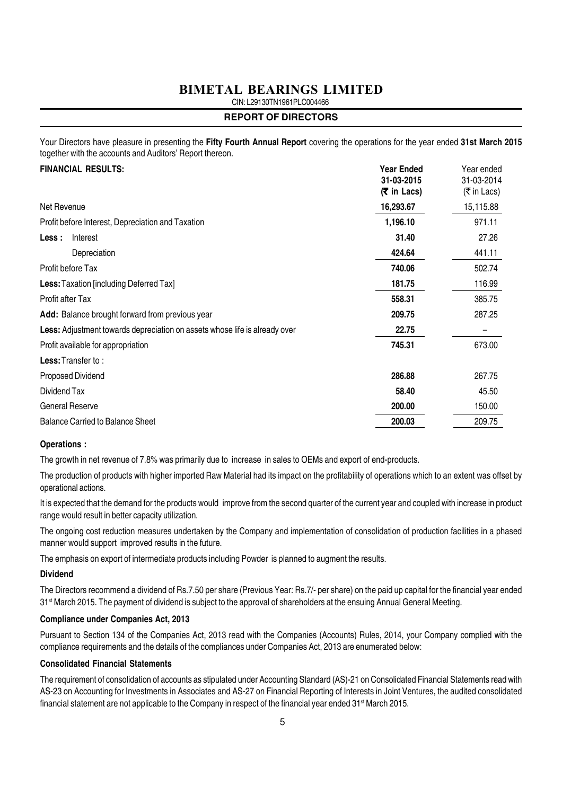CIN: L29130TN1961PLC004466

#### **REPORT OF DIRECTORS**

Your Directors have pleasure in presenting the Fifty Fourth Annual Report covering the operations for the year ended 31st March 2015 together with the accounts and Auditors' Report thereon.

| <b>FINANCIAL RESULTS:</b>                                                  | <b>Year Ended</b><br>31-03-2015<br>$(5 \in \mathsf{In} \text{ Lacs})$ | Year ended<br>31-03-2014<br>$(\bar{\bar{\tau}})$ in Lacs) |
|----------------------------------------------------------------------------|-----------------------------------------------------------------------|-----------------------------------------------------------|
| Net Revenue                                                                | 16,293.67                                                             | 15,115.88                                                 |
| Profit before Interest, Depreciation and Taxation                          | 1,196.10                                                              | 971.11                                                    |
| Interest<br>Less :                                                         | 31.40                                                                 | 27.26                                                     |
| Depreciation                                                               | 424.64                                                                | 441.11                                                    |
| Profit before Tax                                                          | 740.06                                                                | 502.74                                                    |
| <b>Less:</b> Taxation [including Deferred Tax]                             | 181.75                                                                | 116.99                                                    |
| <b>Profit after Tax</b>                                                    | 558.31                                                                | 385.75                                                    |
| Add: Balance brought forward from previous year                            | 209.75                                                                | 287.25                                                    |
| Less: Adjustment towards depreciation on assets whose life is already over | 22.75                                                                 |                                                           |
| Profit available for appropriation                                         | 745.31                                                                | 673.00                                                    |
| <b>Less:</b> Transfer to:                                                  |                                                                       |                                                           |
| Proposed Dividend                                                          | 286.88                                                                | 267.75                                                    |
| Dividend Tax                                                               | 58.40                                                                 | 45.50                                                     |
| <b>General Reserve</b>                                                     | 200.00                                                                | 150.00                                                    |
| <b>Balance Carried to Balance Sheet</b>                                    | 200.03                                                                | 209.75                                                    |

#### Operations :

The growth in net revenue of 7.8% was primarily due to increase in sales to OEMs and export of end-products.

The production of products with higher imported Raw Material had its impact on the profitability of operations which to an extent was offset by operational actions.

It is expected that the demand for the products would improve from the second quarter of the current year and coupled with increase in product range would result in better capacity utilization.

The ongoing cost reduction measures undertaken by the Company and implementation of consolidation of production facilities in a phased manner would support improved results in the future.

The emphasis on export of intermediate products including Powder is planned to augment the results.

#### Dividend

The Directors recommend a dividend of Rs.7.50 per share (Previous Year: Rs.7/- per share) on the paid up capital for the financial year ended 31<sup>st</sup> March 2015. The payment of dividend is subject to the approval of shareholders at the ensuing Annual General Meeting.

#### Compliance under Companies Act, 2013

Pursuant to Section 134 of the Companies Act, 2013 read with the Companies (Accounts) Rules, 2014, your Company complied with the compliance requirements and the details of the compliances under Companies Act, 2013 are enumerated below:

#### Consolidated Financial Statements

The requirement of consolidation of accounts as stipulated under Accounting Standard (AS)-21 on Consolidated Financial Statements read with AS-23 on Accounting for Investments in Associates and AS-27 on Financial Reporting of Interests in Joint Ventures, the audited consolidated financial statement are not applicable to the Company in respect of the financial year ended 31<sup>st</sup> March 2015.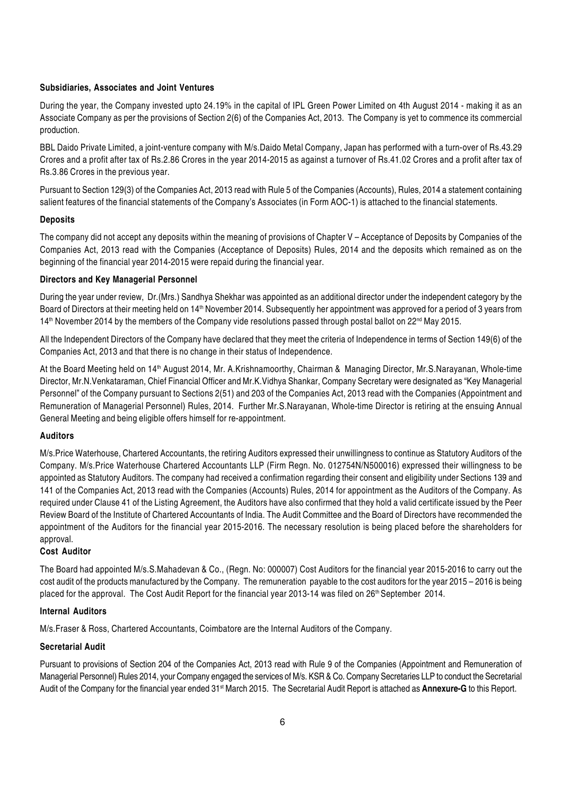#### Subsidiaries, Associates and Joint Ventures

During the year, the Company invested upto 24.19% in the capital of IPL Green Power Limited on 4th August 2014 - making it as an Associate Company as per the provisions of Section 2(6) of the Companies Act, 2013. The Company is yet to commence its commercial production.

BBL Daido Private Limited, a joint-venture company with M/s.Daido Metal Company, Japan has performed with a turn-over of Rs.43.29 Crores and a profit after tax of Rs.2.86 Crores in the year 2014-2015 as against a turnover of Rs.41.02 Crores and a profit after tax of Rs.3.86 Crores in the previous year.

Pursuant to Section 129(3) of the Companies Act, 2013 read with Rule 5 of the Companies (Accounts), Rules, 2014 a statement containing salient features of the financial statements of the Company's Associates (in Form AOC-1) is attached to the financial statements.

#### **Deposits**

The company did not accept any deposits within the meaning of provisions of Chapter V – Acceptance of Deposits by Companies of the Companies Act, 2013 read with the Companies (Acceptance of Deposits) Rules, 2014 and the deposits which remained as on the beginning of the financial year 2014-2015 were repaid during the financial year.

#### Directors and Key Managerial Personnel

During the year under review, Dr.(Mrs.) Sandhya Shekhar was appointed as an additional director under the independent category by the Board of Directors at their meeting held on 14<sup>th</sup> November 2014. Subsequently her appointment was approved for a period of 3 years from 14<sup>th</sup> November 2014 by the members of the Company vide resolutions passed through postal ballot on 22<sup>nd</sup> May 2015.

All the Independent Directors of the Company have declared that they meet the criteria of Independence in terms of Section 149(6) of the Companies Act, 2013 and that there is no change in their status of Independence.

At the Board Meeting held on 14<sup>th</sup> August 2014, Mr. A.Krishnamoorthy, Chairman & Managing Director, Mr.S.Narayanan, Whole-time Director, Mr.N.Venkataraman, Chief Financial Officer and Mr.K.Vidhya Shankar, Company Secretary were designated as "Key Managerial Personnel" of the Company pursuant to Sections 2(51) and 203 of the Companies Act, 2013 read with the Companies (Appointment and Remuneration of Managerial Personnel) Rules, 2014. Further Mr.S.Narayanan, Whole-time Director is retiring at the ensuing Annual General Meeting and being eligible offers himself for re-appointment.

#### Auditors

M/s.Price Waterhouse, Chartered Accountants, the retiring Auditors expressed their unwillingness to continue as Statutory Auditors of the Company. M/s.Price Waterhouse Chartered Accountants LLP (Firm Regn. No. 012754N/N500016) expressed their willingness to be appointed as Statutory Auditors. The company had received a confirmation regarding their consent and eligibility under Sections 139 and 141 of the Companies Act, 2013 read with the Companies (Accounts) Rules, 2014 for appointment as the Auditors of the Company. As required under Clause 41 of the Listing Agreement, the Auditors have also confirmed that they hold a valid certificate issued by the Peer Review Board of the Institute of Chartered Accountants of India. The Audit Committee and the Board of Directors have recommended the appointment of the Auditors for the financial year 2015-2016. The necessary resolution is being placed before the shareholders for approval.

#### Cost Auditor

The Board had appointed M/s.S.Mahadevan & Co., (Regn. No: 000007) Cost Auditors for the financial year 2015-2016 to carry out the cost audit of the products manufactured by the Company. The remuneration payable to the cost auditors for the year 2015 – 2016 is being placed for the approval. The Cost Audit Report for the financial year 2013-14 was filed on 26<sup>th</sup> September 2014.

#### Internal Auditors

M/s.Fraser & Ross, Chartered Accountants, Coimbatore are the Internal Auditors of the Company.

#### Secretarial Audit

Pursuant to provisions of Section 204 of the Companies Act, 2013 read with Rule 9 of the Companies (Appointment and Remuneration of Managerial Personnel) Rules 2014, your Company engaged the services of M/s. KSR & Co. Company Secretaries LLP to conduct the Secretarial Audit of the Company for the financial year ended 31<sup>st</sup> March 2015. The Secretarial Audit Report is attached as **Annexure-G** to this Report.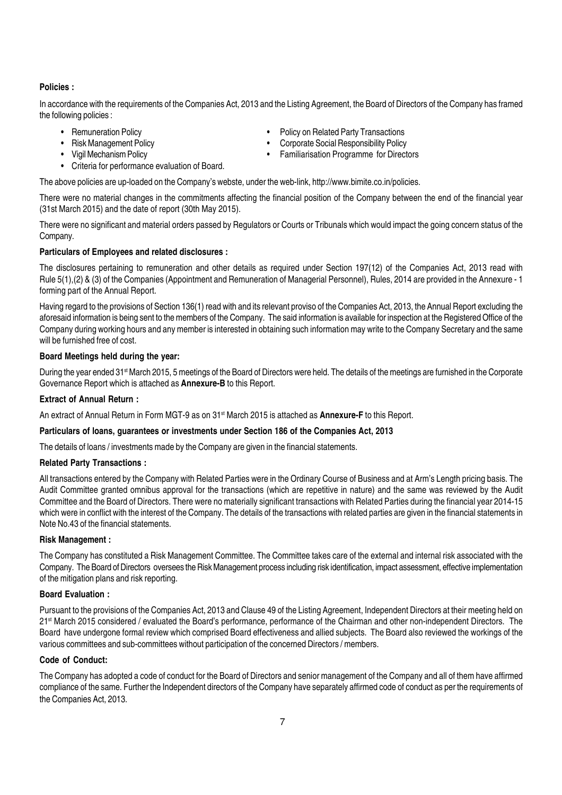#### Policies :

In accordance with the requirements of the Companies Act, 2013 and the Listing Agreement, the Board of Directors of the Company has framed the following policies :

- 
- 
- 
- Criteria for performance evaluation of Board.
- Remuneration Policy  **Policy Policy on Related Party Transactions**
- Risk Management Policy  **Corporate Social Responsibility Policy** Corporate Social Responsibility Policy
- Vigil Mechanism Policy Familiarisation Programme for Directors

The above policies are up-loaded on the Company's webste, under the web-link, http://www.bimite.co.in/policies.

There were no material changes in the commitments affecting the financial position of the Company between the end of the financial year (31st March 2015) and the date of report (30th May 2015).

There were no significant and material orders passed by Regulators or Courts or Tribunals which would impact the going concern status of the Company.

#### Particulars of Employees and related disclosures :

The disclosures pertaining to remuneration and other details as required under Section 197(12) of the Companies Act, 2013 read with Rule 5(1),(2) & (3) of the Companies (Appointment and Remuneration of Managerial Personnel), Rules, 2014 are provided in the Annexure - 1 forming part of the Annual Report.

Having regard to the provisions of Section 136(1) read with and its relevant proviso of the Companies Act, 2013, the Annual Report excluding the aforesaid information is being sent to the members of the Company. The said information is available for inspection at the Registered Office of the Company during working hours and any member is interested in obtaining such information may write to the Company Secretary and the same will be furnished free of cost.

#### Board Meetings held during the year:

During the year ended 31<sup>st</sup> March 2015, 5 meetings of the Board of Directors were held. The details of the meetings are furnished in the Corporate Governance Report which is attached as Annexure-B to this Report.

#### Extract of Annual Return :

An extract of Annual Return in Form MGT-9 as on 31<sup>st</sup> March 2015 is attached as **Annexure-F** to this Report.

#### Particulars of loans, guarantees or investments under Section 186 of the Companies Act, 2013

The details of loans / investments made by the Company are given in the financial statements.

#### Related Party Transactions :

All transactions entered by the Company with Related Parties were in the Ordinary Course of Business and at Arm's Length pricing basis. The Audit Committee granted omnibus approval for the transactions (which are repetitive in nature) and the same was reviewed by the Audit Committee and the Board of Directors. There were no materially significant transactions with Related Parties during the financial year 2014-15 which were in conflict with the interest of the Company. The details of the transactions with related parties are given in the financial statements in Note No.43 of the financial statements.

#### Risk Management :

The Company has constituted a Risk Management Committee. The Committee takes care of the external and internal risk associated with the Company. The Board of Directors oversees the Risk Management process including risk identification, impact assessment, effective implementation of the mitigation plans and risk reporting.

#### Board Evaluation :

Pursuant to the provisions of the Companies Act, 2013 and Clause 49 of the Listing Agreement, Independent Directors at their meeting held on 21<sup>st</sup> March 2015 considered / evaluated the Board's performance, performance of the Chairman and other non-independent Directors. The Board have undergone formal review which comprised Board effectiveness and allied subjects. The Board also reviewed the workings of the various committees and sub-committees without participation of the concerned Directors / members.

#### Code of Conduct:

The Company has adopted a code of conduct for the Board of Directors and senior management of the Company and all of them have affirmed compliance of the same. Further the Independent directors of the Company have separately affirmed code of conduct as per the requirements of the Companies Act, 2013.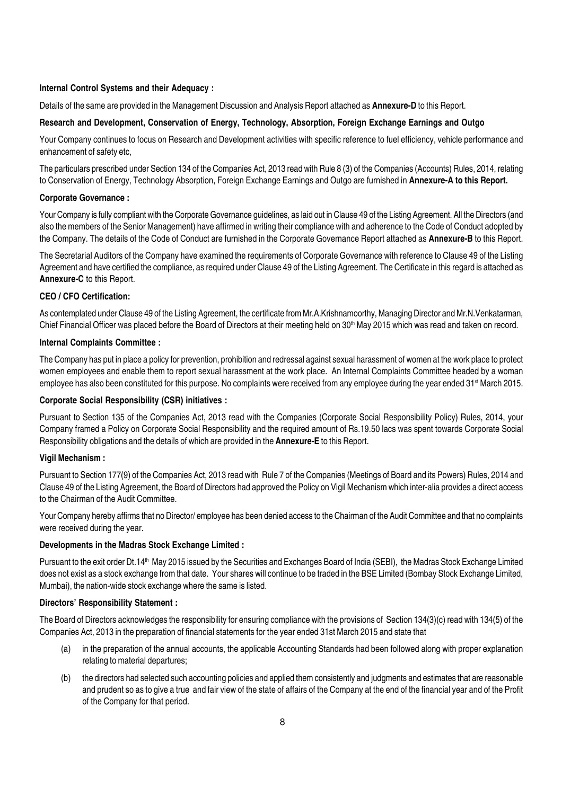#### Internal Control Systems and their Adequacy :

Details of the same are provided in the Management Discussion and Analysis Report attached as **Annexure-D** to this Report.

#### Research and Development, Conservation of Energy, Technology, Absorption, Foreign Exchange Earnings and Outgo

Your Company continues to focus on Research and Development activities with specific reference to fuel efficiency, vehicle performance and enhancement of safety etc,

The particulars prescribed under Section 134 of the Companies Act, 2013 read with Rule 8 (3) of the Companies (Accounts) Rules, 2014, relating to Conservation of Energy, Technology Absorption, Foreign Exchange Earnings and Outgo are furnished in Annexure-A to this Report.

#### Corporate Governance :

Your Company is fully compliant with the Corporate Governance guidelines, as laid out in Clause 49 of the Listing Agreement. All the Directors (and also the members of the Senior Management) have affirmed in writing their compliance with and adherence to the Code of Conduct adopted by the Company. The details of the Code of Conduct are furnished in the Corporate Governance Report attached as **Annexure-B** to this Report.

The Secretarial Auditors of the Company have examined the requirements of Corporate Governance with reference to Clause 49 of the Listing Agreement and have certified the compliance, as required under Clause 49 of the Listing Agreement. The Certificate in this regard is attached as Annexure-C to this Report.

#### CEO / CFO Certification:

As contemplated under Clause 49 of the Listing Agreement, the certificate from Mr.A.Krishnamoorthy, Managing Director and Mr.N.Venkatarman, Chief Financial Officer was placed before the Board of Directors at their meeting held on  $30<sup>th</sup>$  May 2015 which was read and taken on record.

#### Internal Complaints Committee :

The Company has put in place a policy for prevention, prohibition and redressal against sexual harassment of women at the work place to protect women employees and enable them to report sexual harassment at the work place. An Internal Complaints Committee headed by a woman employee has also been constituted for this purpose. No complaints were received from any employee during the year ended 31<sup>st</sup> March 2015.

#### Corporate Social Responsibility (CSR) initiatives :

Pursuant to Section 135 of the Companies Act, 2013 read with the Companies (Corporate Social Responsibility Policy) Rules, 2014, your Company framed a Policy on Corporate Social Responsibility and the required amount of Rs.19.50 lacs was spent towards Corporate Social Responsibility obligations and the details of which are provided in the **Annexure-E** to this Report.

#### Vigil Mechanism :

Pursuant to Section 177(9) of the Companies Act, 2013 read with Rule 7 of the Companies (Meetings of Board and its Powers) Rules, 2014 and Clause 49 of the Listing Agreement, the Board of Directors had approved the Policy on Vigil Mechanism which inter-alia provides a direct access to the Chairman of the Audit Committee.

Your Company hereby affirms that no Director/ employee has been denied access to the Chairman of the Audit Committee and that no complaints were received during the year.

#### Developments in the Madras Stock Exchange Limited :

Pursuant to the exit order Dt.14<sup>th</sup> May 2015 issued by the Securities and Exchanges Board of India (SEBI), the Madras Stock Exchange Limited does not exist as a stock exchange from that date. Your shares will continue to be traded in the BSE Limited (Bombay Stock Exchange Limited, Mumbai), the nation-wide stock exchange where the same is listed.

#### Directors' Responsibility Statement :

The Board of Directors acknowledges the responsibility for ensuring compliance with the provisions of Section 134(3)(c) read with 134(5) of the Companies Act, 2013 in the preparation of financial statements for the year ended 31st March 2015 and state that

- (a) in the preparation of the annual accounts, the applicable Accounting Standards had been followed along with proper explanation relating to material departures;
- (b) the directors had selected such accounting policies and applied them consistently and judgments and estimates that are reasonable and prudent so as to give a true and fair view of the state of affairs of the Company at the end of the financial year and of the Profit of the Company for that period.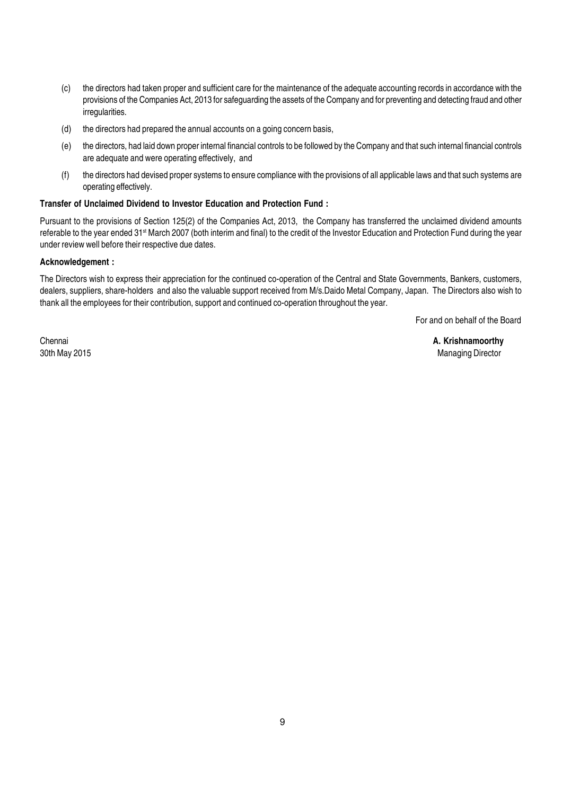- (c) the directors had taken proper and sufficient care for the maintenance of the adequate accounting records in accordance with the provisions of the Companies Act, 2013 for safeguarding the assets of the Company and for preventing and detecting fraud and other irregularities.
- (d) the directors had prepared the annual accounts on a going concern basis,
- (e) the directors, had laid down proper internal financial controls to be followed by the Company and that such internal financial controls are adequate and were operating effectively, and
- (f) the directors had devised proper systems to ensure compliance with the provisions of all applicable laws and that such systems are operating effectively.

#### Transfer of Unclaimed Dividend to Investor Education and Protection Fund :

Pursuant to the provisions of Section 125(2) of the Companies Act, 2013, the Company has transferred the unclaimed dividend amounts referable to the year ended 31<sup>st</sup> March 2007 (both interim and final) to the credit of the Investor Education and Protection Fund during the year under review well before their respective due dates.

#### Acknowledgement :

The Directors wish to express their appreciation for the continued co-operation of the Central and State Governments, Bankers, customers, dealers, suppliers, share-holders and also the valuable support received from M/s.Daido Metal Company, Japan. The Directors also wish to thank all the employees for their contribution, support and continued co-operation throughout the year.

For and on behalf of the Board

Chennai **A. Krishnamoorthy A. Krishnamoorthy** 30th May 2015 Managing Director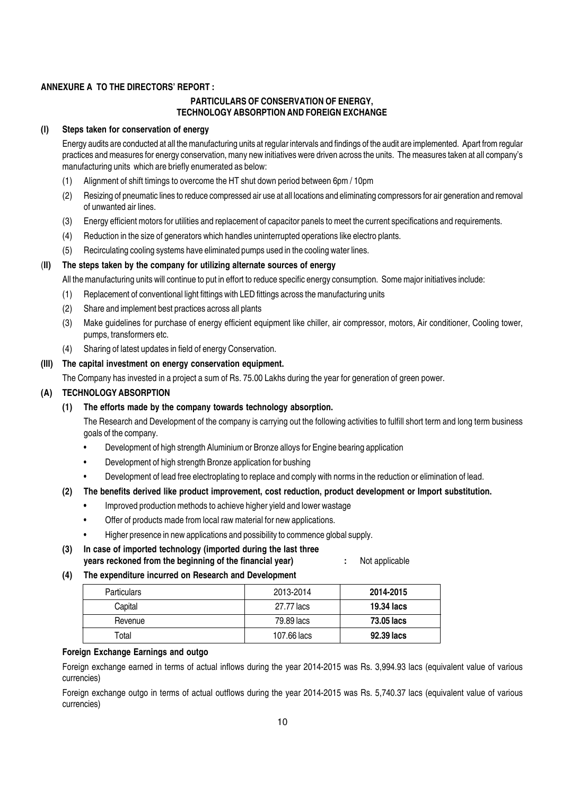#### ANNEXURE A TO THE DIRECTORS' REPORT :

#### PARTICULARS OF CONSERVATION OF ENERGY, TECHNOLOGY ABSORPTION AND FOREIGN EXCHANGE

#### (I) Steps taken for conservation of energy

Energy audits are conducted at all the manufacturing units at regular intervals and findings of the audit are implemented. Apart from regular practices and measures for energy conservation, many new initiatives were driven across the units. The measures taken at all company's manufacturing units which are briefly enumerated as below:

- (1) Alignment of shift timings to overcome the HT shut down period between 6pm / 10pm
- (2) Resizing of pneumatic lines to reduce compressed air use at all locations and eliminating compressors for air generation and removal of unwanted air lines.
- (3) Energy efficient motors for utilities and replacement of capacitor panels to meet the current specifications and requirements.
- (4) Reduction in the size of generators which handles uninterrupted operations like electro plants.
- (5) Recirculating cooling systems have eliminated pumps used in the cooling water lines.

#### (II) The steps taken by the company for utilizing alternate sources of energy

All the manufacturing units will continue to put in effort to reduce specific energy consumption. Some major initiatives include:

- (1) Replacement of conventional light fittings with LED fittings across the manufacturing units
- (2) Share and implement best practices across all plants
- (3) Make guidelines for purchase of energy efficient equipment like chiller, air compressor, motors, Air conditioner, Cooling tower, pumps, transformers etc.
- (4) Sharing of latest updates in field of energy Conservation.

#### (III) The capital investment on energy conservation equipment.

The Company has invested in a project a sum of Rs. 75.00 Lakhs during the year for generation of green power.

#### (A) TECHNOLOGY ABSORPTION

#### (1) The efforts made by the company towards technology absorption.

The Research and Development of the company is carrying out the following activities to fulfill short term and long term business goals of the company.

- Development of high strength Aluminium or Bronze alloys for Engine bearing application
- Development of high strength Bronze application for bushing
- Development of lead free electroplating to replace and comply with norms in the reduction or elimination of lead.

#### (2) The benefits derived like product improvement, cost reduction, product development or Import substitution.

- Improved production methods to achieve higher yield and lower wastage
- Offer of products made from local raw material for new applications.
- Higher presence in new applications and possibility to commence global supply.
- (3) In case of imported technology (imported during the last three years reckoned from the beginning of the financial year) : Not applicable

#### (4) The expenditure incurred on Research and Development

| <b>Particulars</b> | 2013-2014   | 2014-2015         |
|--------------------|-------------|-------------------|
| Capital            | 27.77 lacs  | 19.34 lacs        |
| Revenue            | 79.89 lacs  | <b>73.05 lacs</b> |
| Total              | 107.66 lacs | 92.39 lacs        |

#### Foreign Exchange Earnings and outgo

Foreign exchange earned in terms of actual inflows during the year 2014-2015 was Rs. 3,994.93 lacs (equivalent value of various currencies)

Foreign exchange outgo in terms of actual outflows during the year 2014-2015 was Rs. 5,740.37 lacs (equivalent value of various currencies)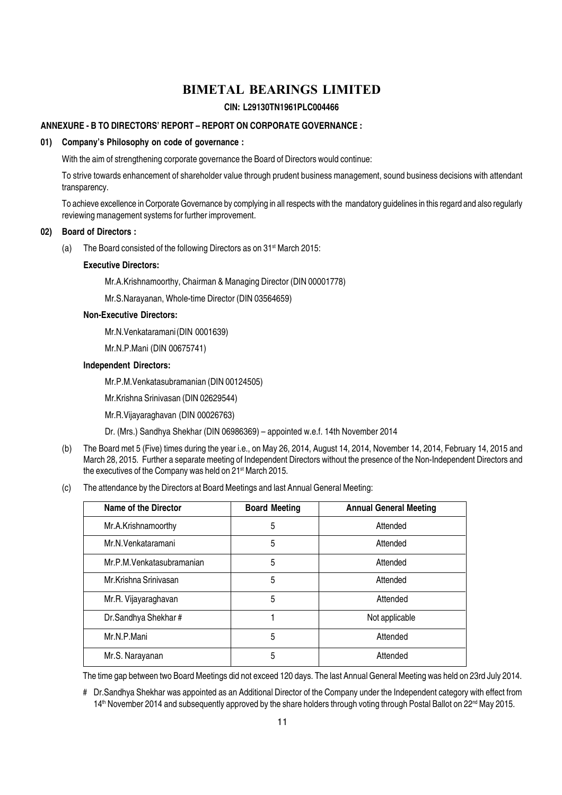#### CIN: L29130TN1961PLC004466

#### ANNEXURE - B TO DIRECTORS' REPORT – REPORT ON CORPORATE GOVERNANCE :

#### 01) Company's Philosophy on code of governance :

With the aim of strengthening corporate governance the Board of Directors would continue:

To strive towards enhancement of shareholder value through prudent business management, sound business decisions with attendant transparency.

To achieve excellence in Corporate Governance by complying in all respects with the mandatory guidelines in this regard and also regularly reviewing management systems for further improvement.

#### 02) Board of Directors :

(a) The Board consisted of the following Directors as on  $31^{st}$  March 2015:

#### Executive Directors:

Mr.A.Krishnamoorthy, Chairman & Managing Director (DIN 00001778)

Mr.S.Narayanan, Whole-time Director (DIN 03564659)

#### Non-Executive Directors:

Mr.N.Venkataramani(DIN 0001639)

Mr.N.P.Mani (DIN 00675741)

#### Independent Directors:

Mr.P.M.Venkatasubramanian (DIN 00124505)

Mr.Krishna Srinivasan (DIN 02629544)

Mr.R.Vijayaraghavan (DIN 00026763)

Dr. (Mrs.) Sandhya Shekhar (DIN 06986369) – appointed w.e.f. 14th November 2014

- (b) The Board met 5 (Five) times during the year i.e., on May 26, 2014, August 14, 2014, November 14, 2014, February 14, 2015 and March 28, 2015. Further a separate meeting of Independent Directors without the presence of the Non-Independent Directors and the executives of the Company was held on 21<sup>st</sup> March 2015.
- (c) The attendance by the Directors at Board Meetings and last Annual General Meeting:

| Name of the Director       | <b>Board Meeting</b> | <b>Annual General Meeting</b> |
|----------------------------|----------------------|-------------------------------|
| Mr.A.Krishnamoorthy        | 5                    | Attended                      |
| Mr.N.Venkataramani         | 5                    | Attended                      |
| Mr.P.M. Venkatasubramanian | 5                    | Attended                      |
| Mr.Krishna Srinivasan      | 5                    | Attended                      |
| Mr.R. Vijayaraghavan       | 5                    | Attended                      |
| Dr.Sandhya Shekhar#        |                      | Not applicable                |
| Mr.N.P.Mani                | 5                    | Attended                      |
| Mr.S. Narayanan            | 5                    | Attended                      |

The time gap between two Board Meetings did not exceed 120 days. The last Annual General Meeting was held on 23rd July 2014.

<sup>#</sup> Dr.Sandhya Shekhar was appointed as an Additional Director of the Company under the Independent category with effect from  $14<sup>th</sup>$  November 2014 and subsequently approved by the share holders through voting through Postal Ballot on 22<sup>nd</sup> May 2015.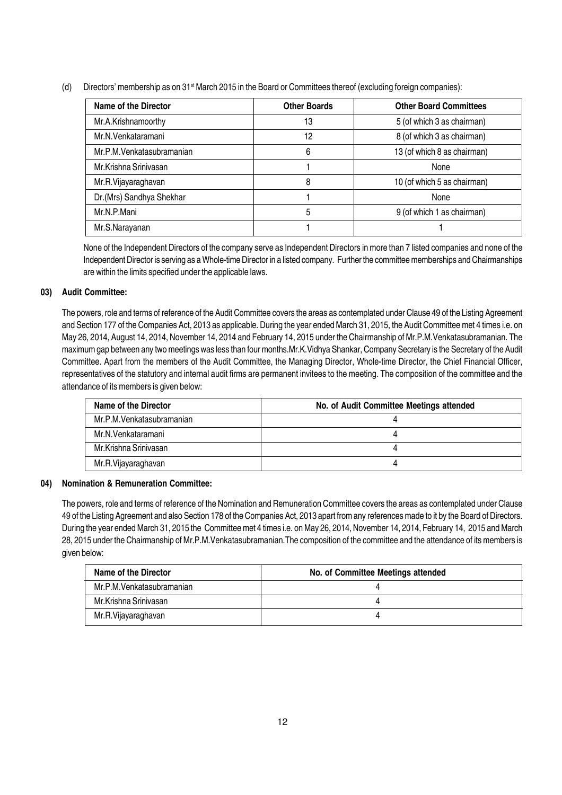(d) Directors' membership as on 31<sup>st</sup> March 2015 in the Board or Committees thereof (excluding foreign companies):

| Name of the Director       | <b>Other Boards</b> | <b>Other Board Committees</b> |
|----------------------------|---------------------|-------------------------------|
| Mr.A.Krishnamoorthy        | 13                  | 5 (of which 3 as chairman)    |
| Mr.N.Venkataramani         | 12                  | 8 (of which 3 as chairman)    |
| Mr.P.M. Venkatasubramanian | 6                   | 13 (of which 8 as chairman)   |
| Mr.Krishna Sriniyasan      |                     | None                          |
| Mr.R.Vijayaraghavan        | 8                   | 10 (of which 5 as chairman)   |
| Dr.(Mrs) Sandhya Shekhar   |                     | None                          |
| Mr.N.P.Mani                | 5                   | 9 (of which 1 as chairman)    |
| Mr.S.Narayanan             |                     |                               |

None of the Independent Directors of the company serve as Independent Directors in more than 7 listed companies and none of the Independent Director is serving as a Whole-time Director in a listed company. Further the committee memberships and Chairmanships are within the limits specified under the applicable laws.

#### 03) Audit Committee:

The powers, role and terms of reference of the Audit Committee covers the areas as contemplated under Clause 49 of the Listing Agreement and Section 177 of the Companies Act, 2013 as applicable. During the year ended March 31, 2015, the Audit Committee met 4 times i.e. on May 26, 2014, August 14, 2014, November 14, 2014 and February 14, 2015 under the Chairmanship of Mr.P.M.Venkatasubramanian. The maximum gap between any two meetings was less than four months.Mr.K.Vidhya Shankar, Company Secretary is the Secretary of the Audit Committee. Apart from the members of the Audit Committee, the Managing Director, Whole-time Director, the Chief Financial Officer, representatives of the statutory and internal audit firms are permanent invitees to the meeting. The composition of the committee and the attendance of its members is given below:

| Name of the Director      | No. of Audit Committee Meetings attended |
|---------------------------|------------------------------------------|
| Mr.P.M.Venkatasubramanian |                                          |
| Mr.N.Venkataramani        |                                          |
| Mr.Krishna Srinivasan     |                                          |
| Mr.R.Vijayaraghavan       |                                          |

#### 04) Nomination & Remuneration Committee:

The powers, role and terms of reference of the Nomination and Remuneration Committee covers the areas as contemplated under Clause 49 of the Listing Agreement and also Section 178 of the Companies Act, 2013 apart from any references made to it by the Board of Directors. During the year ended March 31, 2015 the Committee met 4 times i.e. on May 26, 2014, November 14, 2014, February 14, 2015 and March 28, 2015 under the Chairmanship of Mr.P.M.Venkatasubramanian.The composition of the committee and the attendance of its members is given below:

| Name of the Director      | No. of Committee Meetings attended |
|---------------------------|------------------------------------|
| Mr.P.M.Venkatasubramanian |                                    |
| Mr.Krishna Sriniyasan     |                                    |
| Mr.R.Vijayaraghavan       |                                    |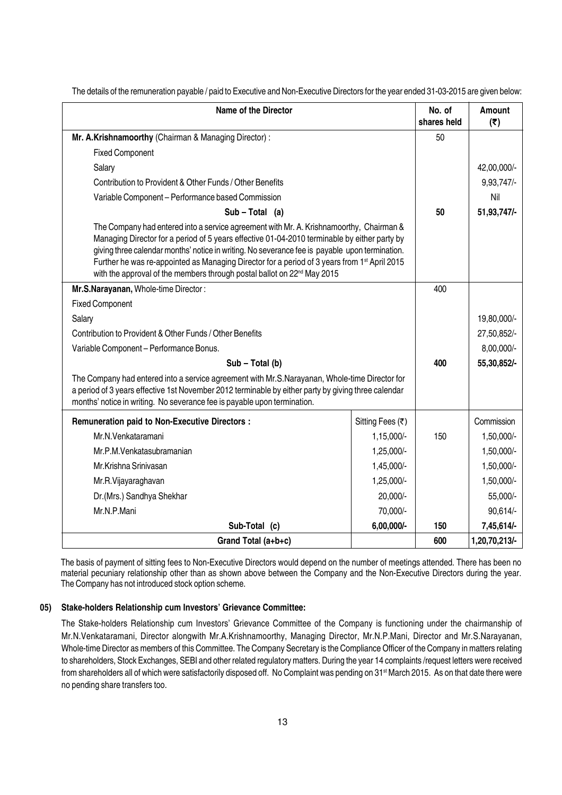| <b>Name of the Director</b>                                                                                                                                                                                                                                                                                                                                                                                                                                                                  |                  | No. of<br>shares held | Amount<br>(5) |
|----------------------------------------------------------------------------------------------------------------------------------------------------------------------------------------------------------------------------------------------------------------------------------------------------------------------------------------------------------------------------------------------------------------------------------------------------------------------------------------------|------------------|-----------------------|---------------|
| Mr. A.Krishnamoorthy (Chairman & Managing Director):                                                                                                                                                                                                                                                                                                                                                                                                                                         |                  | 50                    |               |
| <b>Fixed Component</b>                                                                                                                                                                                                                                                                                                                                                                                                                                                                       |                  |                       |               |
| Salary                                                                                                                                                                                                                                                                                                                                                                                                                                                                                       |                  |                       | 42,00,000/-   |
| Contribution to Provident & Other Funds / Other Benefits                                                                                                                                                                                                                                                                                                                                                                                                                                     |                  |                       | 9,93,747/-    |
| Variable Component - Performance based Commission                                                                                                                                                                                                                                                                                                                                                                                                                                            |                  |                       | Nil           |
| $Sub - Total (a)$                                                                                                                                                                                                                                                                                                                                                                                                                                                                            |                  | 50                    | 51,93,747/-   |
| The Company had entered into a service agreement with Mr. A. Krishnamoorthy, Chairman &<br>Managing Director for a period of 5 years effective 01-04-2010 terminable by either party by<br>giving three calendar months' notice in writing. No severance fee is payable upon termination.<br>Further he was re-appointed as Managing Director for a period of 3 years from 1 <sup>st</sup> April 2015<br>with the approval of the members through postal ballot on 22 <sup>nd</sup> May 2015 |                  |                       |               |
| Mr.S.Narayanan, Whole-time Director:                                                                                                                                                                                                                                                                                                                                                                                                                                                         |                  | 400                   |               |
| <b>Fixed Component</b>                                                                                                                                                                                                                                                                                                                                                                                                                                                                       |                  |                       |               |
| Salary                                                                                                                                                                                                                                                                                                                                                                                                                                                                                       |                  |                       | 19,80,000/-   |
| Contribution to Provident & Other Funds / Other Benefits                                                                                                                                                                                                                                                                                                                                                                                                                                     |                  |                       | 27,50,852/-   |
| Variable Component - Performance Bonus.                                                                                                                                                                                                                                                                                                                                                                                                                                                      |                  |                       | 8,00,000/-    |
| Sub - Total (b)                                                                                                                                                                                                                                                                                                                                                                                                                                                                              |                  | 400                   | 55,30,852/-   |
| The Company had entered into a service agreement with Mr.S.Narayanan, Whole-time Director for<br>a period of 3 years effective 1st November 2012 terminable by either party by giving three calendar<br>months' notice in writing. No severance fee is payable upon termination.                                                                                                                                                                                                             |                  |                       |               |
| <b>Remuneration paid to Non-Executive Directors:</b>                                                                                                                                                                                                                                                                                                                                                                                                                                         | Sitting Fees (₹) |                       | Commission    |
| Mr.N.Venkataramani<br>1,15,000/-                                                                                                                                                                                                                                                                                                                                                                                                                                                             |                  | 150                   | 1,50,000/-    |
| 1,25,000/-<br>Mr.P.M. Venkatasubramanian                                                                                                                                                                                                                                                                                                                                                                                                                                                     |                  |                       | 1,50,000/-    |
| Mr.Krishna Srinivasan<br>1,45,000/-                                                                                                                                                                                                                                                                                                                                                                                                                                                          |                  |                       | 1,50,000/-    |
| 1,25,000/-<br>Mr.R.Vijayaraghavan                                                                                                                                                                                                                                                                                                                                                                                                                                                            |                  |                       | 1,50,000/-    |
| Dr.(Mrs.) Sandhya Shekhar<br>20,000/-                                                                                                                                                                                                                                                                                                                                                                                                                                                        |                  |                       | 55,000/-      |
| Mr.N.P.Mani<br>70,000/-                                                                                                                                                                                                                                                                                                                                                                                                                                                                      |                  |                       | 90,614/-      |
| Sub-Total (c)                                                                                                                                                                                                                                                                                                                                                                                                                                                                                | 6,00,000/-       | 150                   | 7,45,614/-    |
| Grand Total (a+b+c)                                                                                                                                                                                                                                                                                                                                                                                                                                                                          |                  | 600                   | 1,20,70,213/- |

The details of the remuneration payable / paid to Executive and Non-Executive Directors for the year ended 31-03-2015 are given below:

The basis of payment of sitting fees to Non-Executive Directors would depend on the number of meetings attended. There has been no material pecuniary relationship other than as shown above between the Company and the Non-Executive Directors during the year. The Company has not introduced stock option scheme.

#### 05) Stake-holders Relationship cum Investors' Grievance Committee:

The Stake-holders Relationship cum Investors' Grievance Committee of the Company is functioning under the chairmanship of Mr.N.Venkataramani, Director alongwith Mr.A.Krishnamoorthy, Managing Director, Mr.N.P.Mani, Director and Mr.S.Narayanan, Whole-time Director as members of this Committee. The Company Secretary is the Compliance Officer of the Company in matters relating to shareholders, Stock Exchanges, SEBI and other related regulatory matters. During the year 14 complaints /request letters were received from shareholders all of which were satisfactorily disposed off. No Complaint was pending on 31<sup>st</sup> March 2015. As on that date there were no pending share transfers too.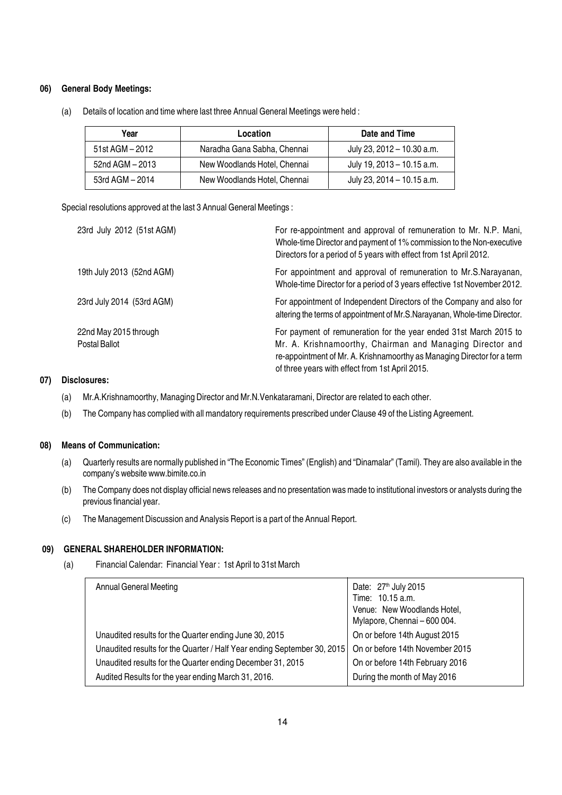#### 06) General Body Meetings:

| Year             | Location                     | Date and Time              |
|------------------|------------------------------|----------------------------|
| 51st AGM $-2012$ | Naradha Gana Sabha, Chennai  | July 23, 2012 - 10.30 a.m. |
| 52nd AGM - 2013  | New Woodlands Hotel, Chennai | July 19, 2013 - 10.15 a.m. |
| 53rd AGM - 2014  | New Woodlands Hotel, Chennai | July 23, 2014 - 10.15 a.m. |

(a) Details of location and time where last three Annual General Meetings were held :

Special resolutions approved at the last 3 Annual General Meetings :

| 23rd July 2012 (51st AGM)              | For re-appointment and approval of remuneration to Mr. N.P. Mani,<br>Whole-time Director and payment of 1% commission to the Non-executive<br>Directors for a period of 5 years with effect from 1st April 2012.                                             |
|----------------------------------------|--------------------------------------------------------------------------------------------------------------------------------------------------------------------------------------------------------------------------------------------------------------|
| 19th July 2013 (52nd AGM)              | For appointment and approval of remuneration to Mr.S.Narayanan,<br>Whole-time Director for a period of 3 years effective 1st November 2012.                                                                                                                  |
| 23rd July 2014 (53rd AGM)              | For appointment of Independent Directors of the Company and also for<br>altering the terms of appointment of Mr.S.Narayanan, Whole-time Director.                                                                                                            |
| 22nd May 2015 through<br>Postal Ballot | For payment of remuneration for the year ended 31st March 2015 to<br>Mr. A. Krishnamoorthy, Chairman and Managing Director and<br>re-appointment of Mr. A. Krishnamoorthy as Managing Director for a term<br>of three years with effect from 1st April 2015. |

#### 07) Disclosures:

- (a) Mr.A.Krishnamoorthy, Managing Director and Mr.N.Venkataramani, Director are related to each other.
- (b) The Company has complied with all mandatory requirements prescribed under Clause 49 of the Listing Agreement.

#### 08) Means of Communication:

- (a) Quarterly results are normally published in "The Economic Times" (English) and "Dinamalar" (Tamil). They are also available in the company's website www.bimite.co.in
- (b) The Company does not display official news releases and no presentation was made to institutional investors or analysts during the previous financial year.
- (c) The Management Discussion and Analysis Report is a part of the Annual Report.

#### 09) GENERAL SHAREHOLDER INFORMATION:

(a) Financial Calendar: Financial Year : 1st April to 31st March

| <b>Annual General Meeting</b>                                           | Date: 27 <sup>th</sup> July 2015<br>Time: 10.15 a.m.<br>Venue: New Woodlands Hotel,<br>Mylapore, Chennai - 600 004. |
|-------------------------------------------------------------------------|---------------------------------------------------------------------------------------------------------------------|
| Unaudited results for the Quarter ending June 30, 2015                  | On or before 14th August 2015                                                                                       |
| Unaudited results for the Quarter / Half Year ending September 30, 2015 | On or before 14th November 2015                                                                                     |
| Unaudited results for the Quarter ending December 31, 2015              | On or before 14th February 2016                                                                                     |
| Audited Results for the year ending March 31, 2016.                     | During the month of May 2016                                                                                        |
|                                                                         |                                                                                                                     |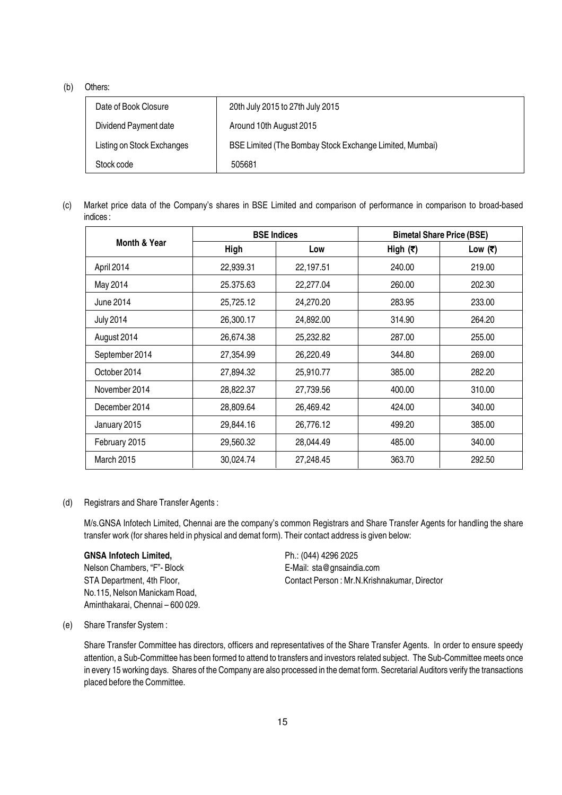#### (b) Others:

| Date of Book Closure       | 20th July 2015 to 27th July 2015                        |
|----------------------------|---------------------------------------------------------|
| Dividend Payment date      | Around 10th August 2015                                 |
| Listing on Stock Exchanges | BSE Limited (The Bombay Stock Exchange Limited, Mumbai) |
| Stock code                 | 505681                                                  |

(c) Market price data of the Company's shares in BSE Limited and comparison of performance in comparison to broad-based indices :

|                   |           | <b>BSE Indices</b> |             | <b>Bimetal Share Price (BSE)</b> |
|-------------------|-----------|--------------------|-------------|----------------------------------|
| Month & Year      | High      | Low                | High $( ₹)$ | Low $( ₹)$                       |
| April 2014        | 22,939.31 | 22,197.51          | 240.00      | 219.00                           |
| May 2014          | 25.375.63 | 22,277.04          | 260.00      | 202.30                           |
| June 2014         | 25,725.12 | 24,270.20          | 283.95      | 233.00                           |
| <b>July 2014</b>  | 26,300.17 | 24,892.00          | 314.90      | 264.20                           |
| August 2014       | 26,674.38 | 25,232.82          | 287.00      | 255.00                           |
| September 2014    | 27,354.99 | 26,220.49          | 344.80      | 269.00                           |
| October 2014      | 27,894.32 | 25,910.77          | 385.00      | 282.20                           |
| November 2014     | 28,822.37 |                    | 400.00      | 310.00                           |
| December 2014     | 28,809.64 | 26,469.42          | 424.00      | 340.00                           |
| January 2015      | 29,844.16 | 26,776.12          | 499.20      | 385.00                           |
| February 2015     | 29,560.32 | 28,044.49          | 485.00      | 340.00                           |
| <b>March 2015</b> | 30,024.74 | 27,248.45          | 363.70      | 292.50                           |

#### (d) Registrars and Share Transfer Agents :

M/s.GNSA Infotech Limited, Chennai are the company's common Registrars and Share Transfer Agents for handling the share transfer work (for shares held in physical and demat form). Their contact address is given below:

#### GNSA Infotech Limited, Ph.: (044) 4296 2025

Nelson Chambers, "F"- Block E-Mail: sta@gnsaindia.com No.115, Nelson Manickam Road, Aminthakarai, Chennai – 600 029.

STA Department, 4th Floor, Contact Person : Mr.N.Krishnakumar, Director

(e) Share Transfer System :

Share Transfer Committee has directors, officers and representatives of the Share Transfer Agents. In order to ensure speedy attention, a Sub-Committee has been formed to attend to transfers and investors related subject. The Sub-Committee meets once in every 15 working days. Shares of the Company are also processed in the demat form. Secretarial Auditors verify the transactions placed before the Committee.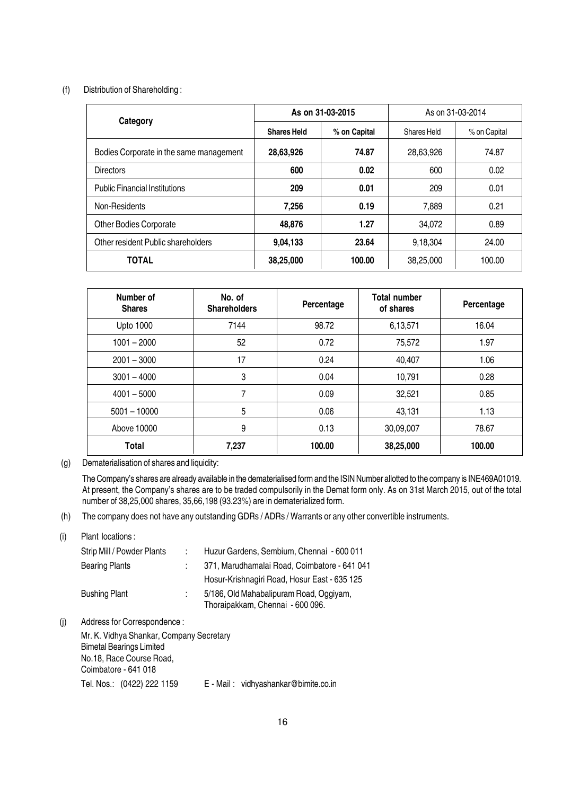#### (f) Distribution of Shareholding :

| Category                                |                    | As on 31-03-2015 | As on 31-03-2014 |              |  |
|-----------------------------------------|--------------------|------------------|------------------|--------------|--|
|                                         | <b>Shares Held</b> | % on Capital     | Shares Held      | % on Capital |  |
| Bodies Corporate in the same management | 28,63,926          | 74.87            | 28,63,926        | 74.87        |  |
| <b>Directors</b>                        | 600                | 0.02             | 600              | 0.02         |  |
| <b>Public Financial Institutions</b>    | 209                | 0.01             | 209              | 0.01         |  |
| Non-Residents                           | 7,256              | 0.19             | 7.889            | 0.21         |  |
| <b>Other Bodies Corporate</b>           | 48.876             | 1.27             | 34.072           | 0.89         |  |
| Other resident Public shareholders      | 9,04,133           | 23.64            | 9,18,304         | 24.00        |  |
| <b>TOTAL</b>                            | 38,25,000          | 100.00           | 38,25,000        | 100.00       |  |

| Number of<br><b>Shares</b> | No. of<br><b>Shareholders</b> | Percentage | <b>Total number</b><br>of shares | Percentage |
|----------------------------|-------------------------------|------------|----------------------------------|------------|
| <b>Upto 1000</b>           | 7144                          | 98.72      | 6,13,571                         | 16.04      |
| $1001 - 2000$              | 52                            | 0.72       | 75,572                           | 1.97       |
| $2001 - 3000$              | 17                            | 0.24       | 40,407                           | 1.06       |
| $3001 - 4000$              | 3                             | 0.04       | 10,791                           | 0.28       |
| $4001 - 5000$              | 7                             | 0.09       | 32,521                           | 0.85       |
| $5001 - 10000$             | 5                             | 0.06       | 43,131                           | 1.13       |
| Above 10000                | 9                             | 0.13       | 30,09,007                        | 78.67      |
| Total                      | 7,237                         | 100.00     | 38,25,000                        | 100.00     |

(g) Dematerialisation of shares and liquidity:

The Company's shares are already available in the dematerialised form and the ISIN Number allotted to the company is INE469A01019. At present, the Company's shares are to be traded compulsorily in the Demat form only. As on 31st March 2015, out of the total number of 38,25,000 shares, 35,66,198 (93.23%) are in dematerialized form.

(h) The company does not have any outstanding GDRs / ADRs / Warrants or any other convertible instruments.

#### (i) Plant locations :

|     | Strip Mill / Powder Plants            |   | Huzur Gardens, Sembium, Chennai - 600 011                                   |  |  |  |  |
|-----|---------------------------------------|---|-----------------------------------------------------------------------------|--|--|--|--|
|     | <b>Bearing Plants</b>                 |   | 371, Marudhamalai Road, Coimbatore - 641 041                                |  |  |  |  |
|     |                                       |   | Hosur-Krishnagiri Road, Hosur East - 635 125                                |  |  |  |  |
|     | <b>Bushing Plant</b>                  | ÷ | 5/186, Old Mahabalipuram Road, Oggiyam,<br>Thoraipakkam, Chennai - 600 096. |  |  |  |  |
| (i) | Address for Correspondence:           |   |                                                                             |  |  |  |  |
|     | Mr K Vidbuo Chapkar Campany Cooratoru |   |                                                                             |  |  |  |  |

Mr. K. Vidhya Shankar, Company Secretary Bimetal Bearings Limited No.18, Race Course Road, Coimbatore - 641 018 Tel. Nos.: (0422) 222 1159 E - Mail : vidhyashankar@bimite.co.in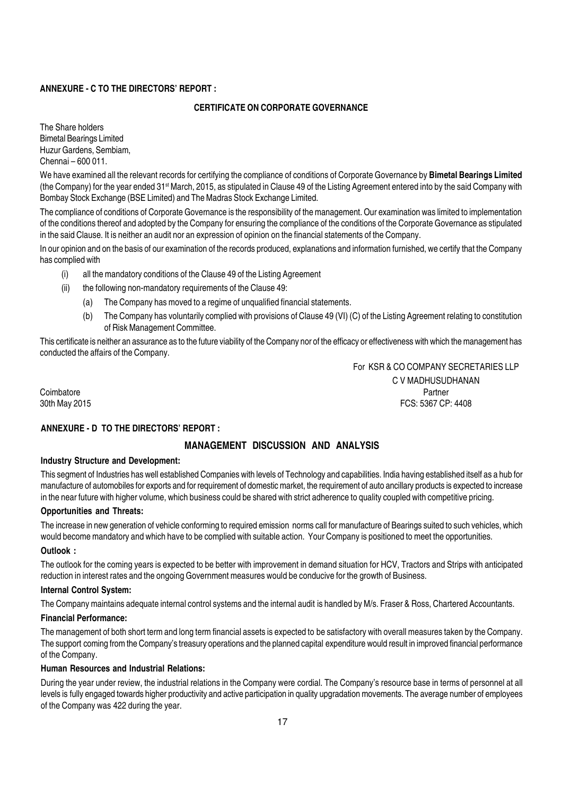#### ANNEXURE - C TO THE DIRECTORS' REPORT :

#### CERTIFICATE ON CORPORATE GOVERNANCE

The Share holders Bimetal Bearings Limited Huzur Gardens, Sembiam, Chennai – 600 011.

We have examined all the relevant records for certifying the compliance of conditions of Corporate Governance by Bimetal Bearings Limited (the Company) for the year ended 31<sup>st</sup> March, 2015, as stipulated in Clause 49 of the Listing Agreement entered into by the said Company with Bombay Stock Exchange (BSE Limited) and The Madras Stock Exchange Limited.

The compliance of conditions of Corporate Governance is the responsibility of the management. Our examination was limited to implementation of the conditions thereof and adopted by the Company for ensuring the compliance of the conditions of the Corporate Governance as stipulated in the said Clause. It is neither an audit nor an expression of opinion on the financial statements of the Company.

In our opinion and on the basis of our examination of the records produced, explanations and information furnished, we certify that the Company has complied with

- (i) all the mandatory conditions of the Clause 49 of the Listing Agreement
- (ii) the following non-mandatory requirements of the Clause 49:
	- (a) The Company has moved to a regime of unqualified financial statements.
	- (b) The Company has voluntarily complied with provisions of Clause 49 (VI) (C) of the Listing Agreement relating to constitution of Risk Management Committee.

This certificate is neither an assurance as to the future viability of the Company nor of the efficacy or effectiveness with which the management has conducted the affairs of the Company.

For KSR & CO COMPANY SECRETARIES LLP C V MADHUSUDHANAN Coimbatore Partner 30th May 2015 FCS: 5367 CP: 4408

#### ANNEXURE - D TO THE DIRECTORS' REPORT :

#### MANAGEMENT DISCUSSION AND ANALYSIS

#### Industry Structure and Development:

This segment of Industries has well established Companies with levels of Technology and capabilities. India having established itself as a hub for manufacture of automobiles for exports and for requirement of domestic market, the requirement of auto ancillary products is expected to increase in the near future with higher volume, which business could be shared with strict adherence to quality coupled with competitive pricing.

#### Opportunities and Threats:

The increase in new generation of vehicle conforming to required emission norms call for manufacture of Bearings suited to such vehicles, which would become mandatory and which have to be complied with suitable action. Your Company is positioned to meet the opportunities.

#### Outlook :

The outlook for the coming years is expected to be better with improvement in demand situation for HCV, Tractors and Strips with anticipated reduction in interest rates and the ongoing Government measures would be conducive for the growth of Business.

#### Internal Control System:

The Company maintains adequate internal control systems and the internal audit is handled by M/s. Fraser & Ross, Chartered Accountants.

#### Financial Performance:

The management of both short term and long term financial assets is expected to be satisfactory with overall measures taken by the Company. The support coming from the Company's treasury operations and the planned capital expenditure would result in improved financial performance of the Company.

#### Human Resources and Industrial Relations:

During the year under review, the industrial relations in the Company were cordial. The Company's resource base in terms of personnel at all levels is fully engaged towards higher productivity and active participation in quality upgradation movements. The average number of employees of the Company was 422 during the year.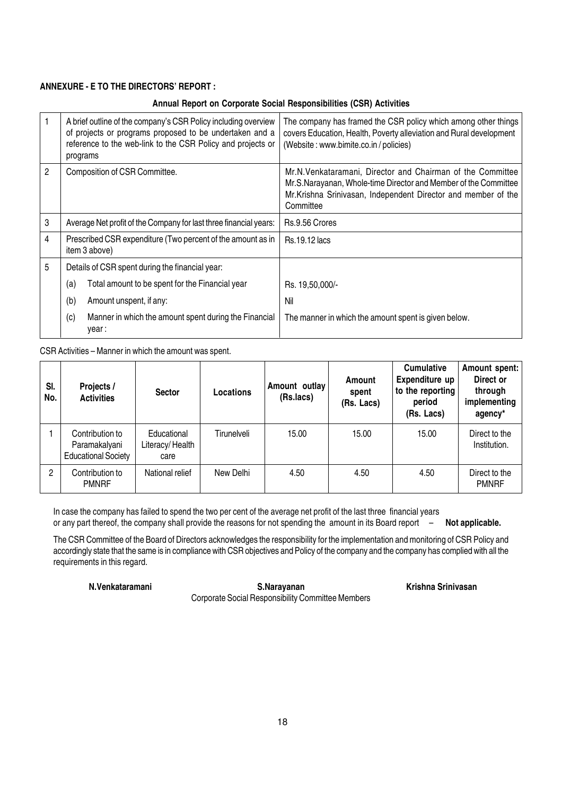#### ANNEXURE - E TO THE DIRECTORS' REPORT :

#### Annual Report on Corporate Social Responsibilities (CSR) Activities

|   | A brief outline of the company's CSR Policy including overview<br>of projects or programs proposed to be undertaken and a<br>reference to the web-link to the CSR Policy and projects or<br>programs | The company has framed the CSR policy which among other things<br>covers Education, Health, Poverty alleviation and Rural development<br>(Website: www.bimite.co.in/policies)                                |  |  |
|---|------------------------------------------------------------------------------------------------------------------------------------------------------------------------------------------------------|--------------------------------------------------------------------------------------------------------------------------------------------------------------------------------------------------------------|--|--|
| 2 | Composition of CSR Committee.                                                                                                                                                                        | Mr.N. Venkataramani, Director and Chairman of the Committee<br>Mr.S.Narayanan, Whole-time Director and Member of the Committee<br>Mr.Krishna Srinivasan, Independent Director and member of the<br>Committee |  |  |
| 3 | Average Net profit of the Company for last three financial years:                                                                                                                                    | Rs.9.56 Crores                                                                                                                                                                                               |  |  |
| 4 | Prescribed CSR expenditure (Two percent of the amount as in<br>item 3 above)                                                                                                                         | <b>Rs.19.12 lacs</b>                                                                                                                                                                                         |  |  |
| 5 | Details of CSR spent during the financial year:                                                                                                                                                      |                                                                                                                                                                                                              |  |  |
|   | Total amount to be spent for the Financial year<br>(a)                                                                                                                                               | Rs. 19,50,000/-                                                                                                                                                                                              |  |  |
|   | (b)<br>Amount unspent, if any:                                                                                                                                                                       | Nil                                                                                                                                                                                                          |  |  |
|   | (c)<br>Manner in which the amount spent during the Financial<br>year:                                                                                                                                | The manner in which the amount spent is given below.                                                                                                                                                         |  |  |

CSR Activities – Manner in which the amount was spent.

| SI.<br>No. | Projects /<br><b>Activities</b>                                | <b>Sector</b>                          | Locations   | Amount outlay<br>(Rs.lacs) | Amount<br>spent<br>(Rs. Lacs) | <b>Cumulative</b><br>Expenditure up<br>to the reporting<br>period<br>(Rs. Lacs) | Amount spent:<br>Direct or<br>through<br>implementing<br>agency* |
|------------|----------------------------------------------------------------|----------------------------------------|-------------|----------------------------|-------------------------------|---------------------------------------------------------------------------------|------------------------------------------------------------------|
|            | Contribution to<br>Paramakalyani<br><b>Educational Society</b> | Educational<br>Literacy/Health<br>care | Tirunelveli | 15.00                      | 15.00                         | 15.00                                                                           | Direct to the<br>Institution.                                    |
| 2          | Contribution to<br><b>PMNRF</b>                                | National relief                        | New Delhi   | 4.50                       | 4.50                          | 4.50                                                                            | Direct to the<br><b>PMNRF</b>                                    |

In case the company has failed to spend the two per cent of the average net profit of the last three financial years or any part thereof, the company shall provide the reasons for not spending the amount in its Board report – Not applicable.

The CSR Committee of the Board of Directors acknowledges the responsibility for the implementation and monitoring of CSR Policy and accordingly state that the same is in compliance with CSR objectives and Policy of the company and the company has complied with all the requirements in this regard.

N.Venkataramani S.Narayanan S.Narayanan Krishna Srinivasan Corporate Social Responsibility Committee Members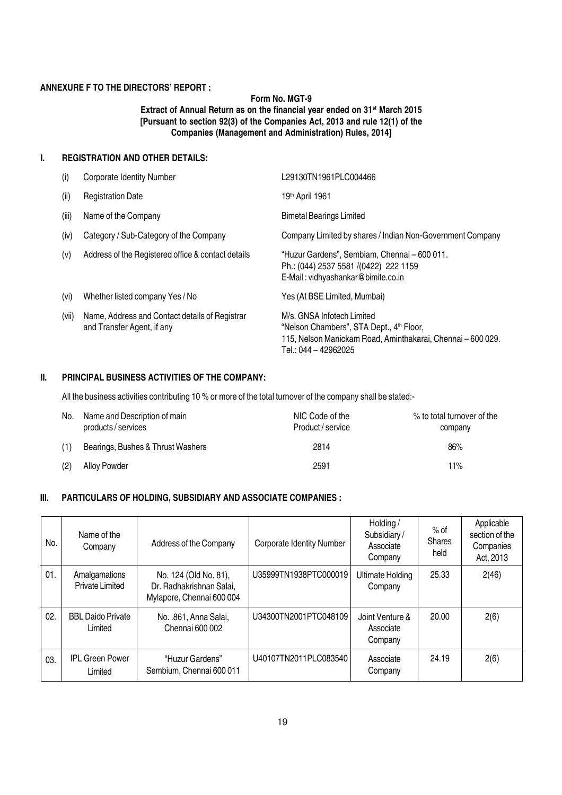#### ANNEXURE F TO THE DIRECTORS' REPORT :

#### Form No. MGT-9 Extract of Annual Return as on the financial year ended on 31<sup>st</sup> March 2015 [Pursuant to section 92(3) of the Companies Act, 2013 and rule 12(1) of the Companies (Management and Administration) Rules, 2014]

#### I. REGISTRATION AND OTHER DETAILS:

| (i)   | <b>Corporate Identity Number</b>                                             | L29130TN1961PLC004466                                                                                                                                                     |
|-------|------------------------------------------------------------------------------|---------------------------------------------------------------------------------------------------------------------------------------------------------------------------|
| (ii)  | <b>Registration Date</b>                                                     | 19th April 1961                                                                                                                                                           |
| (iii) | Name of the Company                                                          | <b>Bimetal Bearings Limited</b>                                                                                                                                           |
| (iv)  | Category / Sub-Category of the Company                                       | Company Limited by shares / Indian Non-Government Company                                                                                                                 |
| (v)   | Address of the Registered office & contact details                           | "Huzur Gardens", Sembiam, Chennai - 600 011.<br>Ph.: (044) 2537 5581 /(0422) 222 1159<br>E-Mail: vidhyashankar@bimite.co.in                                               |
| (vi)  | Whether listed company Yes / No                                              | Yes (At BSE Limited, Mumbai)                                                                                                                                              |
| (vii) | Name, Address and Contact details of Registrar<br>and Transfer Agent, if any | M/s. GNSA Infotech Limited<br>"Nelson Chambers", STA Dept., 4 <sup>th</sup> Floor,<br>115, Nelson Manickam Road, Aminthakarai, Chennai - 600 029.<br>Tel.: 044 - 42962025 |

#### II. PRINCIPAL BUSINESS ACTIVITIES OF THE COMPANY:

All the business activities contributing 10 % or more of the total turnover of the company shall be stated:-

| No. | Name and Description of main<br>products / services | NIC Code of the<br>Product / service | % to total turnover of the<br>company |
|-----|-----------------------------------------------------|--------------------------------------|---------------------------------------|
| (1) | Bearings, Bushes & Thrust Washers                   | 2814                                 | 86%                                   |
| (2) | Alloy Powder                                        | 2591                                 | 11%                                   |

#### III. PARTICULARS OF HOLDING, SUBSIDIARY AND ASSOCIATE COMPANIES :

| No. | Name of the<br>Company                  | Address of the Company                                                         | <b>Corporate Identity Number</b> | Holding/<br>Subsidiary/<br>Associate<br>Company | $%$ of<br><b>Shares</b><br>held | Applicable<br>section of the<br>Companies<br>Act, 2013 |
|-----|-----------------------------------------|--------------------------------------------------------------------------------|----------------------------------|-------------------------------------------------|---------------------------------|--------------------------------------------------------|
| 01. | Amalgamations<br><b>Private Limited</b> | No. 124 (Old No. 81),<br>Dr. Radhakrishnan Salai,<br>Mylapore, Chennai 600 004 | U35999TN1938PTC000019            | <b>Ultimate Holding</b><br>Company              | 25.33                           | 2(46)                                                  |
| 02. | <b>BBL Daido Private</b><br>Limited     | No. .861, Anna Salai,<br>Chennai 600 002                                       | U34300TN2001PTC048109            | Joint Venture &<br>Associate<br>Company         | 20.00                           | 2(6)                                                   |
| 03. | <b>IPL Green Power</b><br>Limited       | "Huzur Gardens"<br>Sembium, Chennai 600 011                                    | U40107TN2011PLC083540            | Associate<br>Company                            | 24.19                           | 2(6)                                                   |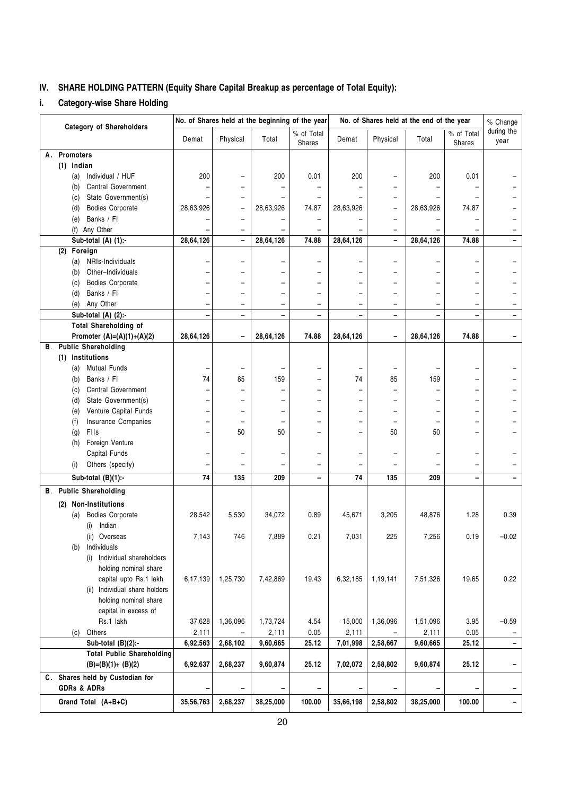#### IV. SHARE HOLDING PATTERN (Equity Share Capital Breakup as percentage of Total Equity):

#### i. Category-wise Share Holding

|                                               |           | No. of Shares held at the beginning of the year |           |                          | No. of Shares held at the end of the year |                              |           | % Change                 |                    |
|-----------------------------------------------|-----------|-------------------------------------------------|-----------|--------------------------|-------------------------------------------|------------------------------|-----------|--------------------------|--------------------|
| <b>Category of Shareholders</b>               | Demat     | Physical                                        | Total     | % of Total<br>Shares     | Demat                                     | Physical                     | Total     | % of Total<br>Shares     | during the<br>year |
| <b>Promoters</b><br>А.                        |           |                                                 |           |                          |                                           |                              |           |                          |                    |
| $(1)$ Indian                                  |           |                                                 |           |                          |                                           |                              |           |                          |                    |
| Individual / HUF<br>(a)                       | 200       |                                                 | 200       | 0.01                     | 200                                       |                              | 200       | 0.01                     |                    |
| <b>Central Government</b><br>(b)              |           |                                                 |           |                          |                                           |                              |           |                          |                    |
| State Government(s)<br>(c)                    |           |                                                 |           |                          |                                           |                              |           |                          |                    |
| <b>Bodies Corporate</b><br>(d)                | 28,63,926 | $\overline{\phantom{0}}$                        | 28,63,926 | 74.87                    | 28,63,926                                 | $\overline{\phantom{0}}$     | 28,63,926 | 74.87                    |                    |
| Banks / Fl<br>(e)                             |           |                                                 |           |                          |                                           |                              |           |                          |                    |
| (f) Any Other                                 |           |                                                 |           |                          |                                           | $\overline{\phantom{0}}$     |           |                          |                    |
| Sub-total (A) $(1)$ :-<br>$(2)$ Foreign       | 28,64,126 | $\qquad \qquad -$                               | 28,64,126 | 74.88                    | 28,64,126                                 | $\overline{\phantom{0}}$     | 28,64,126 | 74.88                    |                    |
| NRIs-Individuals                              |           |                                                 |           | $\overline{\phantom{0}}$ |                                           | $\overline{\phantom{0}}$     |           |                          |                    |
| (a)<br>Other-Individuals<br>(b)               |           |                                                 |           | $\overline{\phantom{0}}$ |                                           |                              |           |                          |                    |
| <b>Bodies Corporate</b><br>(c)                |           |                                                 |           | ▃                        |                                           |                              |           |                          |                    |
| Banks / Fl<br>(d)                             |           |                                                 |           | -                        |                                           | -                            |           | -                        |                    |
| Any Other<br>(e)                              |           |                                                 |           | $\qquad \qquad -$        |                                           | $\overline{\phantom{0}}$     |           |                          |                    |
| Sub-total (A) (2):-                           |           |                                                 |           |                          |                                           | $\overline{a}$               |           |                          |                    |
| <b>Total Shareholding of</b>                  |           |                                                 |           |                          |                                           |                              |           |                          |                    |
| Promoter $(A)=(A)(1)+(A)(2)$                  | 28,64,126 | $\overline{\phantom{0}}$                        | 28,64,126 | 74.88                    | 28,64,126                                 | $\qquad \qquad \blacksquare$ | 28,64,126 | 74.88                    |                    |
| <b>B.</b> Public Shareholding                 |           |                                                 |           |                          |                                           |                              |           |                          |                    |
| (1) Institutions                              |           |                                                 |           |                          |                                           |                              |           |                          |                    |
| <b>Mutual Funds</b><br>(a)                    |           |                                                 |           |                          |                                           | -                            |           |                          |                    |
| Banks / Fl<br>(b)                             | 74        | 85                                              | 159       |                          | 74                                        | 85                           | 159       |                          |                    |
| Central Government<br>(c)                     |           |                                                 |           | -                        |                                           |                              |           | $\overline{\phantom{0}}$ |                    |
| State Government(s)<br>(d)                    |           |                                                 |           |                          |                                           |                              |           |                          |                    |
| Venture Capital Funds<br>(e)                  |           |                                                 |           |                          |                                           |                              |           |                          |                    |
| Insurance Companies<br>(f)                    |           |                                                 |           |                          |                                           |                              |           |                          |                    |
| FIIs<br>(g)                                   |           | 50                                              | 50        | -                        | -                                         | 50                           | 50        | $\equiv$                 |                    |
| Foreign Venture<br>(h)                        |           |                                                 |           |                          |                                           |                              |           |                          |                    |
| Capital Funds                                 |           | $\overline{\phantom{0}}$                        |           | $\overline{\phantom{0}}$ | $\overline{\phantom{0}}$                  | $\overline{\phantom{0}}$     |           | $\overline{\phantom{0}}$ |                    |
| Others (specify)<br>(i)                       |           |                                                 |           |                          |                                           |                              |           |                          |                    |
| Sub-total $(B)(1)$ :-                         | 74        | 135                                             | 209       | -                        | 74                                        | 135                          | 209       | $\overline{\phantom{0}}$ |                    |
| <b>B.</b> Public Shareholding                 |           |                                                 |           |                          |                                           |                              |           |                          |                    |
| <b>Non-Institutions</b><br>(2)                |           |                                                 |           |                          |                                           |                              |           |                          |                    |
| <b>Bodies Corporate</b><br>(a)                | 28,542    | 5,530                                           | 34,072    | 0.89                     | 45,671                                    | 3,205                        | 48,876    | 1.28                     | 0.39               |
| Indian<br>(i)                                 |           |                                                 |           |                          |                                           |                              |           |                          |                    |
| (ii) Overseas                                 | 7,143     | 746                                             | 7,889     | 0.21                     | 7,031                                     | 225                          | 7,256     | 0.19                     | $-0.02$            |
| Individuals<br>(b)                            |           |                                                 |           |                          |                                           |                              |           |                          |                    |
| (i) Individual shareholders                   |           |                                                 |           |                          |                                           |                              |           |                          |                    |
| holding nominal share                         |           |                                                 |           |                          |                                           |                              |           |                          |                    |
| capital upto Rs.1 lakh                        | 6,17,139  | 1,25,730                                        | 7,42,869  | 19.43                    | 6,32,185                                  | 1,19,141                     | 7,51,326  | 19.65                    | 0.22               |
| (ii) Individual share holders                 |           |                                                 |           |                          |                                           |                              |           |                          |                    |
| holding nominal share<br>capital in excess of |           |                                                 |           |                          |                                           |                              |           |                          |                    |
| Rs.1 lakh                                     | 37,628    | 1,36,096                                        | 1,73,724  | 4.54                     | 15,000                                    | 1,36,096                     | 1,51,096  | 3.95                     | $-0.59$            |
| (c) Others                                    | 2,111     |                                                 | 2,111     | 0.05                     | 2,111                                     |                              | 2,111     | 0.05                     |                    |
| Sub-total $(B)(2)$ :-                         | 6,92,563  | 2,68,102                                        | 9,60,665  | 25.12                    | 7,01,998                                  | 2,58,667                     | 9,60,665  | 25.12                    |                    |
| <b>Total Public Shareholding</b>              |           |                                                 |           |                          |                                           |                              |           |                          |                    |
| $(B)=(B)(1)+(B)(2)$                           | 6,92,637  | 2,68,237                                        | 9,60,874  | 25.12                    | 7,02,072                                  | 2,58,802                     | 9,60,874  | 25.12                    |                    |
| C. Shares held by Custodian for               |           |                                                 |           |                          |                                           |                              |           |                          |                    |
| <b>GDRs &amp; ADRs</b>                        |           |                                                 |           |                          |                                           |                              |           |                          |                    |
| Grand Total (A+B+C)                           | 35,56,763 | 2,68,237                                        | 38,25,000 | 100.00                   | 35,66,198                                 | 2,58,802                     | 38,25,000 | 100.00                   |                    |
|                                               |           |                                                 |           |                          |                                           |                              |           |                          |                    |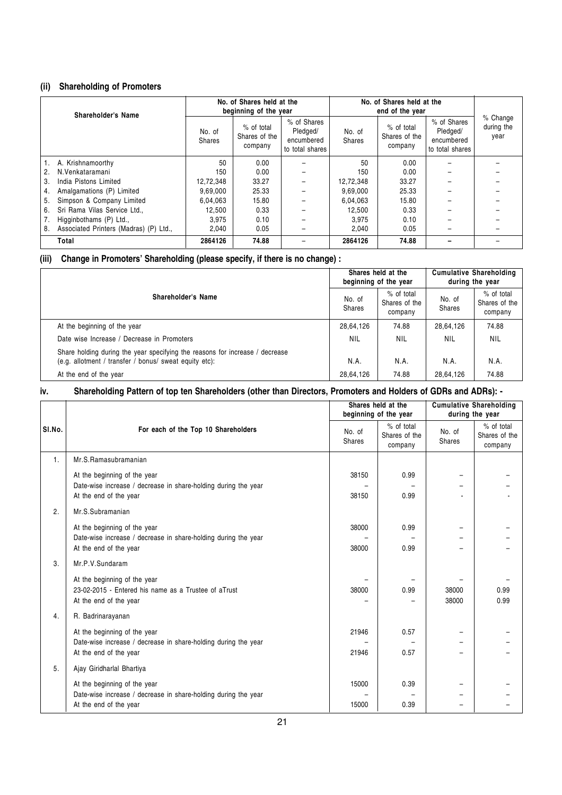#### (ii) Shareholding of Promoters

| Shareholder's Name |                                        |                         | No. of Shares held at the<br>beginning of the year |                                                          | No. of Shares held at the<br>end of the year |                                        |                                                          |                                |
|--------------------|----------------------------------------|-------------------------|----------------------------------------------------|----------------------------------------------------------|----------------------------------------------|----------------------------------------|----------------------------------------------------------|--------------------------------|
|                    |                                        | No. of<br><b>Shares</b> | % of total<br>Shares of the<br>company             | % of Shares<br>Pledged/<br>encumbered<br>to total shares | No. of<br>Shares                             | % of total<br>Shares of the<br>company | % of Shares<br>Pledged/<br>encumbered<br>to total shares | % Change<br>during the<br>year |
|                    | A. Krishnamoorthy                      | 50                      | 0.00                                               |                                                          | 50                                           | 0.00                                   |                                                          |                                |
|                    | N.Venkataramani                        | 150                     | 0.00                                               |                                                          | 150                                          | 0.00                                   |                                                          |                                |
| 3.                 | India Pistons Limited                  | 12,72,348               | 33.27                                              |                                                          | 12.72.348                                    | 33.27                                  |                                                          |                                |
| 4.                 | Amalgamations (P) Limited              | 9.69.000                | 25.33                                              |                                                          | 9.69.000                                     | 25.33                                  |                                                          |                                |
| 5.                 | Simpson & Company Limited              | 6.04.063                | 15.80                                              |                                                          | 6.04.063                                     | 15.80                                  |                                                          |                                |
| 6.                 | Sri Rama Vilas Service Ltd             | 12,500                  | 0.33                                               |                                                          | 12,500                                       | 0.33                                   |                                                          |                                |
|                    | Higginbothams (P) Ltd.,                | 3.975                   | 0.10                                               |                                                          | 3.975                                        | 0.10                                   |                                                          |                                |
| 8.                 | Associated Printers (Madras) (P) Ltd., | 2.040                   | 0.05                                               |                                                          | 2.040                                        | 0.05                                   |                                                          |                                |
|                    | Total                                  | 2864126                 | 74.88                                              |                                                          | 2864126                                      | 74.88                                  |                                                          |                                |

#### (iii) Change in Promoters' Shareholding (please specify, if there is no change) :

| Shareholder's Name                                                                                                                     |            | Shares held at the<br>beginning of the year |                  | <b>Cumulative Shareholding</b><br>during the year |  |
|----------------------------------------------------------------------------------------------------------------------------------------|------------|---------------------------------------------|------------------|---------------------------------------------------|--|
|                                                                                                                                        |            | % of total<br>Shares of the<br>company      | No. of<br>Shares | % of total<br>Shares of the<br>company            |  |
| At the beginning of the year                                                                                                           | 28,64,126  | 74.88                                       | 28,64,126        | 74.88                                             |  |
| Date wise Increase / Decrease in Promoters                                                                                             | <b>NIL</b> | NIL                                         | <b>NIL</b>       | NIL                                               |  |
| Share holding during the year specifying the reasons for increase / decrease<br>(e.g. allotment / transfer / bonus/ sweat equity etc): | N.A.       | N.A.                                        | N.A.             | N.A.                                              |  |
| At the end of the year                                                                                                                 | 28,64,126  | 74.88                                       | 28,64,126        | 74.88                                             |  |

#### iv. Shareholding Pattern of top ten Shareholders (other than Directors, Promoters and Holders of GDRs and ADRs): -

|        | Shares held at the<br>beginning of the year                                                                              |                         |                                        | <b>Cumulative Shareholding</b><br>during the year |                                        |  |
|--------|--------------------------------------------------------------------------------------------------------------------------|-------------------------|----------------------------------------|---------------------------------------------------|----------------------------------------|--|
| SI.No. | For each of the Top 10 Shareholders                                                                                      | No. of<br><b>Shares</b> | % of total<br>Shares of the<br>company | No. of<br><b>Shares</b>                           | % of total<br>Shares of the<br>company |  |
| 1.     | Mr.S.Ramasubramanian                                                                                                     |                         |                                        |                                                   |                                        |  |
|        | At the beginning of the year<br>Date-wise increase / decrease in share-holding during the year<br>At the end of the year | 38150<br>38150          | 0.99<br>0.99                           | -                                                 |                                        |  |
| 2.     | Mr.S.Subramanian                                                                                                         |                         |                                        |                                                   |                                        |  |
|        | At the beginning of the year<br>Date-wise increase / decrease in share-holding during the year<br>At the end of the year | 38000<br>38000          | 0.99<br>0.99                           |                                                   |                                        |  |
| 3.     | Mr.P.V.Sundaram                                                                                                          |                         |                                        |                                                   |                                        |  |
|        | At the beginning of the year<br>23-02-2015 - Entered his name as a Trustee of aTrust<br>At the end of the year           | 38000                   | 0.99                                   | 38000<br>38000                                    | 0.99<br>0.99                           |  |
| 4.     | R. Badrinarayanan                                                                                                        |                         |                                        |                                                   |                                        |  |
|        | At the beginning of the year<br>Date-wise increase / decrease in share-holding during the year<br>At the end of the year | 21946<br>21946          | 0.57<br>0.57                           | Ξ.                                                |                                        |  |
| 5.     | Ajay Giridharlal Bhartiya                                                                                                |                         |                                        |                                                   |                                        |  |
|        | At the beginning of the year<br>Date-wise increase / decrease in share-holding during the year<br>At the end of the year | 15000<br>15000          | 0.39<br>0.39                           | -<br>-                                            |                                        |  |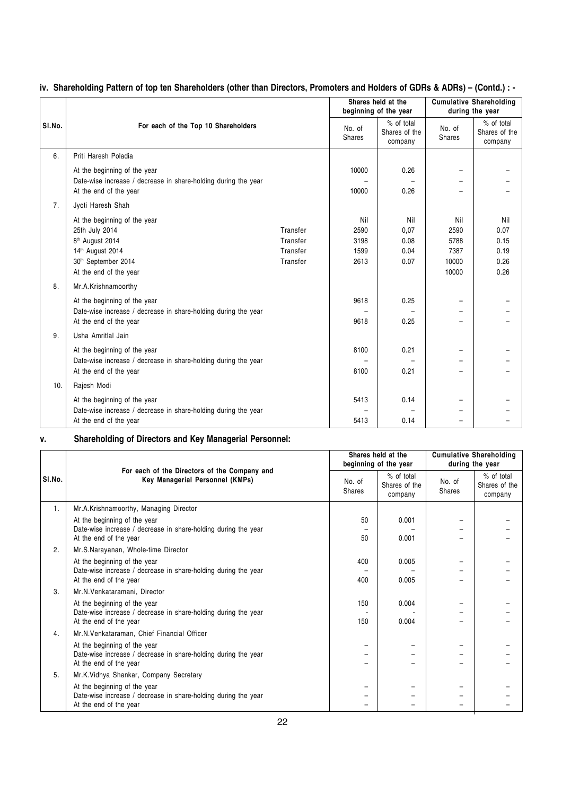|        |                                                                                                |          |                         | Shares held at the                     |                          | <b>Cumulative Shareholding</b>         |
|--------|------------------------------------------------------------------------------------------------|----------|-------------------------|----------------------------------------|--------------------------|----------------------------------------|
|        |                                                                                                |          |                         | beginning of the year                  |                          | during the year                        |
| SI.No. | For each of the Top 10 Shareholders                                                            |          | No. of<br><b>Shares</b> | % of total<br>Shares of the<br>company | No. of<br><b>Shares</b>  | % of total<br>Shares of the<br>company |
| 6.     | Priti Haresh Poladia                                                                           |          |                         |                                        |                          |                                        |
|        | At the beginning of the year<br>Date-wise increase / decrease in share-holding during the year |          | 10000                   | 0.26                                   | -                        |                                        |
|        | At the end of the year                                                                         |          | 10000                   | 0.26                                   |                          |                                        |
| 7.     | Jyoti Haresh Shah                                                                              |          |                         |                                        |                          |                                        |
|        | At the beginning of the year                                                                   |          | Nil                     | Nil                                    | Nil                      | Nil                                    |
|        | 25th July 2014                                                                                 | Transfer | 2590                    | 0,07                                   | 2590                     | 0.07                                   |
|        | 8 <sup>th</sup> August 2014                                                                    | Transfer | 3198                    | 0.08                                   | 5788                     | 0.15                                   |
|        | 14th August 2014                                                                               | Transfer | 1599                    | 0.04                                   | 7387                     | 0.19                                   |
|        | 30th September 2014                                                                            | Transfer | 2613                    | 0.07                                   | 10000                    | 0.26                                   |
|        | At the end of the year                                                                         |          |                         |                                        | 10000                    | 0.26                                   |
| 8.     | Mr.A.Krishnamoorthy                                                                            |          |                         |                                        |                          |                                        |
|        | At the beginning of the year                                                                   |          | 9618                    | 0.25                                   | $\overline{\phantom{0}}$ |                                        |
|        | Date-wise increase / decrease in share-holding during the year                                 |          |                         |                                        | $\overline{\phantom{0}}$ |                                        |
|        | At the end of the year                                                                         |          | 9618                    | 0.25                                   |                          |                                        |
| 9.     | Usha Amritlal Jain                                                                             |          |                         |                                        |                          |                                        |
|        | At the beginning of the year                                                                   |          | 8100                    | 0.21                                   | -                        |                                        |
|        | Date-wise increase / decrease in share-holding during the year                                 |          |                         |                                        |                          |                                        |
|        | At the end of the year                                                                         |          | 8100                    | 0.21                                   | $\overline{\phantom{0}}$ |                                        |
| 10.    | Rajesh Modi                                                                                    |          |                         |                                        |                          |                                        |
|        | At the beginning of the year                                                                   |          | 5413                    | 0.14                                   |                          |                                        |
|        | Date-wise increase / decrease in share-holding during the year                                 |          |                         |                                        |                          |                                        |
|        | At the end of the year                                                                         |          | 5413                    | 0.14                                   |                          |                                        |

#### iv. Shareholding Pattern of top ten Shareholders (other than Directors, Promoters and Holders of GDRs & ADRs) – (Contd.) : -

#### v. Shareholding of Directors and Key Managerial Personnel:

|        |                                                                                                |     | Shares held at the<br>beginning of the year |                         | <b>Cumulative Shareholding</b><br>during the year |  |
|--------|------------------------------------------------------------------------------------------------|-----|---------------------------------------------|-------------------------|---------------------------------------------------|--|
| SI.No. | For each of the Directors of the Company and<br>Key Managerial Personnel (KMPs)                |     | % of total<br>Shares of the<br>company      | No. of<br><b>Shares</b> | % of total<br>Shares of the<br>company            |  |
| 1.     | Mr.A.Krishnamoorthy, Managing Director                                                         |     |                                             |                         |                                                   |  |
|        | At the beginning of the year<br>Date-wise increase / decrease in share-holding during the year | 50  | 0.001                                       | $\qquad \qquad$         |                                                   |  |
|        | At the end of the year                                                                         | 50  | 0.001                                       |                         |                                                   |  |
| 2.     | Mr.S.Narayanan, Whole-time Director                                                            |     |                                             |                         |                                                   |  |
|        | At the beginning of the year<br>Date-wise increase / decrease in share-holding during the year | 400 | 0.005                                       |                         |                                                   |  |
|        | At the end of the year                                                                         | 400 | 0.005                                       |                         |                                                   |  |
| 3.     | Mr.N.Venkataramani, Director                                                                   |     |                                             |                         |                                                   |  |
|        | At the beginning of the year                                                                   | 150 | 0.004                                       |                         |                                                   |  |
|        | Date-wise increase / decrease in share-holding during the year<br>At the end of the year       | 150 | 0.004                                       |                         |                                                   |  |
| 4.     | Mr.N.Venkataraman, Chief Financial Officer                                                     |     |                                             |                         |                                                   |  |
|        | At the beginning of the year                                                                   |     |                                             |                         |                                                   |  |
|        | Date-wise increase / decrease in share-holding during the year<br>At the end of the year       |     |                                             |                         |                                                   |  |
| 5.     | Mr.K.Vidhya Shankar, Company Secretary                                                         |     |                                             |                         |                                                   |  |
|        | At the beginning of the year                                                                   |     |                                             |                         |                                                   |  |
|        | Date-wise increase / decrease in share-holding during the year                                 |     |                                             |                         |                                                   |  |
|        | At the end of the year                                                                         |     |                                             |                         |                                                   |  |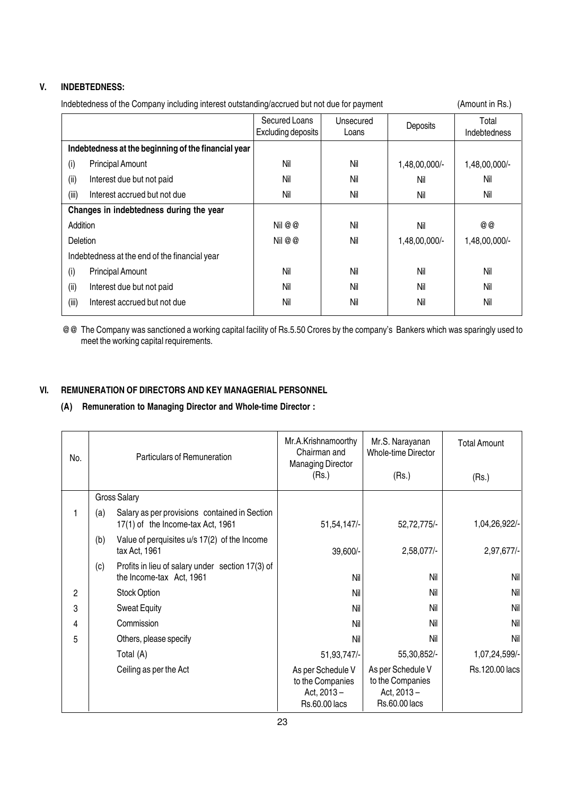#### V. INDEBTEDNESS:

| Indebtedness of the Company including interest outstanding/accrued but not due for payment | (Amount in Rs.) |
|--------------------------------------------------------------------------------------------|-----------------|
|--------------------------------------------------------------------------------------------|-----------------|

|                                                     |                                               | Secured Loans<br>Excluding deposits | Unsecured<br>Loans | Deposits      | Total<br>Indebtedness |
|-----------------------------------------------------|-----------------------------------------------|-------------------------------------|--------------------|---------------|-----------------------|
| Indebtedness at the beginning of the financial year |                                               |                                     |                    |               |                       |
| (i)                                                 | <b>Principal Amount</b>                       | Nil                                 | Nil                | 1,48,00,000/- | 1,48,00,000/-         |
| (ii)                                                | Interest due but not paid                     | Nil                                 | Nil                | Nil           | Nil                   |
| (iii)                                               | Interest accrued but not due                  | Nil                                 | Nil                | Nil           | Nil                   |
| Changes in indebtedness during the year             |                                               |                                     |                    |               |                       |
| Addition                                            |                                               | Nil @ @                             | Nil                | Nil           | @ @                   |
| Deletion                                            |                                               | Nil @ @                             | Nil                | 1,48,00,000/- | 1,48,00,000/-         |
|                                                     | Indebtedness at the end of the financial year |                                     |                    |               |                       |
| (i)                                                 | <b>Principal Amount</b>                       | Nil                                 | Nil                | Nil           | Nil                   |
| (ii)                                                | Interest due but not paid                     | Nil                                 | Nil                | Nil           | Nil                   |
| (iii)                                               | Interest accrued but not due                  | Nil                                 | Nil                | Nil           | Nil                   |

@@ The Company was sanctioned a working capital facility of Rs.5.50 Crores by the company's Bankers which was sparingly used to meet the working capital requirements.

#### VI. REMUNERATION OF DIRECTORS AND KEY MANAGERIAL PERSONNEL

#### (A) Remuneration to Managing Director and Whole-time Director :

| No. | Particulars of Remuneration |                                                                                    | Mr.A.Krishnamoorthy<br>Chairman and<br><b>Managing Director</b>      | Mr.S. Narayanan<br><b>Whole-time Director</b>                                  | <b>Total Amount</b> |
|-----|-----------------------------|------------------------------------------------------------------------------------|----------------------------------------------------------------------|--------------------------------------------------------------------------------|---------------------|
|     |                             |                                                                                    | (Rs.)                                                                | (Rs.)                                                                          | (Rs.)               |
|     |                             | <b>Gross Salary</b>                                                                |                                                                      |                                                                                |                     |
|     | (a)                         | Salary as per provisions contained in Section<br>17(1) of the Income-tax Act, 1961 | 51,54,147/-                                                          | 52,72,775/-                                                                    | 1,04,26,922/-       |
|     | (b)                         | Value of perquisites u/s 17(2) of the Income<br>tax Act, 1961                      | 39,600/-                                                             | 2,58,077/-                                                                     | 2,97,677/-          |
|     | (c)                         | Profits in lieu of salary under section 17(3) of<br>the Income-tax Act, 1961       | Nil                                                                  | Nil                                                                            | Nil                 |
| 2   |                             | <b>Stock Option</b>                                                                | Nil                                                                  | Nil                                                                            | Nil                 |
| 3   |                             | <b>Sweat Equity</b>                                                                | Nil                                                                  | Nil                                                                            | Nil                 |
| 4   |                             | Commission                                                                         | Nil                                                                  | Nil                                                                            | Nil                 |
| 5   |                             | Others, please specify                                                             | Nil                                                                  | Nil                                                                            | Nil                 |
|     |                             | Total (A)                                                                          | 51,93,747/-                                                          | 55,30,852/-                                                                    | 1,07,24,599/-       |
|     |                             | Ceiling as per the Act                                                             | As per Schedule V<br>to the Companies<br>Act, 2013-<br>Rs.60.00 lacs | As per Schedule V<br>to the Companies<br>Act, $2013 -$<br><b>Rs.60.00 lacs</b> | Rs.120.00 lacs      |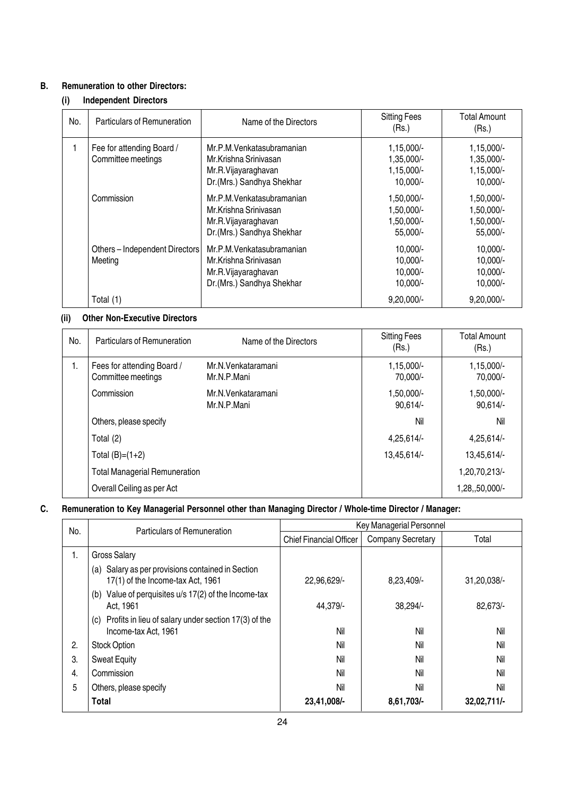#### B. Remuneration to other Directors:

#### (i) Independent Directors

| No. | Particulars of Remuneration                     | Name of the Directors                                                                                  | <b>Sitting Fees</b><br>(Rs.)                           | <b>Total Amount</b><br>(Rs.)                           |
|-----|-------------------------------------------------|--------------------------------------------------------------------------------------------------------|--------------------------------------------------------|--------------------------------------------------------|
|     | Fee for attending Board /<br>Committee meetings | Mr.P.M.Venkatasubramanian<br>Mr.Krishna Srinivasan<br>Mr.R.Vijayaraghavan<br>Dr.(Mrs.) Sandhya Shekhar | $1,15,000/-$<br>1,35,000/-<br>1,15,000/-<br>$10,000/-$ | $1,15,000/-$<br>1,35,000/-<br>1,15,000/-<br>$10,000/-$ |
|     | Commission                                      | Mr.P.M.Venkatasubramanian<br>Mr.Krishna Sriniyasan<br>Mr.R.Vijayaraghavan<br>Dr.(Mrs.) Sandhya Shekhar | 1,50,000/-<br>1,50,000/-<br>1,50,000/-<br>55,000/-     | 1,50,000/-<br>1,50,000/-<br>1,50,000/-<br>55,000/-     |
|     | Others - Independent Directors<br>Meeting       | Mr.P.M.Venkatasubramanian<br>Mr.Krishna Srinivasan<br>Mr.R.Vijayaraghavan<br>Dr.(Mrs.) Sandhya Shekhar | $10,000/-$<br>$10,000/-$<br>$10,000/-$<br>$10,000/-$   | 10,000/-<br>10,000/-<br>10,000/-<br>10,000/-           |
|     | Total (1)                                       |                                                                                                        | $9,20,000/-$                                           | $9,20,000/-$                                           |

#### (ii) Other Non-Executive Directors

| No. | Particulars of Remuneration                      | Name of the Directors             | <b>Sitting Fees</b><br>(Rs.) | <b>Total Amount</b><br>(Rs.) |
|-----|--------------------------------------------------|-----------------------------------|------------------------------|------------------------------|
| 1.  | Fees for attending Board /<br>Committee meetings | Mr.N.Venkataramani<br>Mr.N.P.Mani | 1,15,000/-<br>70,000/-       | 1,15,000/-<br>70,000/-       |
|     | Commission                                       | Mr.N.Venkataramani<br>Mr.N.P.Mani | 1,50,000/-<br>90,614/        | 1,50,000/-<br>90,614/        |
|     | Others, please specify                           |                                   | Nil                          | Nil                          |
|     | Total (2)                                        |                                   | 4,25,614/-                   | 4,25,614/-                   |
|     | Total $(B)=(1+2)$                                |                                   | 13,45,614/-                  | 13,45,614/-                  |
|     | <b>Total Managerial Remuneration</b>             |                                   |                              | 1,20,70,213/-                |
|     | Overall Ceiling as per Act                       |                                   |                              | 1,28,,50,000/-               |

#### C. Remuneration to Key Managerial Personnel other than Managing Director / Whole-time Director / Manager:

| No. | Particulars of Remuneration                                                            | Key Managerial Personnel       |                          |               |  |
|-----|----------------------------------------------------------------------------------------|--------------------------------|--------------------------|---------------|--|
|     |                                                                                        | <b>Chief Financial Officer</b> | <b>Company Secretary</b> | Total         |  |
| 1.  | <b>Gross Salary</b>                                                                    |                                |                          |               |  |
|     | (a) Salary as per provisions contained in Section<br>17(1) of the Income-tax Act, 1961 | 22,96,629/-                    | 8,23,409/-               | 31,20,038/-   |  |
|     | Value of perquisites u/s 17(2) of the Income-tax<br>(b)<br>Act. 1961                   | 44,379/-                       | 38,294/-                 | 82,673/-      |  |
|     | Profits in lieu of salary under section 17(3) of the<br>(c)<br>Income-tax Act, 1961    | Nil                            | Nil                      | Nil           |  |
| 2.  | <b>Stock Option</b>                                                                    | Nil                            | Nil                      | Nil           |  |
| 3.  | <b>Sweat Equity</b>                                                                    | Nil                            | Nil                      | Nil           |  |
| 4.  | Commission                                                                             | Nil                            | Nil                      | Nil           |  |
| 5   | Others, please specify                                                                 | Nil                            | Nil                      | Nil           |  |
|     | Total                                                                                  | 23,41,008/-                    | 8,61,703/-               | $32,02,711/-$ |  |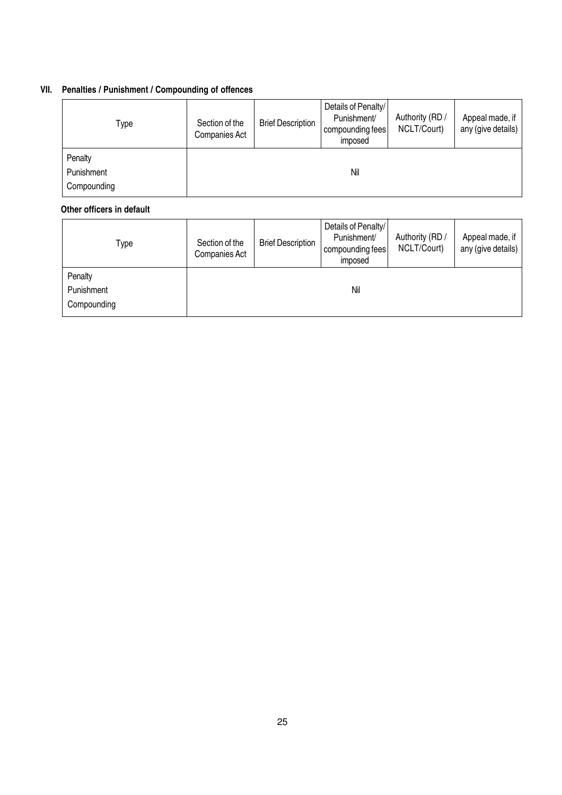#### VII. Penalties / Punishment / Compounding of offences

| Type        | Section of the<br>Companies Act | <b>Brief Description</b> | Details of Penalty/<br>Punishment/<br>compounding fees<br>imposed | Authority (RD /<br>NCLT/Court) | Appeal made, if<br>any (give details) |
|-------------|---------------------------------|--------------------------|-------------------------------------------------------------------|--------------------------------|---------------------------------------|
| Penalty     |                                 |                          |                                                                   |                                |                                       |
| Punishment  |                                 |                          | Nil                                                               |                                |                                       |
| Compounding |                                 |                          |                                                                   |                                |                                       |

#### Other officers in default

| Type        | Section of the<br>Companies Act | <b>Brief Description</b> | Details of Penalty/<br>Punishment/<br>compounding fees<br>imposed | Authority (RD /<br>NCLT/Court) | Appeal made, if<br>any (give details) |
|-------------|---------------------------------|--------------------------|-------------------------------------------------------------------|--------------------------------|---------------------------------------|
| Penalty     |                                 |                          |                                                                   |                                |                                       |
| Punishment  |                                 |                          | Nil                                                               |                                |                                       |
| Compounding |                                 |                          |                                                                   |                                |                                       |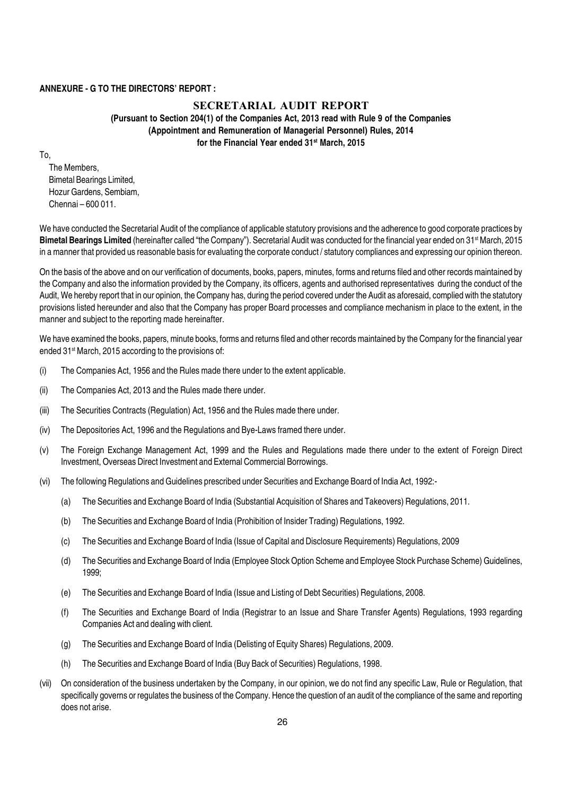#### ANNEXURE - G TO THE DIRECTORS' REPORT :

#### **SECRETARIAL AUDIT REPORT** (Pursuant to Section 204(1) of the Companies Act, 2013 read with Rule 9 of the Companies (Appointment and Remuneration of Managerial Personnel) Rules, 2014 for the Financial Year ended 31<sup>st</sup> March, 2015

To,

The Members, Bimetal Bearings Limited, Hozur Gardens, Sembiam, Chennai – 600 011.

We have conducted the Secretarial Audit of the compliance of applicable statutory provisions and the adherence to good corporate practices by Bimetal Bearings Limited (hereinafter called "the Company"). Secretarial Audit was conducted for the financial year ended on 31<sup>st</sup> March, 2015 in a manner that provided us reasonable basis for evaluating the corporate conduct / statutory compliances and expressing our opinion thereon.

On the basis of the above and on our verification of documents, books, papers, minutes, forms and returns filed and other records maintained by the Company and also the information provided by the Company, its officers, agents and authorised representatives during the conduct of the Audit, We hereby report that in our opinion, the Company has, during the period covered under the Audit as aforesaid, complied with the statutory provisions listed hereunder and also that the Company has proper Board processes and compliance mechanism in place to the extent, in the manner and subject to the reporting made hereinafter.

We have examined the books, papers, minute books, forms and returns filed and other records maintained by the Company for the financial year ended 31<sup>st</sup> March, 2015 according to the provisions of:

- (i) The Companies Act, 1956 and the Rules made there under to the extent applicable.
- (ii) The Companies Act, 2013 and the Rules made there under.
- (iii) The Securities Contracts (Regulation) Act, 1956 and the Rules made there under.
- (iv) The Depositories Act, 1996 and the Regulations and Bye-Laws framed there under.
- (v) The Foreign Exchange Management Act, 1999 and the Rules and Regulations made there under to the extent of Foreign Direct Investment, Overseas Direct Investment and External Commercial Borrowings.
- (vi) The following Regulations and Guidelines prescribed under Securities and Exchange Board of India Act, 1992:-
	- (a) The Securities and Exchange Board of India (Substantial Acquisition of Shares and Takeovers) Regulations, 2011.
	- (b) The Securities and Exchange Board of India (Prohibition of Insider Trading) Regulations, 1992.
	- (c) The Securities and Exchange Board of India (Issue of Capital and Disclosure Requirements) Regulations, 2009
	- (d) The Securities and Exchange Board of India (Employee Stock Option Scheme and Employee Stock Purchase Scheme) Guidelines, 1999;
	- (e) The Securities and Exchange Board of India (Issue and Listing of Debt Securities) Regulations, 2008.
	- (f) The Securities and Exchange Board of India (Registrar to an Issue and Share Transfer Agents) Regulations, 1993 regarding Companies Act and dealing with client.
	- (g) The Securities and Exchange Board of India (Delisting of Equity Shares) Regulations, 2009.
	- (h) The Securities and Exchange Board of India (Buy Back of Securities) Regulations, 1998.
- (vii) On consideration of the business undertaken by the Company, in our opinion, we do not find any specific Law, Rule or Regulation, that specifically governs or regulates the business of the Company. Hence the question of an audit of the compliance of the same and reporting does not arise.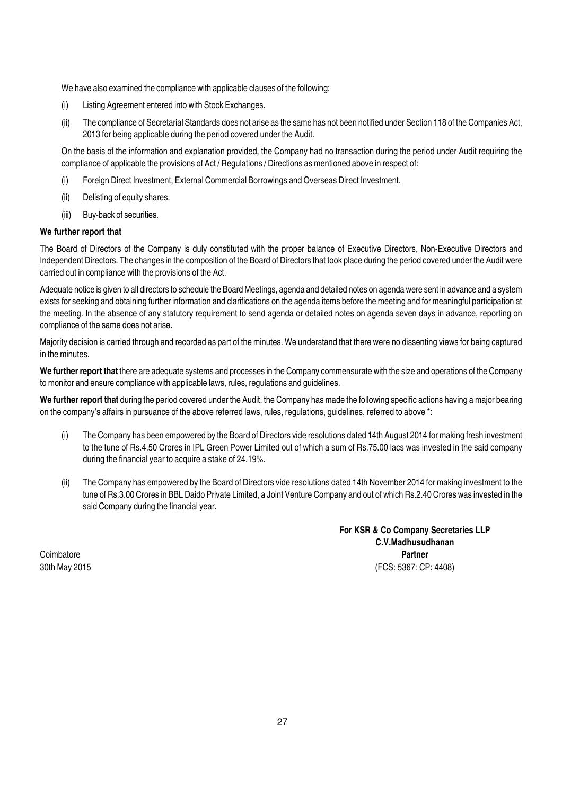We have also examined the compliance with applicable clauses of the following:

- (i) Listing Agreement entered into with Stock Exchanges.
- (ii) The compliance of Secretarial Standards does not arise as the same has not been notified under Section 118 of the Companies Act, 2013 for being applicable during the period covered under the Audit.

On the basis of the information and explanation provided, the Company had no transaction during the period under Audit requiring the compliance of applicable the provisions of Act / Regulations / Directions as mentioned above in respect of:

- (i) Foreign Direct Investment, External Commercial Borrowings and Overseas Direct Investment.
- (ii) Delisting of equity shares.
- (iii) Buy-back of securities.

#### We further report that

The Board of Directors of the Company is duly constituted with the proper balance of Executive Directors, Non-Executive Directors and Independent Directors. The changes in the composition of the Board of Directors that took place during the period covered under the Audit were carried out in compliance with the provisions of the Act.

Adequate notice is given to all directors to schedule the Board Meetings, agenda and detailed notes on agenda were sent in advance and a system exists for seeking and obtaining further information and clarifications on the agenda items before the meeting and for meaningful participation at the meeting. In the absence of any statutory requirement to send agenda or detailed notes on agenda seven days in advance, reporting on compliance of the same does not arise.

Majority decision is carried through and recorded as part of the minutes. We understand that there were no dissenting views for being captured in the minutes.

We further report that there are adequate systems and processes in the Company commensurate with the size and operations of the Company to monitor and ensure compliance with applicable laws, rules, regulations and guidelines.

We further report that during the period covered under the Audit, the Company has made the following specific actions having a major bearing on the company's affairs in pursuance of the above referred laws, rules, regulations, guidelines, referred to above \*:

- (i) The Company has been empowered by the Board of Directors vide resolutions dated 14th August 2014 for making fresh investment to the tune of Rs.4.50 Crores in IPL Green Power Limited out of which a sum of Rs.75.00 lacs was invested in the said company during the financial year to acquire a stake of 24.19%.
- (ii) The Company has empowered by the Board of Directors vide resolutions dated 14th November 2014 for making investment to the tune of Rs.3.00 Crores in BBL Daido Private Limited, a Joint Venture Company and out of which Rs.2.40 Crores was invested in the said Company during the financial year.

For KSR & Co Company Secretaries LLP C.V.Madhusudhanan Coimbatore **Partner** 30th May 2015 (FCS: 5367: CP: 4408)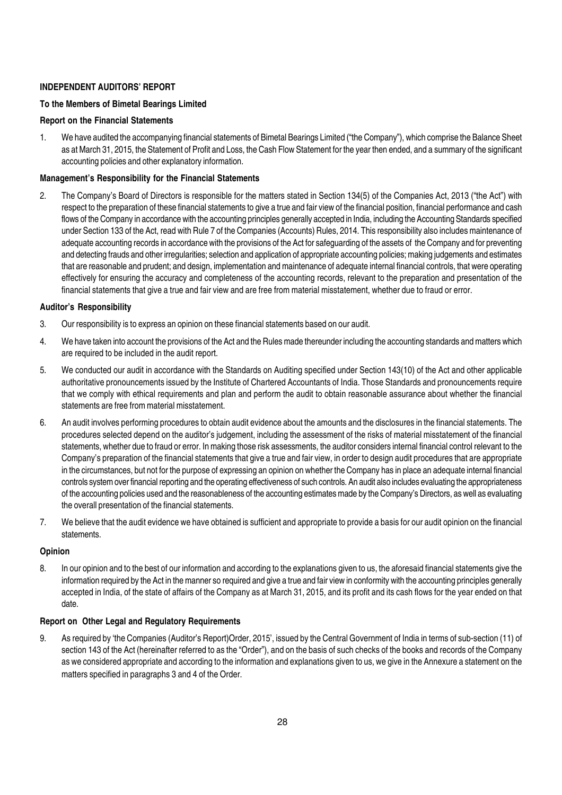#### INDEPENDENT AUDITORS' REPORT

#### To the Members of Bimetal Bearings Limited

#### Report on the Financial Statements

1. We have audited the accompanying financial statements of Bimetal Bearings Limited ("the Company"), which comprise the Balance Sheet as at March 31, 2015, the Statement of Profit and Loss, the Cash Flow Statement for the year then ended, and a summary of the significant accounting policies and other explanatory information.

#### Management's Responsibility for the Financial Statements

2. The Company's Board of Directors is responsible for the matters stated in Section 134(5) of the Companies Act, 2013 ("the Act") with respect to the preparation of these financial statements to give a true and fair view of the financial position, financial performance and cash flows of the Company in accordance with the accounting principles generally accepted in India, including the Accounting Standards specified under Section 133 of the Act, read with Rule 7 of the Companies (Accounts) Rules, 2014. This responsibility also includes maintenance of adequate accounting records in accordance with the provisions of the Act for safeguarding of the assets of the Company and for preventing and detecting frauds and other irregularities; selection and application of appropriate accounting policies; making judgements and estimates that are reasonable and prudent; and design, implementation and maintenance of adequate internal financial controls, that were operating effectively for ensuring the accuracy and completeness of the accounting records, relevant to the preparation and presentation of the financial statements that give a true and fair view and are free from material misstatement, whether due to fraud or error.

#### Auditor's Responsibility

- 3. Our responsibility is to express an opinion on these financial statements based on our audit.
- 4. We have taken into account the provisions of the Act and the Rules made thereunder including the accounting standards and matters which are required to be included in the audit report.
- 5. We conducted our audit in accordance with the Standards on Auditing specified under Section 143(10) of the Act and other applicable authoritative pronouncements issued by the Institute of Chartered Accountants of India. Those Standards and pronouncements require that we comply with ethical requirements and plan and perform the audit to obtain reasonable assurance about whether the financial statements are free from material misstatement.
- 6. An audit involves performing procedures to obtain audit evidence about the amounts and the disclosures in the financial statements. The procedures selected depend on the auditor's judgement, including the assessment of the risks of material misstatement of the financial statements, whether due to fraud or error. In making those risk assessments, the auditor considers internal financial control relevant to the Company's preparation of the financial statements that give a true and fair view, in order to design audit procedures that are appropriate in the circumstances, but not for the purpose of expressing an opinion on whether the Company has in place an adequate internal financial controls system over financial reporting and the operating effectiveness of such controls. An audit also includes evaluating the appropriateness of the accounting policies used and the reasonableness of the accounting estimates made by the Company's Directors, as well as evaluating the overall presentation of the financial statements.
- 7. We believe that the audit evidence we have obtained is sufficient and appropriate to provide a basis for our audit opinion on the financial statements.

#### Opinion

8. In our opinion and to the best of our information and according to the explanations given to us, the aforesaid financial statements give the information required by the Act in the manner so required and give a true and fair view in conformity with the accounting principles generally accepted in India, of the state of affairs of the Company as at March 31, 2015, and its profit and its cash flows for the year ended on that date.

#### Report on Other Legal and Regulatory Requirements

9. As required by 'the Companies (Auditor's Report)Order, 2015', issued by the Central Government of India in terms of sub-section (11) of section 143 of the Act (hereinafter referred to as the "Order"), and on the basis of such checks of the books and records of the Company as we considered appropriate and according to the information and explanations given to us, we give in the Annexure a statement on the matters specified in paragraphs 3 and 4 of the Order.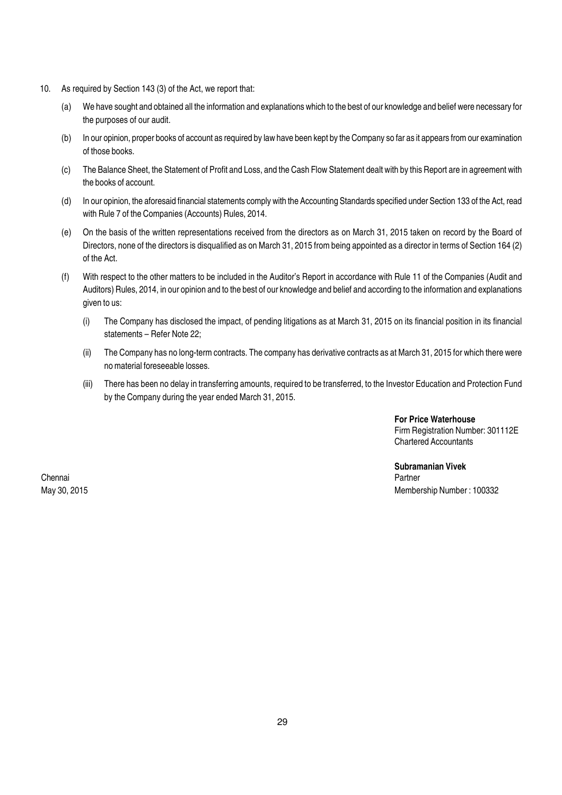- 10. As required by Section 143 (3) of the Act, we report that:
	- (a) We have sought and obtained all the information and explanations which to the best of our knowledge and belief were necessary for the purposes of our audit.
	- (b) In our opinion, proper books of account as required by law have been kept by the Company so far as it appears from our examination of those books.
	- (c) The Balance Sheet, the Statement of Profit and Loss, and the Cash Flow Statement dealt with by this Report are in agreement with the books of account.
	- (d) In our opinion, the aforesaid financial statements comply with the Accounting Standards specified under Section 133 of the Act, read with Rule 7 of the Companies (Accounts) Rules, 2014.
	- (e) On the basis of the written representations received from the directors as on March 31, 2015 taken on record by the Board of Directors, none of the directors is disqualified as on March 31, 2015 from being appointed as a director in terms of Section 164 (2) of the Act.
	- (f) With respect to the other matters to be included in the Auditor's Report in accordance with Rule 11 of the Companies (Audit and Auditors) Rules, 2014, in our opinion and to the best of our knowledge and belief and according to the information and explanations given to us:
		- (i) The Company has disclosed the impact, of pending litigations as at March 31, 2015 on its financial position in its financial statements – Refer Note 22;
		- (ii) The Company has no long-term contracts. The company has derivative contracts as at March 31, 2015 for which there were no material foreseeable losses.
		- (iii) There has been no delay in transferring amounts, required to be transferred, to the Investor Education and Protection Fund by the Company during the year ended March 31, 2015.

For Price Waterhouse Firm Registration Number: 301112E Chartered Accountants

Subramanian Vivek May 30, 2015 Membership Number : 100332

Chennai Partner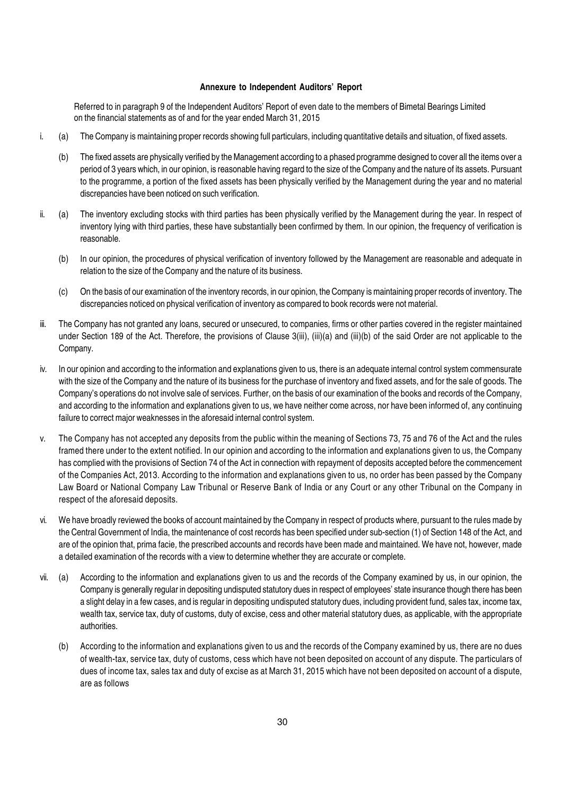#### Annexure to Independent Auditors' Report

Referred to in paragraph 9 of the Independent Auditors' Report of even date to the members of Bimetal Bearings Limited on the financial statements as of and for the year ended March 31, 2015

- i. (a) The Company is maintaining proper records showing full particulars, including quantitative details and situation, of fixed assets.
	- (b) The fixed assets are physically verified by the Management according to a phased programme designed to cover all the items over a period of 3 years which, in our opinion, is reasonable having regard to the size of the Company and the nature of its assets. Pursuant to the programme, a portion of the fixed assets has been physically verified by the Management during the year and no material discrepancies have been noticed on such verification.
- ii. (a) The inventory excluding stocks with third parties has been physically verified by the Management during the year. In respect of inventory lying with third parties, these have substantially been confirmed by them. In our opinion, the frequency of verification is reasonable.
	- (b) In our opinion, the procedures of physical verification of inventory followed by the Management are reasonable and adequate in relation to the size of the Company and the nature of its business.
	- (c) On the basis of our examination of the inventory records, in our opinion, the Company is maintaining proper records of inventory. The discrepancies noticed on physical verification of inventory as compared to book records were not material.
- iii. The Company has not granted any loans, secured or unsecured, to companies, firms or other parties covered in the register maintained under Section 189 of the Act. Therefore, the provisions of Clause 3(iii), (iii)(a) and (iii)(b) of the said Order are not applicable to the Company.
- iv. In our opinion and according to the information and explanations given to us, there is an adequate internal control system commensurate with the size of the Company and the nature of its business for the purchase of inventory and fixed assets, and for the sale of goods. The Company's operations do not involve sale of services. Further, on the basis of our examination of the books and records of the Company, and according to the information and explanations given to us, we have neither come across, nor have been informed of, any continuing failure to correct major weaknesses in the aforesaid internal control system.
- v. The Company has not accepted any deposits from the public within the meaning of Sections 73, 75 and 76 of the Act and the rules framed there under to the extent notified. In our opinion and according to the information and explanations given to us, the Company has complied with the provisions of Section 74 of the Act in connection with repayment of deposits accepted before the commencement of the Companies Act, 2013. According to the information and explanations given to us, no order has been passed by the Company Law Board or National Company Law Tribunal or Reserve Bank of India or any Court or any other Tribunal on the Company in respect of the aforesaid deposits.
- vi. We have broadly reviewed the books of account maintained by the Company in respect of products where, pursuant to the rules made by the Central Government of India, the maintenance of cost records has been specified under sub-section (1) of Section 148 of the Act, and are of the opinion that, prima facie, the prescribed accounts and records have been made and maintained. We have not, however, made a detailed examination of the records with a view to determine whether they are accurate or complete.
- vii. (a) According to the information and explanations given to us and the records of the Company examined by us, in our opinion, the Company is generally regular in depositing undisputed statutory dues in respect of employees' state insurance though there has been a slight delay in a few cases, and is regular in depositing undisputed statutory dues, including provident fund, sales tax, income tax, wealth tax, service tax, duty of customs, duty of excise, cess and other material statutory dues, as applicable, with the appropriate authorities.
	- (b) According to the information and explanations given to us and the records of the Company examined by us, there are no dues of wealth-tax, service tax, duty of customs, cess which have not been deposited on account of any dispute. The particulars of dues of income tax, sales tax and duty of excise as at March 31, 2015 which have not been deposited on account of a dispute, are as follows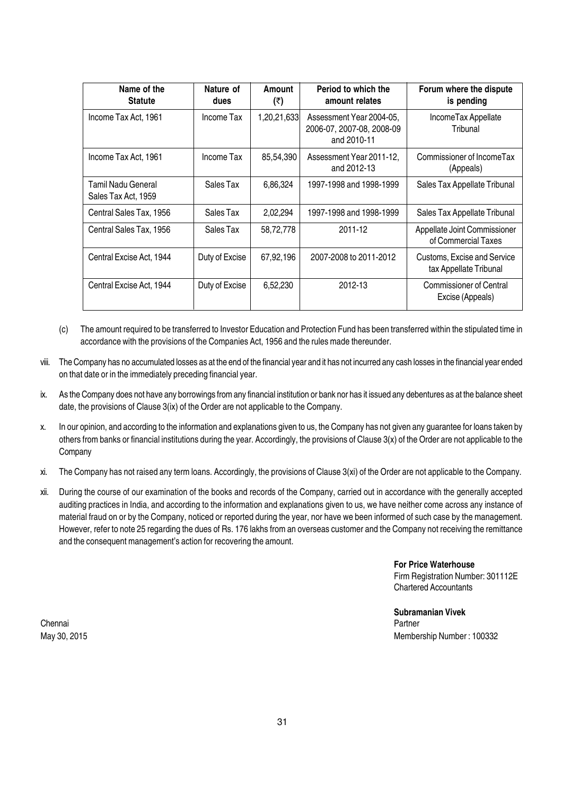| Name of the<br><b>Statute</b>             | Nature of<br>dues | Amount<br>(₹) | Period to which the<br>amount relates                                | Forum where the dispute<br>is pending                 |
|-------------------------------------------|-------------------|---------------|----------------------------------------------------------------------|-------------------------------------------------------|
| Income Tax Act, 1961                      | Income Tax        | 1,20,21,633   | Assessment Year 2004-05,<br>2006-07, 2007-08, 2008-09<br>and 2010-11 | IncomeTax Appellate<br>Tribunal                       |
| Income Tax Act, 1961                      | Income Tax        | 85,54,390     | Assessment Year 2011-12,<br>and 2012-13                              | Commissioner of IncomeTax<br>(Appeals)                |
| Tamil Nadu General<br>Sales Tax Act, 1959 | Sales Tax         | 6,86,324      | 1997-1998 and 1998-1999                                              | Sales Tax Appellate Tribunal                          |
| Central Sales Tax, 1956                   | Sales Tax         | 2,02,294      | 1997-1998 and 1998-1999                                              | Sales Tax Appellate Tribunal                          |
| Central Sales Tax, 1956                   | Sales Tax         | 58,72,778     | 2011-12                                                              | Appellate Joint Commissioner<br>of Commercial Taxes   |
| Central Excise Act, 1944                  | Duty of Excise    | 67,92,196     | 2007-2008 to 2011-2012                                               | Customs, Excise and Service<br>tax Appellate Tribunal |
| Central Excise Act, 1944                  | Duty of Excise    | 6,52,230      | 2012-13                                                              | <b>Commissioner of Central</b><br>Excise (Appeals)    |

- (c) The amount required to be transferred to Investor Education and Protection Fund has been transferred within the stipulated time in accordance with the provisions of the Companies Act, 1956 and the rules made thereunder.
- viii. The Company has no accumulated losses as at the end of the financial year and it has not incurred any cash losses in the financial year ended on that date or in the immediately preceding financial year.
- ix. As the Company does not have any borrowings from any financial institution or bank nor has it issued any debentures as at the balance sheet date, the provisions of Clause 3(ix) of the Order are not applicable to the Company.
- x. In our opinion, and according to the information and explanations given to us, the Company has not given any guarantee for loans taken by others from banks or financial institutions during the year. Accordingly, the provisions of Clause 3(x) of the Order are not applicable to the **Company**
- xi. The Company has not raised any term loans. Accordingly, the provisions of Clause 3(xi) of the Order are not applicable to the Company.
- xii. During the course of our examination of the books and records of the Company, carried out in accordance with the generally accepted auditing practices in India, and according to the information and explanations given to us, we have neither come across any instance of material fraud on or by the Company, noticed or reported during the year, nor have we been informed of such case by the management. However, refer to note 25 regarding the dues of Rs. 176 lakhs from an overseas customer and the Company not receiving the remittance and the consequent management's action for recovering the amount.

For Price Waterhouse Firm Registration Number: 301112E Chartered Accountants

Subramanian Vivek May 30, 2015 Membership Number : 100332

Chennai Partner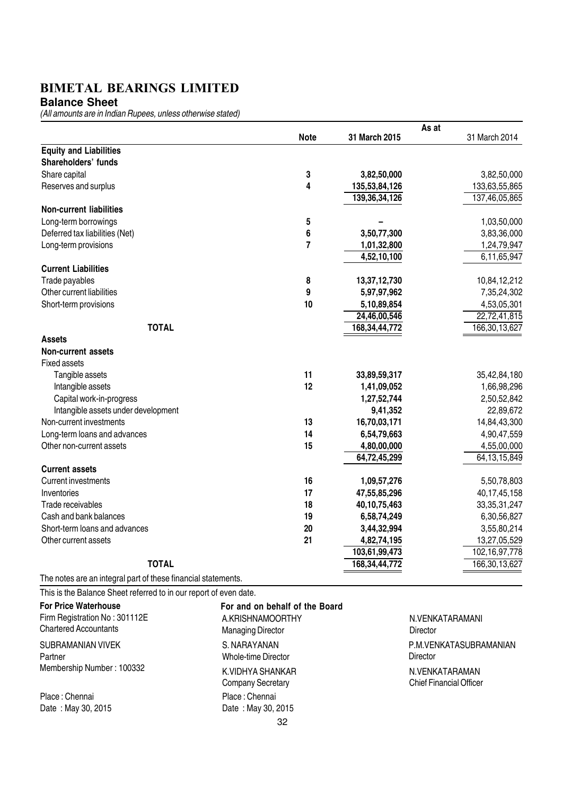**Balance Sheet**

(All amounts are in Indian Rupees, unless otherwise stated)

|                                                               |                | As at            |                  |
|---------------------------------------------------------------|----------------|------------------|------------------|
|                                                               | <b>Note</b>    | 31 March 2015    | 31 March 2014    |
| <b>Equity and Liabilities</b>                                 |                |                  |                  |
| Shareholders' funds                                           |                |                  |                  |
| Share capital                                                 | 3              | 3,82,50,000      | 3,82,50,000      |
| Reserves and surplus                                          | 4              | 135,53,84,126    | 133,63,55,865    |
|                                                               |                | 139,36,34,126    | 137,46,05,865    |
| <b>Non-current liabilities</b>                                |                |                  |                  |
| Long-term borrowings                                          | 5              |                  | 1,03,50,000      |
| Deferred tax liabilities (Net)                                | 6              | 3,50,77,300      | 3,83,36,000      |
| Long-term provisions                                          | $\overline{7}$ | 1,01,32,800      | 1,24,79,947      |
|                                                               |                | 4,52,10,100      | 6,11,65,947      |
| <b>Current Liabilities</b>                                    |                |                  |                  |
| Trade payables                                                | 8              | 13,37,12,730     | 10,84,12,212     |
| Other current liabilities                                     | 9              | 5,97,97,962      | 7,35,24,302      |
| Short-term provisions                                         | 10             | 5,10,89,854      | 4,53,05,301      |
|                                                               |                | 24,46,00,546     | 22,72,41,815     |
| <b>TOTAL</b>                                                  |                | 168, 34, 44, 772 | 166,30,13,627    |
| <b>Assets</b>                                                 |                |                  |                  |
| <b>Non-current assets</b>                                     |                |                  |                  |
| <b>Fixed assets</b>                                           |                |                  |                  |
| Tangible assets                                               | 11             | 33,89,59,317     | 35,42,84,180     |
| Intangible assets                                             | 12             | 1,41,09,052      | 1,66,98,296      |
| Capital work-in-progress                                      |                | 1,27,52,744      | 2,50,52,842      |
| Intangible assets under development                           |                | 9,41,352         | 22,89,672        |
| Non-current investments                                       | 13             | 16,70,03,171     | 14,84,43,300     |
| Long-term loans and advances                                  | 14             | 6,54,79,663      | 4,90,47,559      |
| Other non-current assets                                      | 15             | 4,80,00,000      | 4,55,00,000      |
|                                                               |                | 64,72,45,299     | 64, 13, 15, 849  |
| <b>Current assets</b>                                         |                |                  |                  |
| <b>Current investments</b>                                    | 16             | 1,09,57,276      | 5,50,78,803      |
| Inventories                                                   | 17             | 47,55,85,296     | 40, 17, 45, 158  |
| Trade receivables                                             | 18             | 40, 10, 75, 463  | 33, 35, 31, 247  |
| Cash and bank balances                                        | 19             | 6,58,74,249      | 6,30,56,827      |
| Short-term loans and advances                                 | 20             | 3,44,32,994      | 3,55,80,214      |
| Other current assets                                          | 21             | 4,82,74,195      | 13,27,05,529     |
|                                                               |                | 103,61,99,473    | 102, 16, 97, 778 |
| <b>TOTAL</b>                                                  |                | 168, 34, 44, 772 | 166, 30, 13, 627 |
| The notes are an integral part of these financial statements. |                |                  |                  |

This is the Balance Sheet referred to in our report of even date.

| <b>For Price Waterhouse</b><br>Firm Registration No: 301112E<br><b>Chartered Accountants</b> | For and on behalf of the Board<br>A.KRISHNAMOORTHY<br><b>Managing Director</b> |
|----------------------------------------------------------------------------------------------|--------------------------------------------------------------------------------|
| <b>SUBRAMANIAN VIVEK</b><br>Partner                                                          | S. NARAYANAN<br>Whole-time Director                                            |
| Membership Number: 100332                                                                    | K. VIDHYA SHANKAR<br><b>Company Secretary</b>                                  |
| Place: Chennai                                                                               | Place: Chennai                                                                 |
| Date: May 30, 2015                                                                           | Date: May 30, 2015                                                             |
|                                                                                              | 32                                                                             |

N.VENKATARAMANI Director N.VENKATARAMAN Chief Financial Officer P.M.VENKATASUBRAMANIAN **Director**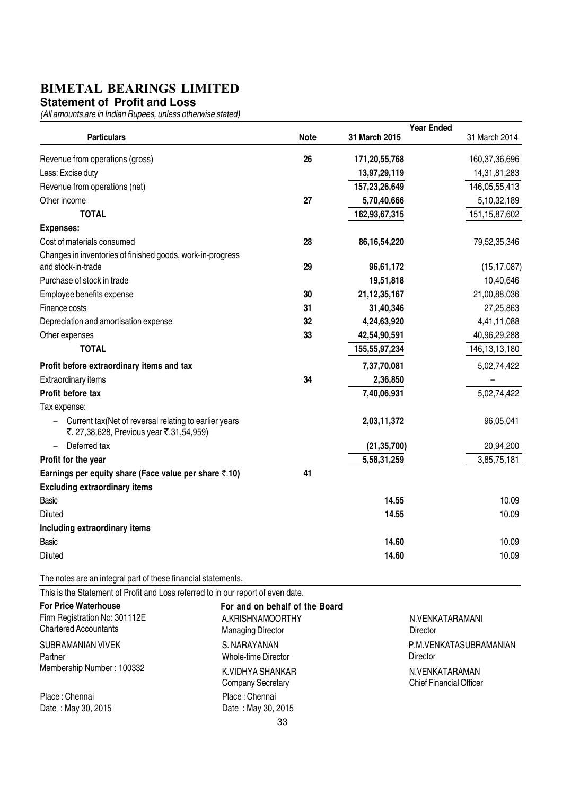#### **Statement of Profit and Loss**

(All amounts are in Indian Rupees, unless otherwise stated)

|                                                                                                    |             |                  | <b>Year Ended</b> |
|----------------------------------------------------------------------------------------------------|-------------|------------------|-------------------|
| <b>Particulars</b>                                                                                 | <b>Note</b> | 31 March 2015    | 31 March 2014     |
| Revenue from operations (gross)                                                                    | 26          | 171,20,55,768    | 160,37,36,696     |
| Less: Excise duty                                                                                  |             | 13,97,29,119     | 14,31,81,283      |
| Revenue from operations (net)                                                                      |             | 157,23,26,649    | 146,05,55,413     |
| Other income                                                                                       | 27          | 5,70,40,666      | 5,10,32,189       |
| <b>TOTAL</b>                                                                                       |             | 162,93,67,315    | 151, 15, 87, 602  |
| <b>Expenses:</b>                                                                                   |             |                  |                   |
| Cost of materials consumed                                                                         | 28          | 86, 16, 54, 220  | 79,52,35,346      |
| Changes in inventories of finished goods, work-in-progress                                         |             |                  |                   |
| and stock-in-trade                                                                                 | 29          | 96,61,172        | (15, 17, 087)     |
| Purchase of stock in trade                                                                         |             | 19,51,818        | 10,40,646         |
| Employee benefits expense                                                                          | 30          | 21, 12, 35, 167  | 21,00,88,036      |
| Finance costs                                                                                      | 31          | 31,40,346        | 27,25,863         |
| Depreciation and amortisation expense                                                              | 32          | 4,24,63,920      | 4,41,11,088       |
| Other expenses                                                                                     | 33          | 42,54,90,591     | 40,96,29,288      |
| <b>TOTAL</b>                                                                                       |             | 155, 55, 97, 234 | 146, 13, 13, 180  |
| Profit before extraordinary items and tax                                                          |             | 7,37,70,081      | 5,02,74,422       |
| Extraordinary items                                                                                | 34          | 2,36,850         |                   |
| Profit before tax                                                                                  |             | 7,40,06,931      | 5,02,74,422       |
| Tax expense:                                                                                       |             |                  |                   |
| Current tax (Net of reversal relating to earlier years<br>₹. 27,38,628, Previous year ₹.31,54,959) |             | 2,03,11,372      | 96,05,041         |
| Deferred tax<br>-                                                                                  |             | (21, 35, 700)    | 20,94,200         |
| Profit for the year                                                                                |             | 5,58,31,259      | 3,85,75,181       |
| Earnings per equity share (Face value per share ₹.10)                                              | 41          |                  |                   |
| <b>Excluding extraordinary items</b>                                                               |             |                  |                   |
| <b>Basic</b>                                                                                       |             | 14.55            | 10.09             |
| <b>Diluted</b>                                                                                     |             | 14.55            | 10.09             |
| Including extraordinary items                                                                      |             |                  |                   |
| Basic                                                                                              |             | 14.60            | 10.09             |
| <b>Diluted</b>                                                                                     |             | 14.60            | 10.09             |
| The notes are an integral part of these financial statements.                                      |             |                  |                   |
| This is the Statement of Profit and Loss referred to in our report of even date.                   |             |                  |                   |

33 For and on behalf of the Board For Price Waterhouse Firm Registration No: 301112E Chartered Accountants A.KRISHNAMOORTHY Managing Director S. NARAYANAN Whole-time Director K.VIDHYA SHANKAR Company Secretary SUBRAMANIAN VIVEK Partner Membership Number : 100332 Place : Chennai Date : May 30, 2015 Place : Chennai Date : May 30, 2015

N.VENKATARAMANI **Director** N.VENKATARAMAN Chief Financial Officer P.M.VENKATASUBRAMANIAN **Director**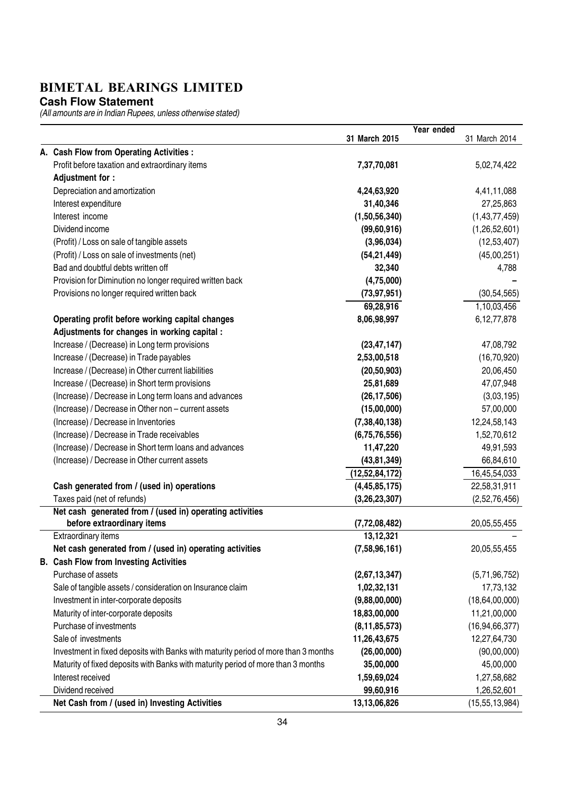**Cash Flow Statement**

|                                                                                    |                   | Year ended |                   |
|------------------------------------------------------------------------------------|-------------------|------------|-------------------|
|                                                                                    | 31 March 2015     |            | 31 March 2014     |
| A. Cash Flow from Operating Activities :                                           |                   |            |                   |
| Profit before taxation and extraordinary items                                     | 7,37,70,081       |            | 5,02,74,422       |
| Adjustment for :                                                                   |                   |            |                   |
| Depreciation and amortization                                                      | 4,24,63,920       |            | 4,41,11,088       |
| Interest expenditure                                                               | 31,40,346         |            | 27,25,863         |
| Interest income                                                                    | (1,50,56,340)     |            | (1,43,77,459)     |
| Dividend income                                                                    | (99, 60, 916)     |            | (1,26,52,601)     |
| (Profit) / Loss on sale of tangible assets                                         | (3,96,034)        |            | (12, 53, 407)     |
| (Profit) / Loss on sale of investments (net)                                       | (54, 21, 449)     |            | (45,00,251)       |
| Bad and doubtful debts written off                                                 | 32,340            |            | 4,788             |
| Provision for Diminution no longer required written back                           | (4,75,000)        |            |                   |
| Provisions no longer required written back                                         | (73, 97, 951)     |            | (30, 54, 565)     |
|                                                                                    | 69,28,916         |            | 1,10,03,456       |
| Operating profit before working capital changes                                    | 8,06,98,997       |            | 6,12,77,878       |
| Adjustments for changes in working capital :                                       |                   |            |                   |
| Increase / (Decrease) in Long term provisions                                      | (23, 47, 147)     |            | 47,08,792         |
| Increase / (Decrease) in Trade payables                                            | 2,53,00,518       |            | (16, 70, 920)     |
| Increase / (Decrease) in Other current liabilities                                 | (20, 50, 903)     |            | 20,06,450         |
| Increase / (Decrease) in Short term provisions                                     | 25,81,689         |            | 47,07,948         |
| (Increase) / Decrease in Long term loans and advances                              | (26, 17, 506)     |            | (3,03,195)        |
| (Increase) / Decrease in Other non - current assets                                | (15,00,000)       |            | 57,00,000         |
| (Increase) / Decrease in Inventories                                               | (7, 38, 40, 138)  |            | 12,24,58,143      |
| (Increase) / Decrease in Trade receivables                                         | (6,75,76,556)     |            | 1,52,70,612       |
| (Increase) / Decrease in Short term loans and advances                             | 11,47,220         |            | 49,91,593         |
| (Increase) / Decrease in Other current assets                                      | (43, 81, 349)     |            | 66,84,610         |
|                                                                                    | (12, 52, 84, 172) |            | 16,45,54,033      |
| Cash generated from / (used in) operations                                         | (4, 45, 85, 175)  |            | 22,58,31,911      |
| Taxes paid (net of refunds)                                                        | (3,26,23,307)     |            | (2,52,76,456)     |
| Net cash generated from / (used in) operating activities                           |                   |            |                   |
| before extraordinary items                                                         | (7, 72, 08, 482)  |            | 20,05,55,455      |
| Extraordinary items                                                                | 13,12,321         |            |                   |
| Net cash generated from / (used in) operating activities                           | (7,58,96,161)     |            | 20,05,55,455      |
| <b>B.</b> Cash Flow from Investing Activities                                      |                   |            |                   |
| Purchase of assets                                                                 | (2,67,13,347)     |            | (5,71,96,752)     |
| Sale of tangible assets / consideration on Insurance claim                         | 1,02,32,131       |            | 17,73,132         |
| Investment in inter-corporate deposits                                             | (9,88,00,000)     |            | (18, 64, 00, 000) |
| Maturity of inter-corporate deposits                                               | 18,83,00,000      |            | 11,21,00,000      |
| Purchase of investments                                                            | (8, 11, 85, 573)  |            | (16, 94, 66, 377) |
| Sale of investments                                                                | 11,26,43,675      |            | 12,27,64,730      |
| Investment in fixed deposits with Banks with maturity period of more than 3 months | (26,00,000)       |            | (90,00,000)       |
| Maturity of fixed deposits with Banks with maturity period of more than 3 months   | 35,00,000         |            | 45,00,000         |
| Interest received                                                                  | 1,59,69,024       |            | 1,27,58,682       |
| Dividend received                                                                  | 99,60,916         |            | 1,26,52,601       |
| Net Cash from / (used in) Investing Activities                                     | 13,13,06,826      |            | (15, 55, 13, 984) |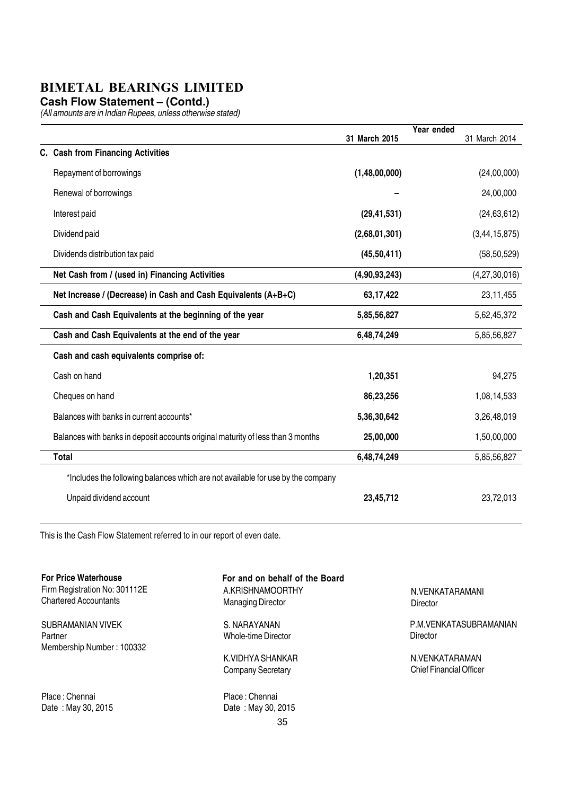**Cash Flow Statement – (Contd.)**

(All amounts are in Indian Rupees, unless otherwise stated)

|                                                                                 |               | Year ended |                  |
|---------------------------------------------------------------------------------|---------------|------------|------------------|
| C. Cash from Financing Activities                                               | 31 March 2015 |            | 31 March 2014    |
|                                                                                 |               |            |                  |
| Repayment of borrowings                                                         | (1,48,00,000) |            | (24,00,000)      |
| Renewal of borrowings                                                           |               |            | 24,00,000        |
| Interest paid                                                                   | (29, 41, 531) |            | (24, 63, 612)    |
| Dividend paid                                                                   | (2,68,01,301) |            | (3, 44, 15, 875) |
| Dividends distribution tax paid                                                 | (45,50,411)   |            | (58, 50, 529)    |
| Net Cash from / (used in) Financing Activities                                  | (4,90,93,243) |            | (4, 27, 30, 016) |
| Net Increase / (Decrease) in Cash and Cash Equivalents (A+B+C)                  | 63,17,422     |            | 23,11,455        |
| Cash and Cash Equivalents at the beginning of the year                          | 5,85,56,827   |            | 5,62,45,372      |
| Cash and Cash Equivalents at the end of the year                                | 6,48,74,249   |            | 5,85,56,827      |
| Cash and cash equivalents comprise of:                                          |               |            |                  |
| Cash on hand                                                                    | 1,20,351      |            | 94,275           |
| Cheques on hand                                                                 | 86,23,256     |            | 1,08,14,533      |
| Balances with banks in current accounts*                                        | 5,36,30,642   |            | 3,26,48,019      |
| Balances with banks in deposit accounts original maturity of less than 3 months | 25,00,000     |            | 1,50,00,000      |
| <b>Total</b>                                                                    | 6,48,74,249   |            | 5,85,56,827      |
| *Includes the following balances which are not available for use by the company |               |            |                  |
| Unpaid dividend account                                                         | 23,45,712     |            | 23,72,013        |

This is the Cash Flow Statement referred to in our report of even date.

| <b>For Price Waterhouse</b><br>Firm Registration No: 301112E | For and on behalf of the Board<br>A.KRISHNAMOORTHY | N.VENKATARAMANI                |
|--------------------------------------------------------------|----------------------------------------------------|--------------------------------|
| <b>Chartered Accountants</b>                                 | <b>Managing Director</b>                           | Director                       |
| SUBRAMANIAN VIVEK                                            | S. NARAYANAN                                       | P.M.VENKATASUBRAMANIAN         |
| Partner                                                      | Whole-time Director                                | Director                       |
| Membership Number: 100332                                    |                                                    |                                |
|                                                              | K.VIDHYA SHANKAR                                   | N.VENKATARAMAN                 |
|                                                              | <b>Company Secretary</b>                           | <b>Chief Financial Officer</b> |
| Place: Chennai                                               | Place: Chennai                                     |                                |
| Date: May 30, 2015                                           | Date: May 30, 2015                                 |                                |
|                                                              | 35                                                 |                                |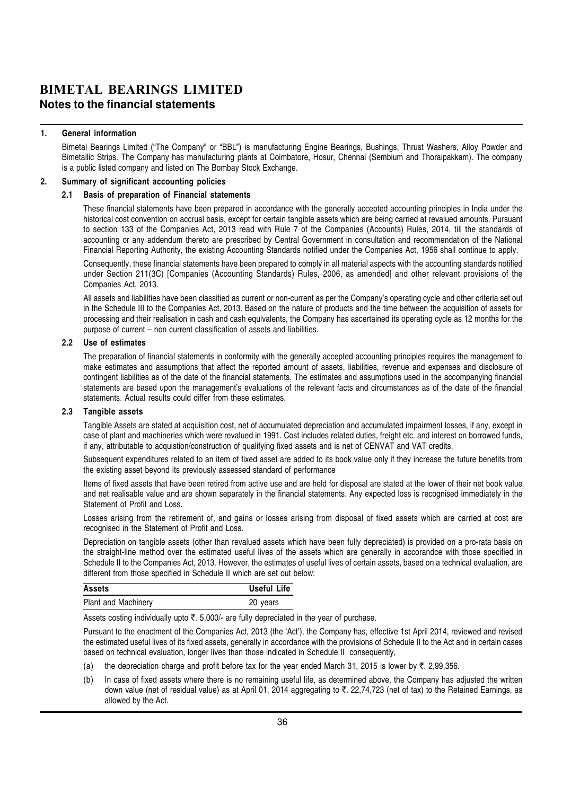#### 1. General information

Bimetal Bearings Limited ("The Company" or "BBL") is manufacturing Engine Bearings, Bushings, Thrust Washers, Alloy Powder and Bimetallic Strips. The Company has manufacturing plants at Coimbatore, Hosur, Chennai (Sembium and Thoraipakkam). The company is a public listed company and listed on The Bombay Stock Exchange.

#### 2. Summary of significant accounting policies

#### 2.1 Basis of preparation of Financial statements

These financial statements have been prepared in accordance with the generally accepted accounting principles in India under the historical cost convention on accrual basis, except for certain tangible assets which are being carried at revalued amounts. Pursuant to section 133 of the Companies Act, 2013 read with Rule 7 of the Companies (Accounts) Rules, 2014, till the standards of accounting or any addendum thereto are prescribed by Central Government in consultation and recommendation of the National Financial Reporting Authority, the existing Accounting Standards notified under the Companies Act, 1956 shall continue to apply.

Consequently, these financial statements have been prepared to comply in all material aspects with the accounting standards notified under Section 211(3C) [Companies (Accounting Standards) Rules, 2006, as amended] and other relevant provisions of the Companies Act, 2013.

All assets and liabilities have been classified as current or non-current as per the Company's operating cycle and other criteria set out in the Schedule III to the Companies Act, 2013. Based on the nature of products and the time between the acquisition of assets for processing and their realisation in cash and cash equivalents, the Company has ascertained its operating cycle as 12 months for the purpose of current – non current classification of assets and liabilities.

#### 2.2 Use of estimates

The preparation of financial statements in conformity with the generally accepted accounting principles requires the management to make estimates and assumptions that affect the reported amount of assets, liabilities, revenue and expenses and disclosure of contingent liabilities as of the date of the financial statements. The estimates and assumptions used in the accompanying financial statements are based upon the management's evaluations of the relevant facts and circumstances as of the date of the financial statements. Actual results could differ from these estimates.

#### 2.3 Tangible assets

Tangible Assets are stated at acquisition cost, net of accumulated depreciation and accumulated impairment losses, if any, except in case of plant and machineries which were revalued in 1991. Cost includes related duties, freight etc. and interest on borrowed funds, if any, attributable to acquistion/construction of qualifying fixed assets and is net of CENVAT and VAT credits.

Subsequent expenditures related to an item of fixed asset are added to its book value only if they increase the future benefits from the existing asset beyond its previously assessed standard of performance

Items of fixed assets that have been retired from active use and are held for disposal are stated at the lower of their net book value and net realisable value and are shown separately in the financial statements. Any expected loss is recognised immediately in the Statement of Profit and Loss.

Losses arising from the retirement of, and gains or losses arising from disposal of fixed assets which are carried at cost are recognised in the Statement of Profit and Loss.

Depreciation on tangible assets (other than revalued assets which have been fully depreciated) is provided on a pro-rata basis on the straight-line method over the estimated useful lives of the assets which are generally in accorandce with those specified in Schedule II to the Companies Act, 2013. However, the estimates of useful lives of certain assets, based on a technical evaluation, are different from those specified in Schedule II which are set out below:

| Assets                     | Useful Life |
|----------------------------|-------------|
| <b>Plant and Machinery</b> | 20 years    |

Assets costing individually upto  $\bar{\tau}$ . 5,000/- are fully depreciated in the year of purchase.

Pursuant to the enactment of the Companies Act, 2013 (the 'Act'), the Company has, effective 1st April 2014, reviewed and revised the estimated useful lives of its fixed assets, generally in accordance with the provisions of Schedule II to the Act and in certain cases based on technical evaluation, longer lives than those indicated in Schedule II consequently,

- (a) the depreciation charge and profit before tax for the year ended March 31, 2015 is lower by  $\overline{\tau}$ . 2,99,356.
- (b) In case of fixed assets where there is no remaining useful life, as determined above, the Company has adjusted the written down value (net of residual value) as at April 01, 2014 aggregating to  $\bar{\tau}$ , 22,74,723 (net of tax) to the Retained Earnings, as allowed by the Act.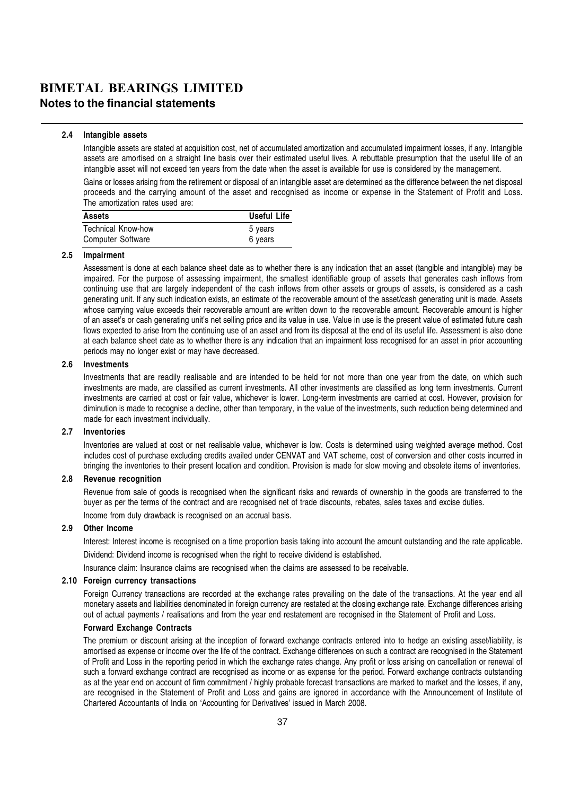#### 2.4 Intangible assets

Intangible assets are stated at acquisition cost, net of accumulated amortization and accumulated impairment losses, if any. Intangible assets are amortised on a straight line basis over their estimated useful lives. A rebuttable presumption that the useful life of an intangible asset will not exceed ten years from the date when the asset is available for use is considered by the management.

Gains or losses arising from the retirement or disposal of an intangible asset are determined as the difference between the net disposal proceeds and the carrying amount of the asset and recognised as income or expense in the Statement of Profit and Loss. The amortization rates used are:

| <b>Assets</b>             | Useful Life |
|---------------------------|-------------|
| <b>Technical Know-how</b> | 5 years     |
| Computer Software         | 6 years     |

#### 2.5 Impairment

Assessment is done at each balance sheet date as to whether there is any indication that an asset (tangible and intangible) may be impaired. For the purpose of assessing impairment, the smallest identifiable group of assets that generates cash inflows from continuing use that are largely independent of the cash inflows from other assets or groups of assets, is considered as a cash generating unit. If any such indication exists, an estimate of the recoverable amount of the asset/cash generating unit is made. Assets whose carrying value exceeds their recoverable amount are written down to the recoverable amount. Recoverable amount is higher of an asset's or cash generating unit's net selling price and its value in use. Value in use is the present value of estimated future cash flows expected to arise from the continuing use of an asset and from its disposal at the end of its useful life. Assessment is also done at each balance sheet date as to whether there is any indication that an impairment loss recognised for an asset in prior accounting periods may no longer exist or may have decreased.

#### 2.6 Investments

Investments that are readily realisable and are intended to be held for not more than one year from the date, on which such investments are made, are classified as current investments. All other investments are classified as long term investments. Current investments are carried at cost or fair value, whichever is lower. Long-term investments are carried at cost. However, provision for diminution is made to recognise a decline, other than temporary, in the value of the investments, such reduction being determined and made for each investment individually.

#### 2.7 Inventories

Inventories are valued at cost or net realisable value, whichever is low. Costs is determined using weighted average method. Cost includes cost of purchase excluding credits availed under CENVAT and VAT scheme, cost of conversion and other costs incurred in bringing the inventories to their present location and condition. Provision is made for slow moving and obsolete items of inventories.

#### 2.8 Revenue recognition

Revenue from sale of goods is recognised when the significant risks and rewards of ownership in the goods are transferred to the buyer as per the terms of the contract and are recognised net of trade discounts, rebates, sales taxes and excise duties. Income from duty drawback is recognised on an accrual basis.

#### 2.9 Other Income

Interest: Interest income is recognised on a time proportion basis taking into account the amount outstanding and the rate applicable. Dividend: Dividend income is recognised when the right to receive dividend is established.

Insurance claim: Insurance claims are recognised when the claims are assessed to be receivable.

#### 2.10 Foreign currency transactions

Foreign Currency transactions are recorded at the exchange rates prevailing on the date of the transactions. At the year end all monetary assets and liabilities denominated in foreign currency are restated at the closing exchange rate. Exchange differences arising out of actual payments / realisations and from the year end restatement are recognised in the Statement of Profit and Loss.

#### Forward Exchange Contracts

The premium or discount arising at the inception of forward exchange contracts entered into to hedge an existing asset/liability, is amortised as expense or income over the life of the contract. Exchange differences on such a contract are recognised in the Statement of Profit and Loss in the reporting period in which the exchange rates change. Any profit or loss arising on cancellation or renewal of such a forward exchange contract are recognised as income or as expense for the period. Forward exchange contracts outstanding as at the year end on account of firm commitment / highly probable forecast transactions are marked to market and the losses, if any, are recognised in the Statement of Profit and Loss and gains are ignored in accordance with the Announcement of Institute of Chartered Accountants of India on 'Accounting for Derivatives' issued in March 2008.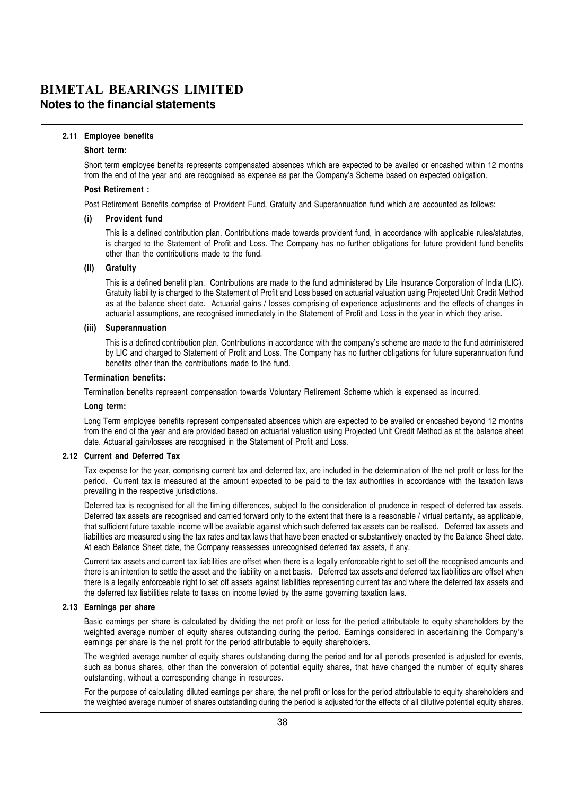#### 2.11 Employee benefits

#### Short term:

Short term employee benefits represents compensated absences which are expected to be availed or encashed within 12 months from the end of the year and are recognised as expense as per the Company's Scheme based on expected obligation.

#### Post Retirement :

Post Retirement Benefits comprise of Provident Fund, Gratuity and Superannuation fund which are accounted as follows:

#### (i) Provident fund

This is a defined contribution plan. Contributions made towards provident fund, in accordance with applicable rules/statutes, is charged to the Statement of Profit and Loss. The Company has no further obligations for future provident fund benefits other than the contributions made to the fund.

#### (ii) Gratuity

This is a defined benefit plan. Contributions are made to the fund administered by Life Insurance Corporation of India (LIC). Gratuity liability is charged to the Statement of Profit and Loss based on actuarial valuation using Projected Unit Credit Method as at the balance sheet date. Actuarial gains / losses comprising of experience adjustments and the effects of changes in actuarial assumptions, are recognised immediately in the Statement of Profit and Loss in the year in which they arise.

#### (iii) Superannuation

This is a defined contribution plan. Contributions in accordance with the company's scheme are made to the fund administered by LIC and charged to Statement of Profit and Loss. The Company has no further obligations for future superannuation fund benefits other than the contributions made to the fund.

#### Termination benefits:

Termination benefits represent compensation towards Voluntary Retirement Scheme which is expensed as incurred.

#### Long term:

Long Term employee benefits represent compensated absences which are expected to be availed or encashed beyond 12 months from the end of the year and are provided based on actuarial valuation using Projected Unit Credit Method as at the balance sheet date. Actuarial gain/losses are recognised in the Statement of Profit and Loss.

#### 2.12 Current and Deferred Tax

Tax expense for the year, comprising current tax and deferred tax, are included in the determination of the net profit or loss for the period. Current tax is measured at the amount expected to be paid to the tax authorities in accordance with the taxation laws prevailing in the respective jurisdictions.

Deferred tax is recognised for all the timing differences, subject to the consideration of prudence in respect of deferred tax assets. Deferred tax assets are recognised and carried forward only to the extent that there is a reasonable / virtual certainty, as applicable, that sufficient future taxable income will be available against which such deferred tax assets can be realised. Deferred tax assets and liabilities are measured using the tax rates and tax laws that have been enacted or substantively enacted by the Balance Sheet date. At each Balance Sheet date, the Company reassesses unrecognised deferred tax assets, if any.

Current tax assets and current tax liabilities are offset when there is a legally enforceable right to set off the recognised amounts and there is an intention to settle the asset and the liability on a net basis. Deferred tax assets and deferred tax liabilities are offset when there is a legally enforceable right to set off assets against liabilities representing current tax and where the deferred tax assets and the deferred tax liabilities relate to taxes on income levied by the same governing taxation laws.

#### 2.13 Earnings per share

Basic earnings per share is calculated by dividing the net profit or loss for the period attributable to equity shareholders by the weighted average number of equity shares outstanding during the period. Earnings considered in ascertaining the Company's earnings per share is the net profit for the period attributable to equity shareholders.

The weighted average number of equity shares outstanding during the period and for all periods presented is adjusted for events, such as bonus shares, other than the conversion of potential equity shares, that have changed the number of equity shares outstanding, without a corresponding change in resources.

For the purpose of calculating diluted earnings per share, the net profit or loss for the period attributable to equity shareholders and the weighted average number of shares outstanding during the period is adjusted for the effects of all dilutive potential equity shares.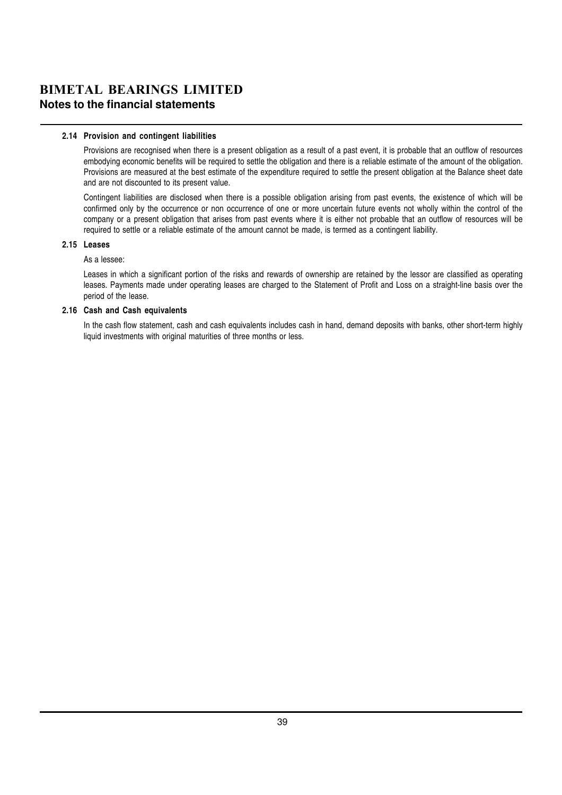#### 2.14 Provision and contingent liabilities

Provisions are recognised when there is a present obligation as a result of a past event, it is probable that an outflow of resources embodying economic benefits will be required to settle the obligation and there is a reliable estimate of the amount of the obligation. Provisions are measured at the best estimate of the expenditure required to settle the present obligation at the Balance sheet date and are not discounted to its present value.

Contingent liabilities are disclosed when there is a possible obligation arising from past events, the existence of which will be confirmed only by the occurrence or non occurrence of one or more uncertain future events not wholly within the control of the company or a present obligation that arises from past events where it is either not probable that an outflow of resources will be required to settle or a reliable estimate of the amount cannot be made, is termed as a contingent liability.

#### 2.15 Leases

#### As a lessee:

Leases in which a significant portion of the risks and rewards of ownership are retained by the lessor are classified as operating leases. Payments made under operating leases are charged to the Statement of Profit and Loss on a straight-line basis over the period of the lease.

#### 2.16 Cash and Cash equivalents

In the cash flow statement, cash and cash equivalents includes cash in hand, demand deposits with banks, other short-term highly liquid investments with original maturities of three months or less.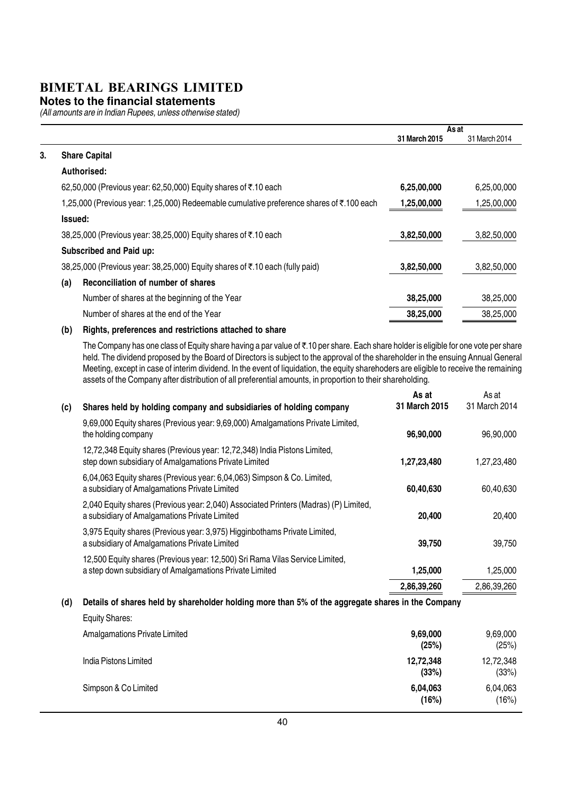#### **Notes to the financial statements**

(All amounts are in Indian Rupees, unless otherwise stated)

|    |                                                                                          |               | As at         |
|----|------------------------------------------------------------------------------------------|---------------|---------------|
|    |                                                                                          | 31 March 2015 | 31 March 2014 |
| 3. | <b>Share Capital</b>                                                                     |               |               |
|    | Authorised:                                                                              |               |               |
|    | 62,50,000 (Previous year: 62,50,000) Equity shares of ₹.10 each                          | 6,25,00,000   | 6,25,00,000   |
|    | 1,25,000 (Previous year: 1,25,000) Redeemable cumulative preference shares of ₹.100 each | 1,25,00,000   | 1,25,00,000   |
|    | <b>Issued:</b>                                                                           |               |               |
|    | 38,25,000 (Previous year: 38,25,000) Equity shares of ₹.10 each                          | 3,82,50,000   | 3,82,50,000   |
|    | Subscribed and Paid up:                                                                  |               |               |
|    | 38,25,000 (Previous year: 38,25,000) Equity shares of ₹.10 each (fully paid)             | 3,82,50,000   | 3,82,50,000   |
|    | Reconciliation of number of shares<br>(a)                                                |               |               |
|    | Number of shares at the beginning of the Year                                            | 38,25,000     | 38,25,000     |
|    | Number of shares at the end of the Year                                                  | 38,25,000     | 38,25,000     |
|    |                                                                                          |               |               |

#### (b) Rights, preferences and restrictions attached to share

The Company has one class of Equity share having a par value of  $\bar{\tau}$ .10 per share. Each share holder is eligible for one vote per share held. The dividend proposed by the Board of Directors is subject to the approval of the shareholder in the ensuing Annual General Meeting, except in case of interim dividend. In the event of liquidation, the equity sharehoders are eligible to receive the remaining assets of the Company after distribution of all preferential amounts, in proportion to their shareholding.

|     |                                                                                                                                         | As at         | As at         |
|-----|-----------------------------------------------------------------------------------------------------------------------------------------|---------------|---------------|
| (c) | Shares held by holding company and subsidiaries of holding company                                                                      | 31 March 2015 | 31 March 2014 |
|     | 9,69,000 Equity shares (Previous year: 9,69,000) Amalgamations Private Limited,<br>the holding company                                  | 96,90,000     | 96,90,000     |
|     | 12,72,348 Equity shares (Previous year: 12,72,348) India Pistons Limited,<br>step down subsidiary of Amalgamations Private Limited      | 1,27,23,480   | 1,27,23,480   |
|     | 6,04,063 Equity shares (Previous year: 6,04,063) Simpson & Co. Limited,<br>a subsidiary of Amalgamations Private Limited                | 60,40,630     | 60,40,630     |
|     | 2,040 Equity shares (Previous year: 2,040) Associated Printers (Madras) (P) Limited,<br>a subsidiary of Amalgamations Private Limited   | 20,400        | 20,400        |
|     | 3,975 Equity shares (Previous year: 3,975) Higginbothams Private Limited,<br>a subsidiary of Amalgamations Private Limited              | 39,750        | 39,750        |
|     | 12,500 Equity shares (Previous year: 12,500) Sri Rama Vilas Service Limited,<br>a step down subsidiary of Amalgamations Private Limited | 1,25,000      | 1,25,000      |
|     |                                                                                                                                         | 2,86,39,260   | 2,86,39,260   |
|     |                                                                                                                                         | .  .          |               |

|  |  |  | (d) Details of shares held by shareholder holding more than 5% of the aggregate shares in the Company |  |
|--|--|--|-------------------------------------------------------------------------------------------------------|--|
|--|--|--|-------------------------------------------------------------------------------------------------------|--|

| <b>Equity Shares:</b>         |                    |                    |
|-------------------------------|--------------------|--------------------|
| Amalgamations Private Limited | 9,69,000<br>(25%)  | 9,69,000<br>(25%)  |
| India Pistons Limited         | 12,72,348<br>(33%) | 12,72,348<br>(33%) |
| Simpson & Co Limited          | 6,04,063<br>(16%)  | 6,04,063<br>(16%)  |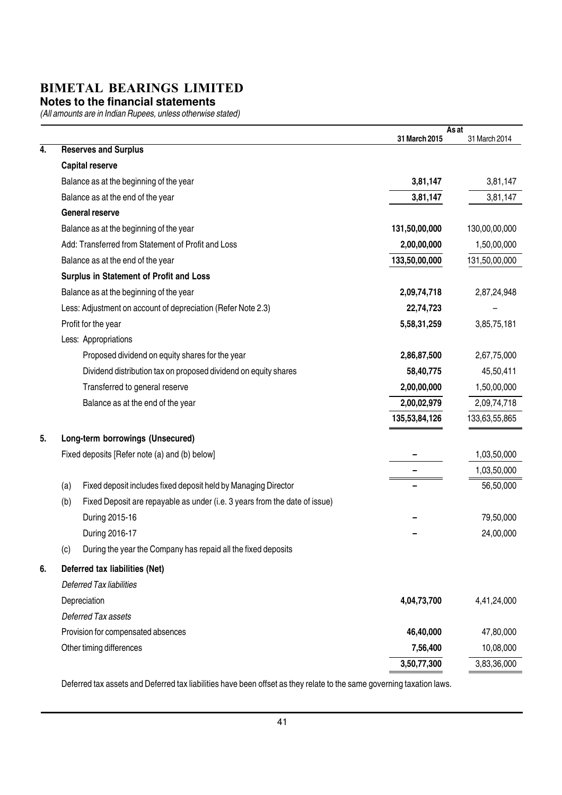#### **Notes to the financial statements**

(All amounts are in Indian Rupees, unless otherwise stated)

|    |                                                                                   | As at<br>31 March 2015 | 31 March 2014 |
|----|-----------------------------------------------------------------------------------|------------------------|---------------|
| 4. | <b>Reserves and Surplus</b>                                                       |                        |               |
|    | <b>Capital reserve</b>                                                            |                        |               |
|    | Balance as at the beginning of the year                                           | 3,81,147               | 3,81,147      |
|    | Balance as at the end of the year                                                 | 3,81,147               | 3,81,147      |
|    | <b>General reserve</b>                                                            |                        |               |
|    | Balance as at the beginning of the year                                           | 131,50,00,000          | 130,00,00,000 |
|    | Add: Transferred from Statement of Profit and Loss                                | 2,00,00,000            | 1,50,00,000   |
|    | Balance as at the end of the year                                                 | 133,50,00,000          | 131,50,00,000 |
|    | Surplus in Statement of Profit and Loss                                           |                        |               |
|    | Balance as at the beginning of the year                                           | 2,09,74,718            | 2,87,24,948   |
|    | Less: Adjustment on account of depreciation (Refer Note 2.3)                      | 22,74,723              |               |
|    | Profit for the year                                                               | 5,58,31,259            | 3,85,75,181   |
|    | Less: Appropriations                                                              |                        |               |
|    | Proposed dividend on equity shares for the year                                   | 2,86,87,500            | 2,67,75,000   |
|    | Dividend distribution tax on proposed dividend on equity shares                   | 58,40,775              | 45,50,411     |
|    | Transferred to general reserve                                                    | 2,00,00,000            | 1,50,00,000   |
|    | Balance as at the end of the year                                                 | 2,00,02,979            | 2,09,74,718   |
|    |                                                                                   | 135,53,84,126          | 133,63,55,865 |
| 5. | Long-term borrowings (Unsecured)                                                  |                        |               |
|    | Fixed deposits [Refer note (a) and (b) below]                                     |                        | 1,03,50,000   |
|    |                                                                                   |                        | 1,03,50,000   |
|    | Fixed deposit includes fixed deposit held by Managing Director<br>(a)             |                        | 56,50,000     |
|    | Fixed Deposit are repayable as under (i.e. 3 years from the date of issue)<br>(b) |                        |               |
|    | During 2015-16                                                                    |                        | 79,50,000     |
|    | During 2016-17                                                                    |                        | 24,00,000     |
|    | During the year the Company has repaid all the fixed deposits<br>(c)              |                        |               |
| 6. | Deferred tax liabilities (Net)                                                    |                        |               |
|    | Deferred Tax liabilities                                                          |                        |               |
|    | Depreciation                                                                      | 4,04,73,700            | 4,41,24,000   |
|    | <b>Deferred Tax assets</b>                                                        |                        |               |
|    | Provision for compensated absences                                                | 46,40,000              | 47,80,000     |
|    | Other timing differences                                                          | 7,56,400               | 10,08,000     |
|    |                                                                                   | 3,50,77,300            | 3,83,36,000   |

Deferred tax assets and Deferred tax liabilities have been offset as they relate to the same governing taxation laws.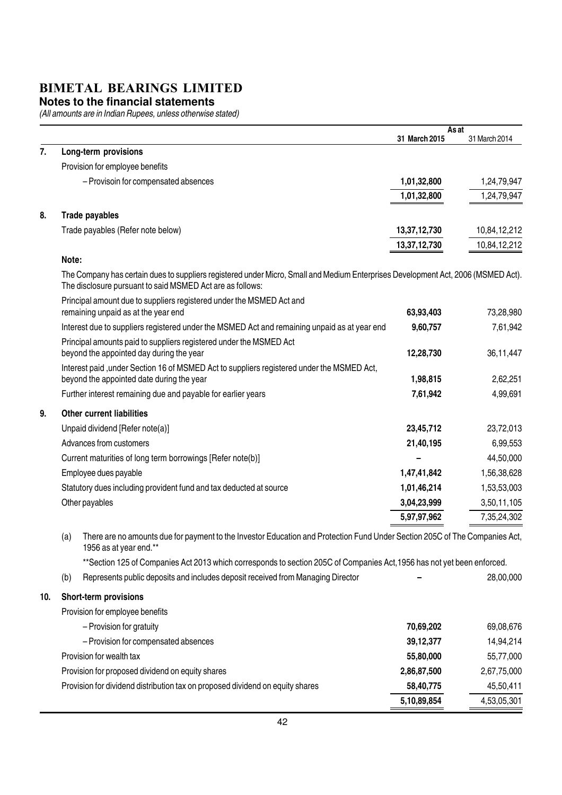#### **Notes to the financial statements**

|     |       |                                                                                                                                                                                                | As at         |               |
|-----|-------|------------------------------------------------------------------------------------------------------------------------------------------------------------------------------------------------|---------------|---------------|
| 7.  |       | Long-term provisions                                                                                                                                                                           | 31 March 2015 | 31 March 2014 |
|     |       | Provision for employee benefits                                                                                                                                                                |               |               |
|     |       | - Provisoin for compensated absences                                                                                                                                                           | 1,01,32,800   | 1,24,79,947   |
|     |       |                                                                                                                                                                                                | 1,01,32,800   | 1,24,79,947   |
|     |       |                                                                                                                                                                                                |               |               |
| 8.  |       | Trade payables                                                                                                                                                                                 |               |               |
|     |       | Trade payables (Refer note below)                                                                                                                                                              | 13,37,12,730  | 10,84,12,212  |
|     |       |                                                                                                                                                                                                | 13,37,12,730  | 10,84,12,212  |
|     | Note: |                                                                                                                                                                                                |               |               |
|     |       | The Company has certain dues to suppliers registered under Micro, Small and Medium Enterprises Development Act, 2006 (MSMED Act).<br>The disclosure pursuant to said MSMED Act are as follows: |               |               |
|     |       | Principal amount due to suppliers registered under the MSMED Act and                                                                                                                           |               |               |
|     |       | remaining unpaid as at the year end                                                                                                                                                            | 63,93,403     | 73,28,980     |
|     |       | Interest due to suppliers registered under the MSMED Act and remaining unpaid as at year end                                                                                                   | 9,60,757      | 7,61,942      |
|     |       | Principal amounts paid to suppliers registered under the MSMED Act<br>beyond the appointed day during the year                                                                                 | 12,28,730     |               |
|     |       |                                                                                                                                                                                                |               | 36,11,447     |
|     |       | Interest paid, under Section 16 of MSMED Act to suppliers registered under the MSMED Act,<br>beyond the appointed date during the year                                                         | 1,98,815      | 2,62,251      |
|     |       | Further interest remaining due and payable for earlier years                                                                                                                                   | 7,61,942      | 4,99,691      |
| 9.  |       | <b>Other current liabilities</b>                                                                                                                                                               |               |               |
|     |       | Unpaid dividend [Refer note(a)]                                                                                                                                                                | 23,45,712     | 23,72,013     |
|     |       | Advances from customers                                                                                                                                                                        | 21,40,195     | 6,99,553      |
|     |       |                                                                                                                                                                                                |               | 44,50,000     |
|     |       | Current maturities of long term borrowings [Refer note(b)]                                                                                                                                     |               |               |
|     |       | Employee dues payable                                                                                                                                                                          | 1,47,41,842   | 1,56,38,628   |
|     |       | Statutory dues including provident fund and tax deducted at source                                                                                                                             | 1,01,46,214   | 1,53,53,003   |
|     |       | Other payables                                                                                                                                                                                 | 3,04,23,999   | 3,50,11,105   |
|     |       |                                                                                                                                                                                                | 5,97,97,962   | 7,35,24,302   |
|     | (a)   | There are no amounts due for payment to the Investor Education and Protection Fund Under Section 205C of The Companies Act,<br>1956 as at year end.**                                          |               |               |
|     |       | **Section 125 of Companies Act 2013 which corresponds to section 205C of Companies Act, 1956 has not yet been enforced.                                                                        |               |               |
|     | (b)   | Represents public deposits and includes deposit received from Managing Director                                                                                                                |               | 28,00,000     |
| 10. |       | <b>Short-term provisions</b>                                                                                                                                                                   |               |               |
|     |       | Provision for employee benefits                                                                                                                                                                |               |               |
|     |       | - Provision for gratuity                                                                                                                                                                       | 70,69,202     | 69,08,676     |
|     |       | - Provision for compensated absences                                                                                                                                                           | 39, 12, 377   | 14,94,214     |
|     |       | Provision for wealth tax                                                                                                                                                                       | 55,80,000     | 55,77,000     |
|     |       | Provision for proposed dividend on equity shares                                                                                                                                               | 2,86,87,500   | 2,67,75,000   |
|     |       | Provision for dividend distribution tax on proposed dividend on equity shares                                                                                                                  | 58,40,775     | 45,50,411     |
|     |       |                                                                                                                                                                                                | 5,10,89,854   | 4,53,05,301   |
|     |       |                                                                                                                                                                                                |               |               |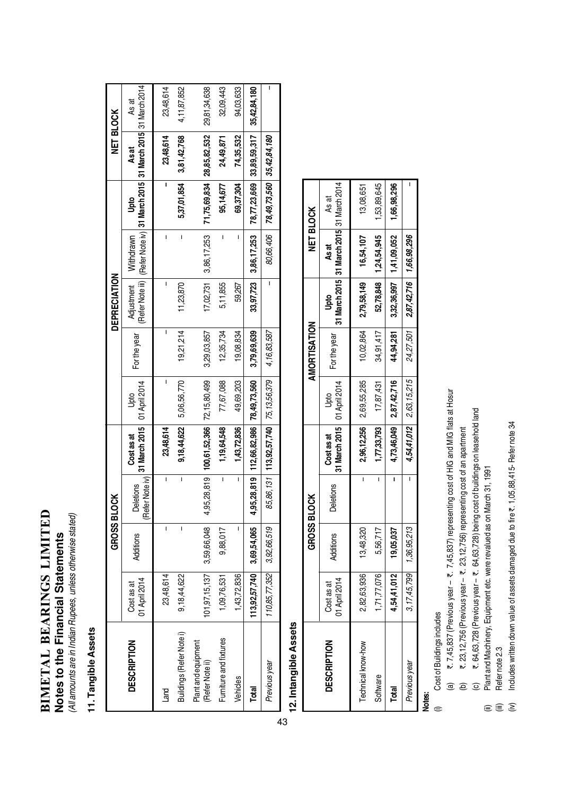# BIMETAL BEARINGS LIMITED **BIMETAL BEARINGS LIMITED** Notes to the Financial Statements **Notes to the Financial Statements**

(All amounts are in Indian Rupees, unless otherwise stated) (All amounts are in Indian Rupees, unless otherwise stated)

## 11. Tangible Assets **11. Tangible Assets**

|                                        |                             | <b>GROSS BLO</b>             | క                                |                                                  |             |              | DEPRECIATION |                         |                                                                                              | <b>NET BLOCK</b> |              |
|----------------------------------------|-----------------------------|------------------------------|----------------------------------|--------------------------------------------------|-------------|--------------|--------------|-------------------------|----------------------------------------------------------------------------------------------|------------------|--------------|
| <b>DESCRIPTION</b>                     | 01 April 2014<br>Cost as at | <b>Additions</b>             | (Refer Note iv)<br>letions<br>ළි | 31 March 2015   01 April 2014<br>Cost as at      | <u>Jpto</u> | For the year | Adjustment   | Withdrawn               | [Refer Note iii)   (Refer Note iv)   31 March 2015   31 March 2015   31 March 2014  <br>Upto | As at            | As at        |
| Land                                   | 23,48,614                   | I                            | I                                | 23,48,614                                        |             | ı            | Ī            | I                       | I                                                                                            | 23,48,614        | 23,48,614    |
| Buildings (Refer Note i)               | 9,18,44,622                 | I                            | Ī                                | 9,18,44,622                                      | 5,06,56,770 | 19,21,214    | 11,23,870    | I                       | 5,37,01,854                                                                                  | 3,81,42,768      | 4,11,87,852  |
| Plant and equipment<br>(Refer Note ii) | 101, 97, 15, 137            | 3,59,66,048                  |                                  | 4,95,28,819   100,61,52,366   72,15,80,499       |             | 3,29,03,857  | 17,02,731    | 3,86,17,253             | 71,75,69,834 28,85,82,532                                                                    |                  | 29,81,34,638 |
| Furniture and fixtures                 | 1,09,76,531                 | 9,88,017                     | ı                                | 1,19,64,548                                      | 77,67,088   | 12,35,734    | 5,11,855     | ı                       | 95,14,677                                                                                    | 24,49,871        | 32,09,443    |
| Vehicles                               | 1,43,72,836                 |                              | ı                                | 1,43,72,836                                      | 49,69,203   | 19,08,834    | 59,267       |                         | 69,37,304                                                                                    | 74,35,532        | 94,03,633    |
| Total                                  |                             | $ 13,92,57,740 $ 3,69,54,065 |                                  | 4,95,28,819   112,66,82,986   78,49,73,560       |             | 3,79,69,639  |              | $33,97,723$ 3,86,17,253 | 78,77,23,669 33,89,59,317                                                                    |                  | 35,42,84,180 |
| Previous year                          | 110,85,77,352               | 3,92,66,519                  |                                  | 85, 86, 131   113, 92, 57, 740   75, 13, 56, 379 |             | 4,16,83,587  |              | 80,66,406               | 78,49,73,560 35,42,84,180                                                                    |                  | ı            |

# 12. Intangible Assets **12. Intangible Assets**

|                    |                               | <b>GROSSBLOCK</b>             |           |                                           |                             | AMORTISATION |                                   | <b>NET BLOCK</b>                                   |             |
|--------------------|-------------------------------|-------------------------------|-----------|-------------------------------------------|-----------------------------|--------------|-----------------------------------|----------------------------------------------------|-------------|
| <b>DESCRIPTION</b> | 01 April 2014<br>ಹ<br>Cost as | Additions                     | Deletions | 31 March 2015 01 April 2014<br>Cost as at | <u>bto</u>                  | For the year | g<br>P                            | 31 March 2015 31 March 2015 31 March 2014<br>As at | As at       |
| Technical know-how | 2,82,63,936                   | 13,48,320                     |           |                                           | 2,96,12,256 2,69,55,285     | 10,02,864    | 2,79,58,149                       | 16,54,107                                          | 13,08,651   |
| Software           | ,71,77,076                    | 5,56,717                      |           | 1,77,33,793                               | 17,87,431                   | 34,91,417    |                                   | 52,78,848   1,24,54,945                            | ,53,89,645  |
| Total              | 4,54,41,012                   | 19,05,037                     |           |                                           | 4,73,46,049 2,87,42,716     | 44,94,281    |                                   | 3,32,36,997   1,41,09,052                          | 1,66,98,296 |
| Previous year      |                               | 3, 17, 45, 799 1, 36, 95, 213 |           |                                           | $4,54,41,012$ $2,63,15,215$ |              | 24,27,501 2,87,42,716 1,66,98,296 |                                                    |             |

## Notes:<br>①

- Cost of Buildings includes (i) Cost of Buildings includes
- ₹. 7,45,837 (Previous year ₹. 7,45,837) representing cost of HIG and MIG flats at Hosur (a) `. 7,45,837 (Previous year – `. 7,45,837) representing cost of HIG and MIG flats at Hosur  $\mathbf{a}$ 
	- ₹. 23, 12, 756 (Previous year ₹. 23, 12, 756) representing cost of an apartment (b) `. 23,12,756 (Previous year – `. 23,12,756) representing cost of an apartment  $\widehat{\mathbf{e}}$
- ₹. 64,63,728 (Previous year ₹. 64,63,728) being cost of buildings on leasehold land (c) で、64,63,728 (Previous year – ₹. 64,63,728) being cost of buildings on leasehold land  $\widehat{\mathbf{C}}$ 
	- Plant and Machinery, Equipment etc. were revalued as on March 31, 1991 (ii) Plant and Machinery, Equipment etc. were revalued as on March 31, 1991
	- Refer note 2.3 (iii) Refer note 2.3  $\widehat{\mathbb{E}}$   $\widehat{\mathbb{E}}$   $\widehat{\mathbb{E}}$
- Includes written down value of assets damaged due to fire ₹. 1,05,88,415- Refer note 34 (iv) Includes written down value of assets damaged due to fire  $\bar{\bf e}$ . 1,05,88,415- Refer note 34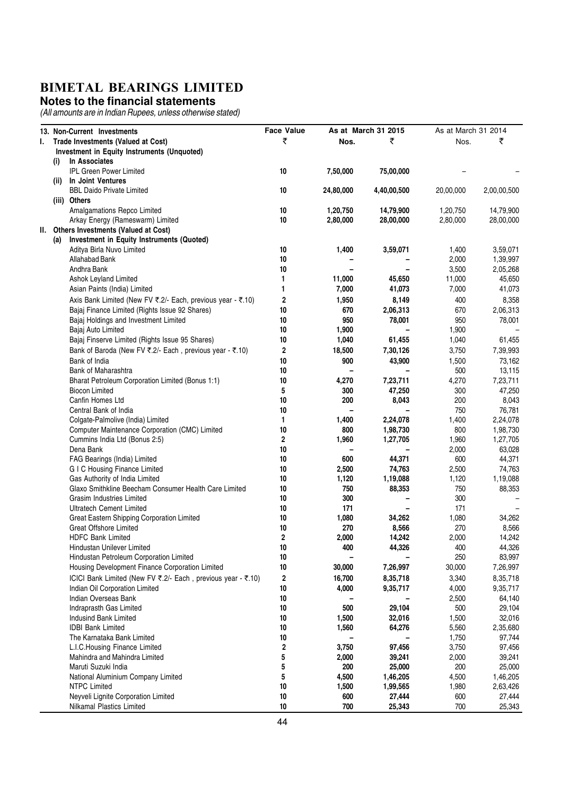#### **Notes to the financial statements**

|       | 13. Non-Current Investments                                                             | <b>Face Value</b>       |                | As at March 31 2015 | As at March 31 2014 |                    |
|-------|-----------------------------------------------------------------------------------------|-------------------------|----------------|---------------------|---------------------|--------------------|
| ı.    |                                                                                         | ₹                       | Nos.           | ₹                   | Nos.                | ₹                  |
|       | Trade Investments (Valued at Cost)<br>Investment in Equity Instruments (Unquoted)       |                         |                |                     |                     |                    |
|       | In Associates<br>(i)                                                                    |                         |                |                     |                     |                    |
|       | <b>IPL Green Power Limited</b>                                                          | 10                      | 7,50,000       | 75,00,000           |                     |                    |
|       | In Joint Ventures<br>(ii)                                                               |                         |                |                     |                     |                    |
|       | <b>BBL Daido Private Limited</b>                                                        | 10                      | 24,80,000      | 4,40,00,500         | 20,00,000           | 2,00,00,500        |
|       | (iii) Others                                                                            |                         |                |                     |                     |                    |
|       | Amalgamations Repco Limited                                                             | 10                      | 1,20,750       | 14,79,900           | 1,20,750            | 14,79,900          |
|       | Arkay Energy (Rameswarm) Limited                                                        | 10                      | 2,80,000       | 28,00,000           | 2,80,000            | 28,00,000          |
| II. I | Others Investments (Valued at Cost)                                                     |                         |                |                     |                     |                    |
|       | Investment in Equity Instruments (Quoted)<br>(a)                                        |                         |                |                     |                     |                    |
|       | Aditya Birla Nuvo Limited                                                               | 10                      | 1,400          | 3,59,071            | 1,400               | 3,59,071           |
|       | Allahabad Bank                                                                          | 10                      |                |                     | 2,000               | 1,39,997           |
|       | Andhra Bank                                                                             | 10                      |                |                     | 3,500               | 2,05,268           |
|       | Ashok Leyland Limited                                                                   | 1                       | 11,000         | 45,650              | 11,000              | 45,650             |
|       | Asian Paints (India) Limited                                                            | 1                       | 7,000          | 41,073              | 7,000               | 41,073             |
|       | Axis Bank Limited (New FV ₹.2/- Each, previous year - ₹.10)                             | $\mathbf 2$             | 1,950          | 8,149               | 400                 | 8,358              |
|       | Bajaj Finance Limited (Rights Issue 92 Shares)                                          | 10                      | 670            | 2,06,313            | 670                 | 2,06,313           |
|       |                                                                                         | 10                      | 950            |                     | 950                 |                    |
|       | Bajaj Holdings and Investment Limited                                                   | 10                      |                | 78,001              |                     | 78,001             |
|       | Bajaj Auto Limited<br>Bajaj Finserve Limited (Rights Issue 95 Shares)                   | 10                      | 1,900<br>1,040 | 61,455              | 1,900<br>1,040      | 61,455             |
|       |                                                                                         |                         |                |                     |                     |                    |
|       | Bank of Baroda (New FV ₹.2/- Each, previous year - ₹.10)                                | $\overline{2}$          | 18,500         | 7,30,126            | 3,750               | 7,39,993           |
|       | Bank of India                                                                           | 10                      | 900            | 43,900              | 1,500               | 73,162             |
|       | Bank of Maharashtra                                                                     | 10                      |                |                     | 500                 | 13,115             |
|       | Bharat Petroleum Corporation Limited (Bonus 1:1)                                        | 10                      | 4,270          | 7,23,711            | 4,270               | 7,23,711           |
|       | <b>Biocon Limited</b>                                                                   | 5                       | 300            | 47,250              | 300                 | 47,250             |
|       | Canfin Homes Ltd                                                                        | 10                      | 200            | 8,043               | 200                 | 8,043              |
|       | Central Bank of India                                                                   | 10                      |                |                     | 750                 | 76,781             |
|       | Colgate-Palmolive (India) Limited                                                       | 1                       | 1,400          | 2,24,078            | 1,400               | 2,24,078           |
|       | Computer Maintenance Corporation (CMC) Limited                                          | 10                      | 800            | 1,98,730            | 800                 | 1,98,730           |
|       | Cummins India Ltd (Bonus 2:5)                                                           | $\overline{\mathbf{2}}$ | 1,960          | 1,27,705            | 1,960               | 1,27,705           |
|       | Dena Bank                                                                               | 10                      |                |                     | 2,000               | 63,028             |
|       | FAG Bearings (India) Limited                                                            | 10                      | 600            | 44,371              | 600                 | 44,371             |
|       | <b>GIC Housing Finance Limited</b>                                                      | 10                      | 2,500          | 74,763              | 2,500               | 74,763             |
|       | Gas Authority of India Limited<br>Glaxo Smithkline Beecham Consumer Health Care Limited | 10<br>10                | 1,120<br>750   | 1,19,088            | 1,120<br>750        | 1,19,088           |
|       | Grasim Industries Limited                                                               | 10                      | 300            | 88,353              | 300                 | 88,353             |
|       |                                                                                         | 10                      | 171            |                     | 171                 |                    |
|       | Ultratech Cement Limited                                                                | 10                      |                |                     |                     |                    |
|       | Great Eastern Shipping Corporation Limited<br><b>Great Offshore Limited</b>             | 10                      | 1,080<br>270   | 34,262              | 1,080<br>270        | 34,262             |
|       | <b>HDFC Bank Limited</b>                                                                | $\overline{2}$          | 2,000          | 8,566               |                     | 8,566              |
|       |                                                                                         |                         | 400            | 14,242<br>44,326    | 2,000<br>400        | 14,242<br>44,326   |
|       | Hindustan Unilever Limited<br>Hindustan Petroleum Corporation Limited                   | 10<br>$10$              |                |                     | 250                 |                    |
|       | Housing Development Finance Corporation Limited                                         | 10                      | 30,000         | 7,26,997            | 30,000              | 83,997<br>7,26,997 |
|       |                                                                                         |                         |                |                     |                     |                    |
|       | ICICI Bank Limited (New FV ₹.2/- Each, previous year - ₹.10)                            | $\boldsymbol{2}$        | 16,700         | 8,35,718            | 3,340               | 8,35,718           |
|       | Indian Oil Corporation Limited                                                          | 10                      | 4,000          | 9,35,717            | 4,000               | 9,35,717           |
|       | Indian Overseas Bank                                                                    | 10                      |                |                     | 2,500               | 64,140             |
|       | Indraprasth Gas Limited                                                                 | $10\,$                  | 500            | 29,104              | 500                 | 29,104             |
|       | Indusind Bank Limited                                                                   | 10                      | 1,500          | 32,016              | 1,500               | 32,016             |
|       | <b>IDBI Bank Limited</b>                                                                | 10                      | 1,560          | 64,276              | 5,560               | 2,35,680           |
|       | The Karnataka Bank Limited                                                              | 10                      |                |                     | 1,750               | 97,744             |
|       | L.I.C. Housing Finance Limited                                                          | $\boldsymbol{2}$        | 3,750          | 97,456              | 3,750               | 97,456             |
|       | Mahindra and Mahindra Limited                                                           | 5                       | 2,000          | 39,241              | 2,000               | 39,241             |
|       | Maruti Suzuki India                                                                     | 5                       | 200            | 25,000              | 200                 | 25,000             |
|       | National Aluminium Company Limited                                                      | 5                       | 4,500          | 1,46,205            | 4,500               | 1,46,205           |
|       | <b>NTPC Limited</b>                                                                     | $10\,$                  | 1,500          | 1,99,565            | 1,980               | 2,63,426           |
|       | Neyveli Lignite Corporation Limited                                                     | 10                      | 600            | 27,444              | 600                 | 27,444             |
|       | Nilkamal Plastics Limited                                                               | 10                      | 700            | 25,343              | 700                 | 25,343             |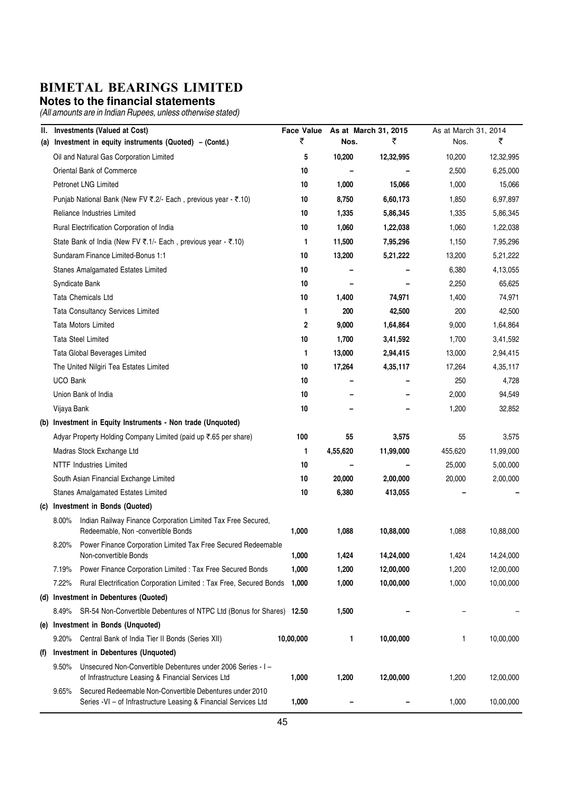#### **Notes to the financial statements**

| Ш.  |                 | <b>Investments (Valued at Cost)</b>                                                                                         | <b>Face Value</b> |          | As at March 31, 2015 | As at March 31, 2014 |           |
|-----|-----------------|-----------------------------------------------------------------------------------------------------------------------------|-------------------|----------|----------------------|----------------------|-----------|
| (a) |                 | Investment in equity instruments (Quoted) - (Contd.)                                                                        | ₹                 | Nos.     | ₹                    | Nos.                 | ₹         |
|     |                 | Oil and Natural Gas Corporation Limited                                                                                     | 5                 | 10,200   | 12,32,995            | 10,200               | 12,32,995 |
|     |                 | Oriental Bank of Commerce                                                                                                   | 10                |          |                      | 2,500                | 6,25,000  |
|     |                 | <b>Petronet LNG Limited</b>                                                                                                 | 10                | 1,000    | 15,066               | 1,000                | 15,066    |
|     |                 | Punjab National Bank (New FV ₹.2/- Each, previous year - ₹.10)                                                              | 10                | 8,750    | 6,60,173             | 1,850                | 6,97,897  |
|     |                 | Reliance Industries Limited                                                                                                 | 10                | 1,335    | 5,86,345             | 1,335                | 5,86,345  |
|     |                 | Rural Electrification Corporation of India                                                                                  | 10                | 1,060    | 1,22,038             | 1,060                | 1,22,038  |
|     |                 | State Bank of India (New FV ₹.1/- Each, previous year - ₹.10)                                                               | 1                 | 11,500   | 7,95,296             | 1,150                | 7,95,296  |
|     |                 | Sundaram Finance Limited-Bonus 1:1                                                                                          | 10                | 13,200   | 5,21,222             | 13,200               | 5,21,222  |
|     |                 | Stanes Amalgamated Estates Limited                                                                                          | 10                |          |                      | 6,380                | 4,13,055  |
|     |                 | Syndicate Bank                                                                                                              | 10                |          |                      | 2,250                | 65,625    |
|     |                 | Tata Chemicals Ltd                                                                                                          | 10                | 1,400    | 74,971               | 1,400                | 74,971    |
|     |                 | Tata Consultancy Services Limited                                                                                           | 1                 | 200      | 42,500               | 200                  | 42,500    |
|     |                 | Tata Motors Limited                                                                                                         | $\boldsymbol{2}$  | 9,000    | 1,64,864             | 9,000                | 1,64,864  |
|     |                 | <b>Tata Steel Limited</b>                                                                                                   | 10                | 1,700    | 3,41,592             | 1,700                | 3,41,592  |
|     |                 | Tata Global Beverages Limited                                                                                               | 1                 | 13,000   | 2,94,415             | 13,000               | 2,94,415  |
|     |                 | The United Nilgiri Tea Estates Limited                                                                                      | 10                | 17,264   | 4,35,117             | 17,264               | 4,35,117  |
|     | <b>UCO Bank</b> |                                                                                                                             | 10                |          |                      | 250                  | 4,728     |
|     |                 | Union Bank of India                                                                                                         | 10                |          |                      | 2,000                | 94,549    |
|     | Vijaya Bank     |                                                                                                                             | 10                |          |                      | 1,200                | 32,852    |
|     |                 | (b) Investment in Equity Instruments - Non trade (Unquoted)                                                                 |                   |          |                      |                      |           |
|     |                 | Adyar Property Holding Company Limited (paid up ₹.65 per share)                                                             | 100               | 55       | 3,575                | 55                   | 3,575     |
|     |                 | Madras Stock Exchange Ltd                                                                                                   | 1                 | 4,55,620 | 11,99,000            | 455,620              | 11,99,000 |
|     |                 | <b>NTTF Industries Limited</b>                                                                                              | 10                |          |                      | 25,000               | 5,00,000  |
|     |                 | South Asian Financial Exchange Limited                                                                                      | 10                | 20,000   | 2,00,000             | 20,000               | 2,00,000  |
|     |                 | <b>Stanes Amalgamated Estates Limited</b>                                                                                   | 10                | 6,380    | 413,055              |                      |           |
|     |                 | (c) Investment in Bonds (Quoted)                                                                                            |                   |          |                      |                      |           |
|     | 8.00%           | Indian Railway Finance Corporation Limited Tax Free Secured,<br>Redeemable, Non-convertible Bonds                           | 1,000             | 1,088    | 10,88,000            | 1,088                | 10,88,000 |
|     | 8.20%           | Power Finance Corporation Limited Tax Free Secured Redeemable<br>Non-convertible Bonds                                      | 1,000             | 1,424    | 14,24,000            | 1,424                | 14,24,000 |
|     | 7.19%           | Power Finance Corporation Limited : Tax Free Secured Bonds                                                                  | 1,000             | 1,200    | 12,00,000            | 1,200                | 12,00,000 |
|     | 7.22%           | Rural Electrification Corporation Limited : Tax Free, Secured Bonds                                                         | 1,000             | 1,000    | 10,00,000            | 1,000                | 10,00,000 |
|     |                 | (d) Investment in Debentures (Quoted)                                                                                       |                   |          |                      |                      |           |
|     | 8.49%           | SR-54 Non-Convertible Debentures of NTPC Ltd (Bonus for Shares) 12.50                                                       |                   | 1,500    |                      |                      |           |
|     |                 | (e) Investment in Bonds (Unquoted)                                                                                          |                   |          |                      |                      |           |
|     | $9.20\%$        | Central Bank of India Tier II Bonds (Series XII)                                                                            | 10,00,000         | 1        | 10,00,000            | 1                    | 10,00,000 |
| (1) |                 | Investment in Debentures (Unquoted)                                                                                         |                   |          |                      |                      |           |
|     | $9.50\%$        | Unsecured Non-Convertible Debentures under 2006 Series - I -<br>of Infrastructure Leasing & Financial Services Ltd          | 1,000             | 1,200    | 12,00,000            | 1,200                | 12,00,000 |
|     | 9.65%           | Secured Redeemable Non-Convertible Debentures under 2010<br>Series -VI - of Infrastructure Leasing & Financial Services Ltd | 1,000             |          |                      | 1,000                | 10,00,000 |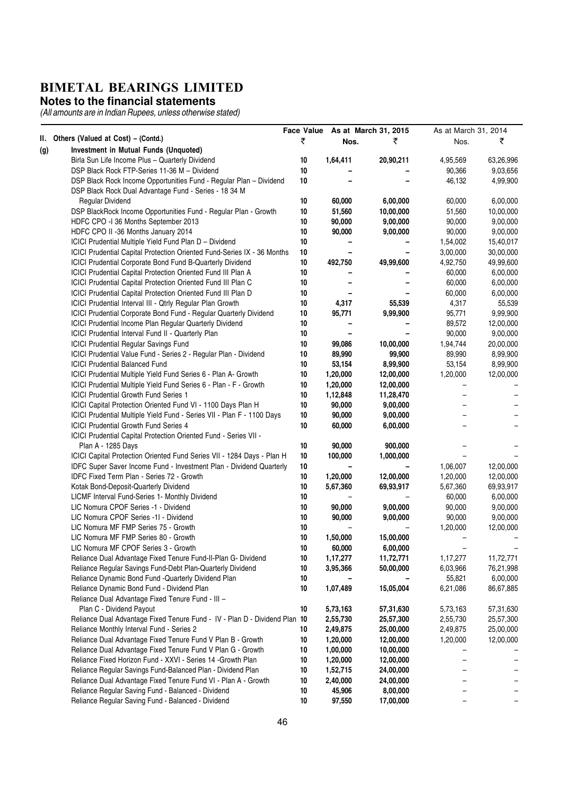#### **Notes to the financial statements**

|     |                                                                            | <b>Face Value</b> |          | As at March 31, 2015 | As at March 31, 2014 |           |
|-----|----------------------------------------------------------------------------|-------------------|----------|----------------------|----------------------|-----------|
|     | II. Others (Valued at Cost) - (Contd.)                                     | ₹                 | Nos.     | ₹                    | Nos.                 | ₹         |
| (g) | Investment in Mutual Funds (Unquoted)                                      |                   |          |                      |                      |           |
|     | Birla Sun Life Income Plus - Quarterly Dividend                            | 10                | 1,64,411 | 20,90,211            | 4,95,569             | 63,26,996 |
|     | DSP Black Rock FTP-Series 11-36 M - Dividend                               | 10                |          |                      | 90,366               | 9,03,656  |
|     | DSP Black Rock Income Opportunities Fund - Regular Plan - Dividend         | 10                |          |                      | 46,132               | 4,99,900  |
|     | DSP Black Rock Dual Advantage Fund - Series - 18 34 M                      |                   |          |                      |                      |           |
|     | Regular Dividend                                                           | 10                | 60,000   | 6,00,000             | 60,000               | 6,00,000  |
|     | DSP BlackRock Income Opportunities Fund - Regular Plan - Growth            | 10                | 51,560   | 10,00,000            | 51,560               | 10,00,000 |
|     | HDFC CPO - 136 Months September 2013                                       | 10                | 90,000   | 9,00,000             | 90,000               | 9,00,000  |
|     | HDFC CPO II -36 Months January 2014                                        | 10                | 90,000   | 9,00,000             | 90,000               | 9,00,000  |
|     | ICICI Prudential Multiple Yield Fund Plan D - Dividend                     | 10                |          |                      | 1,54,002             | 15,40,017 |
|     | ICICI Prudential Capital Protection Oriented Fund-Series IX - 36 Months    | 10                |          |                      | 3,00,000             | 30,00,000 |
|     | ICICI Prudential Corporate Bond Fund B-Quarterly Dividend                  | 10                | 492,750  | 49,99,600            | 4,92,750             | 49,99,600 |
|     | ICICI Prudential Capital Protection Oriented Fund III Plan A               | 10                |          |                      | 60,000               | 6,00,000  |
|     | <b>ICICI Prudential Capital Protection Oriented Fund III Plan C</b>        | 10                |          |                      | 60,000               | 6,00,000  |
|     | ICICI Prudential Capital Protection Oriented Fund III Plan D               | 10                |          |                      | 60,000               | 6,00,000  |
|     | ICICI Prudential Interval III - Qtrly Regular Plan Growth                  | 10                | 4,317    | 55,539               | 4,317                | 55,539    |
|     | ICICI Prudential Corporate Bond Fund - Regular Quarterly Dividend          | 10                | 95,771   | 9,99,900             | 95,771               | 9,99,900  |
|     | ICICI Prudential Income Plan Regular Quarterly Dividend                    | 10                |          |                      | 89,572               | 12,00,000 |
|     | ICICI Prudential Interval Fund II - Quarterly Plan                         | 10                |          |                      | 90,000               | 9,00,000  |
|     | <b>ICICI Prudential Regular Savings Fund</b>                               | 10                | 99,086   | 10,00,000            | 1,94,744             | 20,00,000 |
|     | ICICI Prudential Value Fund - Series 2 - Regular Plan - Dividend           | 10                | 89,990   | 99,900               | 89,990               | 8,99,900  |
|     | <b>ICICI Prudential Balanced Fund</b>                                      | 10                | 53,154   | 8,99,900             | 53,154               | 8,99,900  |
|     | ICICI Prudential Multiple Yield Fund Series 6 - Plan A- Growth             | 10                | 1,20,000 | 12,00,000            | 1,20,000             | 12,00,000 |
|     | ICICI Prudential Multiple Yield Fund Series 6 - Plan - F - Growth          | 10                | 1,20,000 | 12,00,000            |                      |           |
|     | ICICI Prudential Growth Fund Series 1                                      | 10                | 1,12,848 | 11,28,470            |                      |           |
|     | ICICI Capital Protection Oriented Fund VI - 1100 Days Plan H               | 10                | 90,000   | 9,00,000             |                      |           |
|     | ICICI Prudential Multiple Yield Fund - Series VII - Plan F - 1100 Days     | 10                | 90,000   | 9,00,000             |                      |           |
|     | <b>ICICI Prudential Growth Fund Series 4</b>                               | 10                | 60,000   | 6,00,000             |                      |           |
|     | ICICI Prudential Capital Protection Oriented Fund - Series VII -           |                   |          |                      |                      |           |
|     | Plan A - 1285 Days                                                         | 10                | 90,000   | 900,000              |                      |           |
|     | ICICI Capital Protection Oriented Fund Series VII - 1284 Days - Plan H     | 10                | 100,000  | 1,000,000            |                      |           |
|     | IDFC Super Saver Income Fund - Investment Plan - Dividend Quarterly        | 10                |          |                      | 1,06,007             | 12,00,000 |
|     | IDFC Fixed Term Plan - Series 72 - Growth                                  | 10                | 1,20,000 | 12,00,000            | 1,20,000             | 12,00,000 |
|     | Kotak Bond-Deposit-Quarterly Dividend                                      | 10                | 5,67,360 | 69,93,917            | 5,67,360             | 69,93,917 |
|     | LICMF Interval Fund-Series 1- Monthly Dividend                             | 10                |          |                      | 60,000               | 6,00,000  |
|     | LIC Nomura CPOF Series -1 - Dividend                                       | 10                | 90,000   | 9,00,000             | 90,000               | 9,00,000  |
|     | LIC Nomura CPOF Series -11 - Dividend                                      | 10                | 90,000   | 9,00,000             | 90,000               | 9,00,000  |
|     | LIC Nomura MF FMP Series 75 - Growth                                       | 10                |          |                      | 1,20,000             | 12,00,000 |
|     | LIC Nomura MF FMP Series 80 - Growth                                       | 10                | 1,50,000 | 15,00,000            |                      |           |
|     | LIC Nomura MF CPOF Series 3 - Growth                                       | 10                | 60,000   | 6,00,000             |                      |           |
|     | Reliance Dual Advantage Fixed Tenure Fund-II-Plan G- Dividend              | 10                | 1,17,277 | 11,72,771            | 1,17,277             | 11,72,771 |
|     | Reliance Regular Savings Fund-Debt Plan-Quarterly Dividend                 | 10                | 3,95,366 | 50,00,000            | 6,03,966             | 76,21,998 |
|     | Reliance Dynamic Bond Fund -Quarterly Dividend Plan                        | 10                |          |                      | 55,821               | 6,00,000  |
|     | Reliance Dynamic Bond Fund - Dividend Plan                                 | 10                | 1,07,489 | 15,05,004            | 6,21,086             | 86,67,885 |
|     | Reliance Dual Advantage Fixed Tenure Fund - III -                          |                   |          |                      |                      |           |
|     | Plan C - Dividend Payout                                                   | 10                | 5,73,163 | 57,31,630            | 5,73,163             | 57,31,630 |
|     | Reliance Dual Advantage Fixed Tenure Fund - IV - Plan D - Dividend Plan 10 |                   | 2,55,730 | 25,57,300            | 2,55,730             | 25,57,300 |
|     | Reliance Monthly Interval Fund - Series 2                                  | 10                | 2,49,875 | 25,00,000            | 2,49,875             | 25,00,000 |
|     | Reliance Dual Advantage Fixed Tenure Fund V Plan B - Growth                | 10                | 1,20,000 | 12,00,000            | 1,20,000             | 12,00,000 |
|     | Reliance Dual Advantage Fixed Tenure Fund V Plan G - Growth                | 10                | 1,00,000 | 10,00,000            |                      |           |
|     | Reliance Fixed Horizon Fund - XXVI - Series 14 - Growth Plan               | 10                | 1,20,000 | 12,00,000            | -                    |           |
|     | Reliance Regular Savings Fund-Balanced Plan - Dividend Plan                | 10                | 1,52,715 | 24,00,000            |                      |           |
|     | Reliance Dual Advantage Fixed Tenure Fund VI - Plan A - Growth             | 10                | 2,40,000 | 24,00,000            |                      |           |
|     | Reliance Regular Saving Fund - Balanced - Dividend                         | 10                | 45,906   | 8,00,000             |                      |           |
|     | Reliance Regular Saving Fund - Balanced - Dividend                         | 10                | 97,550   | 17,00,000            |                      |           |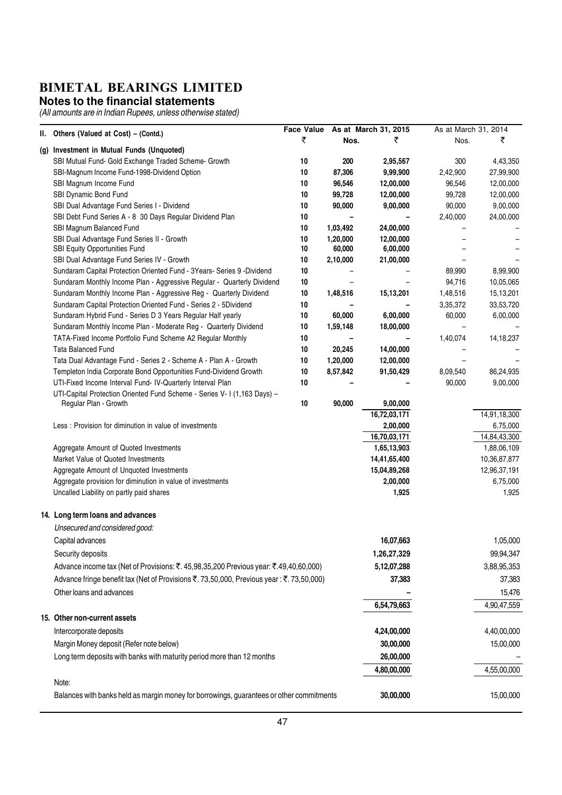#### **Notes to the financial statements**

|       |                                                                                                                                        | <b>Face Value</b> |          | As at March 31, 2015 | As at March 31, 2014 |              |
|-------|----------------------------------------------------------------------------------------------------------------------------------------|-------------------|----------|----------------------|----------------------|--------------|
| II. I | Others (Valued at Cost) - (Contd.)                                                                                                     | ₹                 | Nos.     | ₹                    | Nos.                 | ₹            |
|       | (g) Investment in Mutual Funds (Unquoted)                                                                                              |                   |          |                      |                      |              |
|       | SBI Mutual Fund- Gold Exchange Traded Scheme- Growth                                                                                   | 10                | 200      | 2,95,567             | 300                  | 4,43,350     |
|       | SBI-Magnum Income Fund-1998-Dividend Option                                                                                            | 10                | 87,306   | 9,99,900             | 2,42,900             | 27,99,900    |
|       | SBI Magnum Income Fund                                                                                                                 | 10                | 96,546   | 12,00,000            | 96,546               | 12,00,000    |
|       | SBI Dynamic Bond Fund                                                                                                                  | 10                | 99,728   | 12,00,000            | 99,728               | 12,00,000    |
|       | SBI Dual Advantage Fund Series I - Dividend                                                                                            | 10                | 90,000   | 9,00,000             | 90,000               | 9,00,000     |
|       | SBI Debt Fund Series A - 8 30 Days Regular Dividend Plan                                                                               | 10                |          |                      | 2,40,000             | 24,00,000    |
|       | SBI Magnum Balanced Fund                                                                                                               | 10                | 1,03,492 | 24,00,000            |                      |              |
|       | SBI Dual Advantage Fund Series II - Growth                                                                                             | 10                | 1,20,000 | 12,00,000            |                      |              |
|       | SBI Equity Opportunities Fund                                                                                                          | 10                | 60,000   | 6,00,000             |                      |              |
|       | SBI Dual Advantage Fund Series IV - Growth                                                                                             | 10                | 2,10,000 | 21,00,000            |                      |              |
|       | Sundaram Capital Protection Oriented Fund - 3Years- Series 9 -Dividend                                                                 | 10                |          |                      | 89,990               | 8,99,900     |
|       | Sundaram Monthly Income Plan - Aggressive Regular - Quarterly Dividend                                                                 | 10                |          |                      | 94,716               | 10,05,065    |
|       | Sundaram Monthly Income Plan - Aggressive Reg - Quarterly Dividend                                                                     | 10                | 1,48,516 | 15,13,201            | 1,48,516             | 15,13,201    |
|       | Sundaram Capital Protection Oriented Fund - Series 2 - 5Dividend                                                                       | 10                |          |                      | 3,35,372             | 33,53,720    |
|       | Sundaram Hybrid Fund - Series D 3 Years Regular Half yearly                                                                            | 10                | 60,000   | 6,00,000             | 60,000               | 6,00,000     |
|       | Sundaram Monthly Income Plan - Moderate Reg - Quarterly Dividend                                                                       | 10                | 1,59,148 | 18,00,000            |                      |              |
|       | TATA-Fixed Income Portfolio Fund Scheme A2 Regular Monthly                                                                             | 10                |          |                      | 1,40,074             | 14, 18, 237  |
|       | <b>Tata Balanced Fund</b>                                                                                                              | 10                | 20,245   | 14,00,000            |                      |              |
|       | Tata Dual Advantage Fund - Series 2 - Scheme A - Plan A - Growth                                                                       | 10                | 1,20,000 | 12,00,000            |                      |              |
|       | Templeton India Corporate Bond Opportunities Fund-Dividend Growth                                                                      | 10                | 8,57,842 | 91,50,429            | 8,09,540             | 86,24,935    |
|       | UTI-Fixed Income Interval Fund- IV-Quarterly Interval Plan<br>UTI-Capital Protection Oriented Fund Scheme - Series V- I (1,163 Days) - | 10                |          |                      | 90,000               | 9,00,000     |
|       | Regular Plan - Growth                                                                                                                  | 10                | 90,000   | 9,00,000             |                      |              |
|       |                                                                                                                                        |                   |          | 16,72,03,171         |                      | 14,91,18,300 |
|       | Less : Provision for diminution in value of investments                                                                                |                   |          | 2,00,000             |                      | 6,75,000     |
|       |                                                                                                                                        |                   |          | 16,70,03,171         |                      | 14,84,43,300 |
|       | Aggregate Amount of Quoted Investments                                                                                                 |                   |          | 1,65,13,903          |                      | 1,88,06,109  |
|       | Market Value of Quoted Investments                                                                                                     |                   |          | 14,41,65,400         |                      | 10,36,87,877 |
|       | Aggregate Amount of Unquoted Investments                                                                                               |                   |          | 15,04,89,268         |                      | 12,96,37,191 |
|       | Aggregate provision for diminution in value of investments                                                                             |                   |          | 2,00,000             |                      | 6,75,000     |
|       | Uncalled Liability on partly paid shares                                                                                               |                   |          | 1,925                |                      | 1,925        |
|       | 14. Long term loans and advances                                                                                                       |                   |          |                      |                      |              |
|       | Unsecured and considered good:                                                                                                         |                   |          |                      |                      |              |
|       | Capital advances                                                                                                                       |                   |          | 16,07,663            |                      | 1,05,000     |
|       |                                                                                                                                        |                   |          |                      |                      |              |
|       | Security deposits                                                                                                                      |                   |          | 1,26,27,329          |                      | 99,94,347    |
|       | Advance income tax (Net of Provisions: ₹. 45,98,35,200 Previous year: ₹.49,40,60,000)                                                  |                   |          | 5, 12, 07, 288       |                      | 3,88,95,353  |
|       | Advance fringe benefit tax (Net of Provisions ₹. 73,50,000, Previous year: ₹. 73,50,000)                                               |                   |          | 37,383               |                      | 37,383       |
|       | Other loans and advances                                                                                                               |                   |          |                      |                      | 15,476       |
|       |                                                                                                                                        |                   |          | 6,54,79,663          |                      | 4,90,47,559  |
|       | 15. Other non-current assets                                                                                                           |                   |          |                      |                      |              |
|       | Intercorporate deposits                                                                                                                |                   |          | 4,24,00,000          |                      | 4,40,00,000  |
|       | Margin Money deposit (Refer note below)                                                                                                |                   |          | 30,00,000            |                      | 15,00,000    |
|       | Long term deposits with banks with maturity period more than 12 months                                                                 |                   |          | 26,00,000            |                      |              |
|       |                                                                                                                                        |                   |          |                      |                      | 4,55,00,000  |
|       | Note:                                                                                                                                  |                   |          | 4,80,00,000          |                      |              |
|       | Balances with banks held as margin money for borrowings, guarantees or other commitments                                               |                   |          | 30,00,000            |                      | 15,00,000    |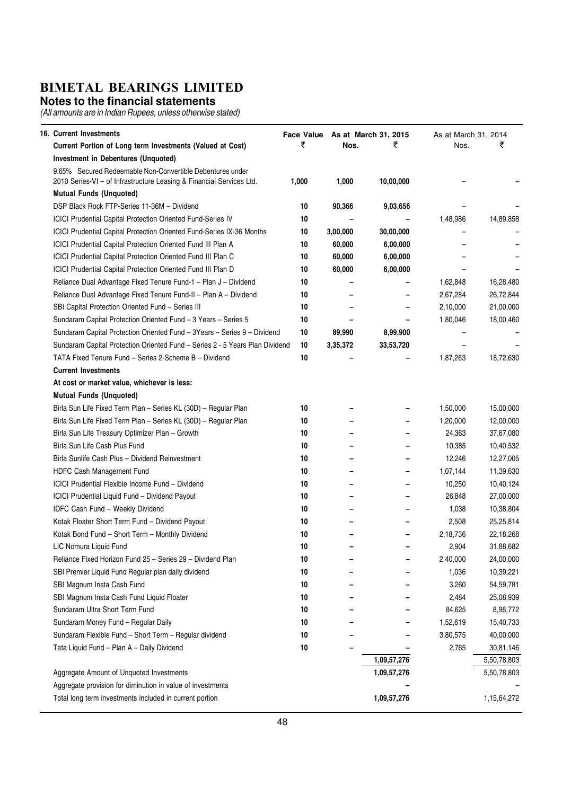#### **Notes to the financial statements**

| 16. Current Investments                                                                                                           |       |          | Face Value As at March 31, 2015 | As at March 31, 2014 |             |
|-----------------------------------------------------------------------------------------------------------------------------------|-------|----------|---------------------------------|----------------------|-------------|
| Current Portion of Long term Investments (Valued at Cost)                                                                         | ₹     | Nos.     | ₹                               | Nos.                 | ₹           |
| <b>Investment in Debentures (Unquoted)</b>                                                                                        |       |          |                                 |                      |             |
| 9.65% Secured Redeemable Non-Convertible Debentures under<br>2010 Series-VI - of Infrastructure Leasing & Financial Services Ltd. | 1,000 | 1,000    | 10,00,000                       |                      |             |
| <b>Mutual Funds (Unquoted)</b>                                                                                                    |       |          |                                 |                      |             |
| DSP Black Rock FTP-Series 11-36M - Dividend                                                                                       | 10    | 90,366   | 9,03,656                        |                      |             |
| <b>ICICI Prudential Capital Protection Oriented Fund-Series IV</b>                                                                | 10    |          |                                 | 1,48,986             | 14,89,858   |
| ICICI Prudential Capital Protection Oriented Fund-Series IX-36 Months                                                             | 10    | 3,00,000 | 30,00,000                       |                      |             |
| ICICI Prudential Capital Protection Oriented Fund III Plan A                                                                      | 10    | 60,000   | 6,00,000                        |                      |             |
| ICICI Prudential Capital Protection Oriented Fund III Plan C                                                                      | 10    | 60,000   | 6,00,000                        |                      |             |
| ICICI Prudential Capital Protection Oriented Fund III Plan D                                                                      | 10    | 60,000   | 6,00,000                        |                      |             |
| Reliance Dual Advantage Fixed Tenure Fund-1 - Plan J - Dividend                                                                   | 10    |          |                                 | 1,62,848             | 16,28,480   |
| Reliance Dual Advantage Fixed Tenure Fund-II - Plan A - Dividend                                                                  | 10    |          |                                 | 2,67,284             | 26,72,844   |
| SBI Capital Protection Oriented Fund - Series III                                                                                 | 10    |          |                                 | 2,10,000             | 21,00,000   |
| Sundaram Capital Protection Oriented Fund - 3 Years - Series 5                                                                    | 10    |          |                                 | 1,80,046             | 18,00,460   |
| Sundaram Capital Protection Oriented Fund - 3Years - Series 9 - Dividend                                                          | 10    | 89,990   | 8,99,900                        |                      |             |
| Sundaram Capital Protection Oriented Fund - Series 2 - 5 Years Plan Dividend                                                      | 10    | 3,35,372 | 33,53,720                       |                      |             |
| TATA Fixed Tenure Fund - Series 2-Scheme B - Dividend                                                                             | 10    |          |                                 | 1,87,263             | 18,72,630   |
| <b>Current Investments</b>                                                                                                        |       |          |                                 |                      |             |
| At cost or market value, whichever is less:                                                                                       |       |          |                                 |                      |             |
| <b>Mutual Funds (Unquoted)</b>                                                                                                    |       |          |                                 |                      |             |
| Birla Sun Life Fixed Term Plan - Series KL (30D) - Regular Plan                                                                   | 10    |          |                                 | 1,50,000             | 15,00,000   |
| Birla Sun Life Fixed Term Plan - Series KL (30D) - Regular Plan                                                                   | 10    |          |                                 | 1,20,000             | 12,00,000   |
| Birla Sun Life Treasury Optimizer Plan - Growth                                                                                   | 10    |          |                                 | 24,363               | 37,67,080   |
| Birla Sun Life Cash Plus Fund                                                                                                     | 10    |          |                                 | 10,385               | 10,40,532   |
| Birla Sunlife Cash Plus - Dividend Reinvestment                                                                                   | 10    |          |                                 | 12,246               | 12,27,005   |
| HDFC Cash Management Fund                                                                                                         | 10    |          | -                               | 1,07,144             | 11,39,630   |
| ICICI Prudential Flexible Income Fund - Dividend                                                                                  | 10    |          | $\blacksquare$                  | 10,250               | 10,40,124   |
| ICICI Prudential Liquid Fund - Dividend Payout                                                                                    | 10    |          |                                 | 26,848               | 27,00,000   |
| IDFC Cash Fund - Weekly Dividend                                                                                                  | 10    |          |                                 | 1,038                | 10,38,804   |
| Kotak Floater Short Term Fund - Dividend Payout                                                                                   | 10    |          |                                 | 2,508                | 25,25,814   |
| Kotak Bond Fund - Short Term - Monthly Dividend                                                                                   | 10    |          |                                 | 2,18,736             | 22,18,268   |
| LIC Nomura Liquid Fund                                                                                                            | 10    |          |                                 | 2,904                | 31,88,682   |
| Reliance Fixed Horizon Fund 25 - Series 29 - Dividend Plan                                                                        | 10    |          |                                 | 2,40,000             | 24,00,000   |
| SBI Premier Liquid Fund Regular plan daily dividend                                                                               | 10    |          |                                 | 1,036                | 10,39,221   |
| SBI Magnum Insta Cash Fund                                                                                                        | 10    |          |                                 | 3,260                | 54,59,781   |
| SBI Magnum Insta Cash Fund Liquid Floater                                                                                         | 10    |          |                                 | 2,484                | 25,08,939   |
| Sundaram Ultra Short Term Fund                                                                                                    | 10    |          |                                 | 84,625               | 8,98,772    |
| Sundaram Money Fund - Regular Daily                                                                                               | 10    |          |                                 | 1,52,619             | 15,40,733   |
| Sundaram Flexible Fund - Short Term - Regular dividend                                                                            | 10    |          |                                 | 3,80,575             | 40,00,000   |
| Tata Liquid Fund - Plan A - Daily Dividend                                                                                        | 10    |          |                                 | 2,765                | 30,81,146   |
|                                                                                                                                   |       |          | 1,09,57,276                     |                      | 5,50,78,803 |
| Aggregate Amount of Unquoted Investments                                                                                          |       |          | 1,09,57,276                     |                      | 5,50,78,803 |
| Aggregate provision for diminution in value of investments                                                                        |       |          |                                 |                      |             |
| Total long term investments included in current portion                                                                           |       |          | 1,09,57,276                     |                      | 1,15,64,272 |
|                                                                                                                                   |       |          |                                 |                      |             |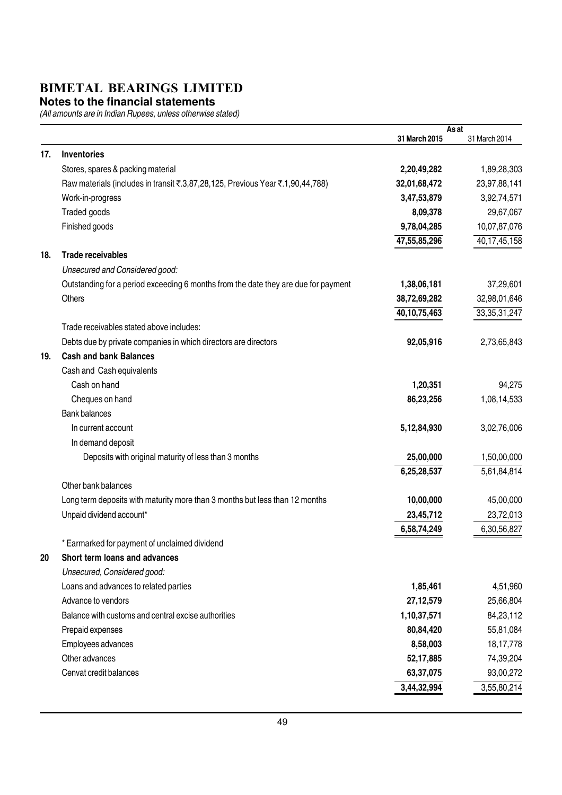#### **Notes to the financial statements**

|     |                                                                                    |                 | As at           |
|-----|------------------------------------------------------------------------------------|-----------------|-----------------|
|     |                                                                                    | 31 March 2015   | 31 March 2014   |
| 17. | Inventories                                                                        |                 |                 |
|     | Stores, spares & packing material                                                  | 2,20,49,282     | 1,89,28,303     |
|     | Raw materials (includes in transit ₹.3,87,28,125, Previous Year ₹.1,90,44,788)     | 32,01,68,472    | 23,97,88,141    |
|     | Work-in-progress                                                                   | 3,47,53,879     | 3,92,74,571     |
|     | Traded goods                                                                       | 8,09,378        | 29,67,067       |
|     | Finished goods                                                                     | 9,78,04,285     | 10,07,87,076    |
|     |                                                                                    | 47,55,85,296    | 40, 17, 45, 158 |
| 18. | <b>Trade receivables</b>                                                           |                 |                 |
|     | Unsecured and Considered good:                                                     |                 |                 |
|     | Outstanding for a period exceeding 6 months from the date they are due for payment | 1,38,06,181     | 37,29,601       |
|     | <b>Others</b>                                                                      | 38,72,69,282    | 32,98,01,646    |
|     |                                                                                    | 40, 10, 75, 463 | 33, 35, 31, 247 |
|     | Trade receivables stated above includes:                                           |                 |                 |
|     | Debts due by private companies in which directors are directors                    | 92,05,916       | 2,73,65,843     |
| 19. | <b>Cash and bank Balances</b>                                                      |                 |                 |
|     | Cash and Cash equivalents                                                          |                 |                 |
|     | Cash on hand                                                                       | 1,20,351        | 94,275          |
|     | Cheques on hand                                                                    | 86,23,256       | 1,08,14,533     |
|     | <b>Bank balances</b>                                                               |                 |                 |
|     | In current account                                                                 | 5,12,84,930     | 3,02,76,006     |
|     | In demand deposit                                                                  |                 |                 |
|     | Deposits with original maturity of less than 3 months                              | 25,00,000       | 1,50,00,000     |
|     |                                                                                    | 6,25,28,537     | 5,61,84,814     |
|     | Other bank balances                                                                |                 |                 |
|     | Long term deposits with maturity more than 3 months but less than 12 months        | 10,00,000       | 45,00,000       |
|     | Unpaid dividend account*                                                           | 23,45,712       | 23,72,013       |
|     |                                                                                    | 6,58,74,249     | 6,30,56,827     |
|     | * Earmarked for payment of unclaimed dividend                                      |                 |                 |
| 20  | Short term loans and advances                                                      |                 |                 |
|     | Unsecured, Considered good:                                                        |                 |                 |
|     | Loans and advances to related parties                                              | 1,85,461        | 4,51,960        |
|     | Advance to vendors                                                                 | 27, 12, 579     | 25,66,804       |
|     | Balance with customs and central excise authorities                                | 1,10,37,571     | 84,23,112       |
|     | Prepaid expenses                                                                   | 80,84,420       | 55,81,084       |
|     | Employees advances                                                                 | 8,58,003        | 18, 17, 778     |
|     | Other advances                                                                     | 52, 17, 885     | 74,39,204       |
|     | Cenvat credit balances                                                             | 63,37,075       | 93,00,272       |
|     |                                                                                    | 3,44,32,994     | 3,55,80,214     |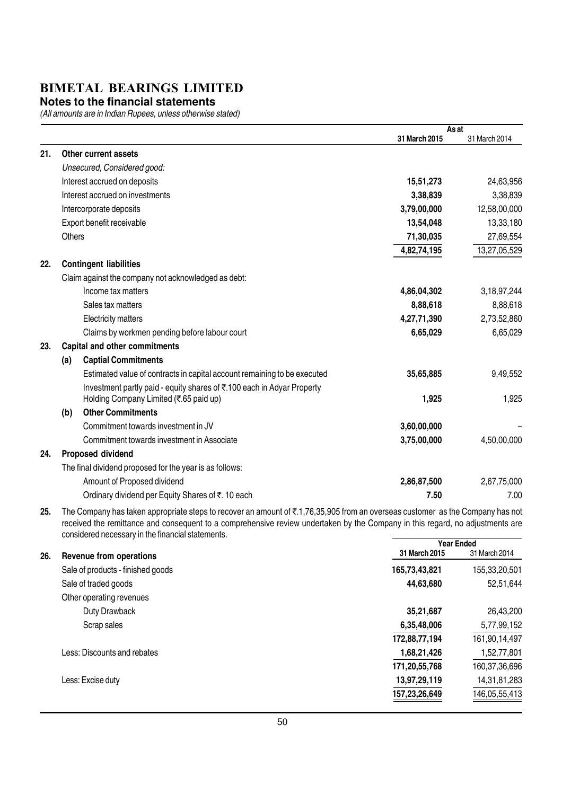#### **Notes to the financial statements**

(All amounts are in Indian Rupees, unless otherwise stated)

|     |                                                                                                                                          |               | As at         |
|-----|------------------------------------------------------------------------------------------------------------------------------------------|---------------|---------------|
|     |                                                                                                                                          | 31 March 2015 | 31 March 2014 |
| 21. | Other current assets                                                                                                                     |               |               |
|     | Unsecured, Considered good:                                                                                                              |               |               |
|     | Interest accrued on deposits                                                                                                             | 15,51,273     | 24,63,956     |
|     | Interest accrued on investments                                                                                                          | 3,38,839      | 3,38,839      |
|     | Intercorporate deposits                                                                                                                  | 3,79,00,000   | 12,58,00,000  |
|     | Export benefit receivable                                                                                                                | 13,54,048     | 13,33,180     |
|     | <b>Others</b>                                                                                                                            | 71,30,035     | 27,69,554     |
|     |                                                                                                                                          | 4,82,74,195   | 13,27,05,529  |
| 22. | <b>Contingent liabilities</b>                                                                                                            |               |               |
|     | Claim against the company not acknowledged as debt:                                                                                      |               |               |
|     | Income tax matters                                                                                                                       | 4,86,04,302   | 3,18,97,244   |
|     | Sales tax matters                                                                                                                        | 8,88,618      | 8,88,618      |
|     | <b>Electricity matters</b>                                                                                                               | 4,27,71,390   | 2,73,52,860   |
|     | Claims by workmen pending before labour court                                                                                            | 6,65,029      | 6,65,029      |
| 23. | <b>Capital and other commitments</b>                                                                                                     |               |               |
|     | <b>Captial Commitments</b><br>(a)                                                                                                        |               |               |
|     | Estimated value of contracts in capital account remaining to be executed                                                                 | 35,65,885     | 9,49,552      |
|     | Investment partly paid - equity shares of ₹.100 each in Adyar Property<br>Holding Company Limited (₹.65 paid up)                         | 1,925         | 1,925         |
|     | <b>Other Commitments</b><br>(b)                                                                                                          |               |               |
|     | Commitment towards investment in JV                                                                                                      | 3,60,00,000   |               |
|     | Commitment towards investment in Associate                                                                                               | 3,75,00,000   | 4,50,00,000   |
| 24. | Proposed dividend                                                                                                                        |               |               |
|     | The final dividend proposed for the year is as follows:                                                                                  |               |               |
|     | Amount of Proposed dividend                                                                                                              | 2,86,87,500   | 2,67,75,000   |
|     | Ordinary dividend per Equity Shares of ₹. 10 each                                                                                        | 7.50          | 7.00          |
| ባደ  | The Company has taken appropriate stape to resource an amount of $\bar{x}$ 1.76.25.005 from an overseas quetamer, as the Company has not |               |               |
|     |                                                                                                                                          |               |               |

25. The Company has taken appropriate steps to recover an amount of ₹.1,76,35,905 from an overseas customer as the Company has not received the remittance and consequent to a comprehensive review undertaken by the Company in this regard, no adjustments are considered necessary in the financial statements.

|     |                                   | <b>Year Ended</b> |               |  |
|-----|-----------------------------------|-------------------|---------------|--|
| 26. | Revenue from operations           | 31 March 2015     | 31 March 2014 |  |
|     | Sale of products - finished goods | 165,73,43,821     | 155,33,20,501 |  |
|     | Sale of traded goods              | 44,63,680         | 52,51,644     |  |
|     | Other operating revenues          |                   |               |  |
|     | Duty Drawback                     | 35,21,687         | 26,43,200     |  |
|     | Scrap sales                       | 6,35,48,006       | 5,77,99,152   |  |
|     |                                   | 172,88,77,194     | 161,90,14,497 |  |
|     | Less: Discounts and rebates       | 1,68,21,426       | 1,52,77,801   |  |
|     |                                   | 171,20,55,768     | 160,37,36,696 |  |
|     | Less: Excise duty                 | 13,97,29,119      | 14,31,81,283  |  |
|     |                                   | 157,23,26,649     | 146,05,55,413 |  |
|     |                                   |                   |               |  |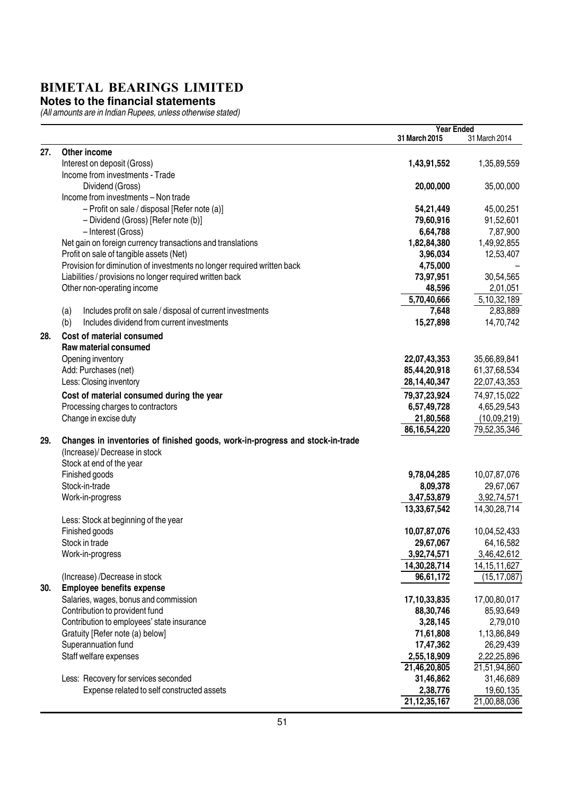#### **Notes to the financial statements**

|     |                                                                               | <b>Year Ended</b> |                 |
|-----|-------------------------------------------------------------------------------|-------------------|-----------------|
|     |                                                                               | 31 March 2015     | 31 March 2014   |
| 27. | Other income                                                                  |                   |                 |
|     | Interest on deposit (Gross)                                                   | 1,43,91,552       | 1,35,89,559     |
|     | Income from investments - Trade                                               |                   |                 |
|     | Dividend (Gross)                                                              | 20,00,000         | 35,00,000       |
|     | Income from investments - Non trade                                           |                   |                 |
|     | - Profit on sale / disposal [Refer note (a)]                                  | 54,21,449         | 45,00,251       |
|     | - Dividend (Gross) [Refer note (b)]                                           | 79,60,916         | 91,52,601       |
|     | - Interest (Gross)                                                            | 6,64,788          | 7,87,900        |
|     | Net gain on foreign currency transactions and translations                    | 1,82,84,380       | 1,49,92,855     |
|     | Profit on sale of tangible assets (Net)                                       | 3,96,034          | 12,53,407       |
|     | Provision for diminution of investments no longer required written back       | 4,75,000          |                 |
|     | Liabilities / provisions no longer required written back                      | 73,97,951         | 30,54,565       |
|     | Other non-operating income                                                    | 48,596            | 2,01,051        |
|     |                                                                               | 5,70,40,666       | 5, 10, 32, 189  |
|     | Includes profit on sale / disposal of current investments<br>(a)              | 7,648             | 2,83,889        |
|     | Includes dividend from current investments<br>(b)                             | 15,27,898         | 14,70,742       |
|     |                                                                               |                   |                 |
| 28. | Cost of material consumed                                                     |                   |                 |
|     | Raw material consumed                                                         |                   |                 |
|     | Opening inventory                                                             | 22,07,43,353      | 35,66,89,841    |
|     | Add: Purchases (net)                                                          | 85,44,20,918      | 61,37,68,534    |
|     | Less: Closing inventory                                                       | 28, 14, 40, 347   | 22,07,43,353    |
|     | Cost of material consumed during the year                                     | 79, 37, 23, 924   | 74,97,15,022    |
|     | Processing charges to contractors                                             | 6,57,49,728       | 4,65,29,543     |
|     | Change in excise duty                                                         | 21,80,568         | (10,09,219)     |
|     |                                                                               | 86, 16, 54, 220   | 79,52,35,346    |
| 29. | Changes in inventories of finished goods, work-in-progress and stock-in-trade |                   |                 |
|     | (Increase)/ Decrease in stock                                                 |                   |                 |
|     | Stock at end of the year                                                      |                   |                 |
|     | Finished goods                                                                | 9,78,04,285       | 10,07,87,076    |
|     | Stock-in-trade                                                                | 8,09,378          | 29,67,067       |
|     | Work-in-progress                                                              | 3,47,53,879       | 3,92,74,571     |
|     |                                                                               | 13,33,67,542      | 14,30,28,714    |
|     | Less: Stock at beginning of the year                                          |                   |                 |
|     | Finished goods                                                                | 10,07,87,076      | 10,04,52,433    |
|     | Stock in trade                                                                | 29,67,067         | 64,16,582       |
|     | Work-in-progress                                                              | 3,92,74,571       | 3,46,42,612     |
|     |                                                                               | 14,30,28,714      | 14, 15, 11, 627 |
|     | (Increase) /Decrease in stock                                                 | 96,61,172         | (15, 17, 087)   |
| 30. | <b>Employee benefits expense</b>                                              |                   |                 |
|     | Salaries, wages, bonus and commission                                         | 17,10,33,835      | 17,00,80,017    |
|     | Contribution to provident fund                                                | 88,30,746         | 85,93,649       |
|     | Contribution to employees' state insurance                                    | 3,28,145          | 2,79,010        |
|     | Gratuity [Refer note (a) below]                                               | 71,61,808         | 1,13,86,849     |
|     | Superannuation fund                                                           | 17,47,362         | 26,29,439       |
|     | Staff welfare expenses                                                        | 2,55,18,909       | 2,22,25,896     |
|     |                                                                               | 21,46,20,805      | 21,51,94,860    |
|     | Less: Recovery for services seconded                                          | 31,46,862         | 31,46,689       |
|     | Expense related to self constructed assets                                    | 2,38,776          | 19,60,135       |
|     |                                                                               | 21, 12, 35, 167   | 21,00,88,036    |
|     |                                                                               |                   |                 |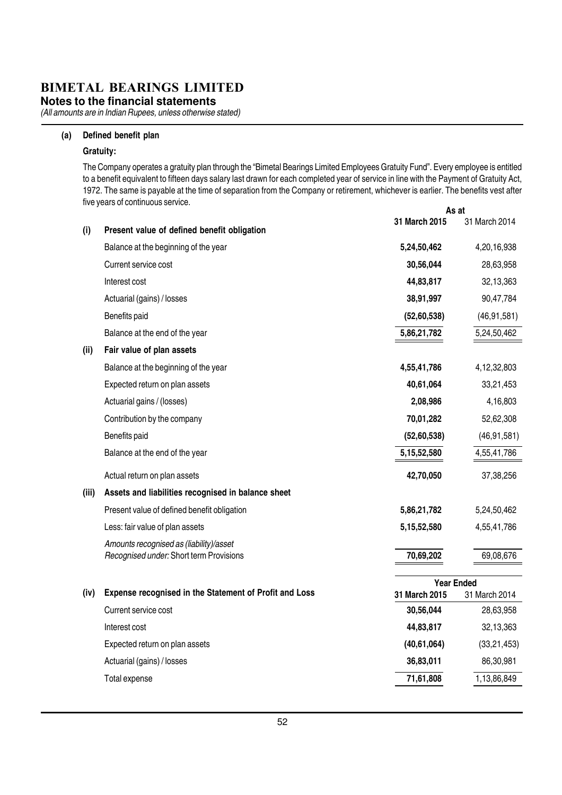**Notes to the financial statements**

(All amounts are in Indian Rupees, unless otherwise stated)

#### (a) Defined benefit plan

#### Gratuity:

As at The Company operates a gratuity plan through the "Bimetal Bearings Limited Employees Gratuity Fund". Every employee is entitled to a benefit equivalent to fifteen days salary last drawn for each completed year of service in line with the Payment of Gratuity Act, 1972. The same is payable at the time of separation from the Company or retirement, whichever is earlier. The benefits vest after five years of continuous service.

|       |                                                        | 31 March 2015     | 31 March 2014 |
|-------|--------------------------------------------------------|-------------------|---------------|
| (i)   | Present value of defined benefit obligation            |                   |               |
|       | Balance at the beginning of the year                   | 5,24,50,462       | 4,20,16,938   |
|       | Current service cost                                   | 30,56,044         | 28,63,958     |
|       | Interest cost                                          | 44,83,817         | 32,13,363     |
|       | Actuarial (gains) / losses                             | 38,91,997         | 90,47,784     |
|       | Benefits paid                                          | (52,60,538)       | (46, 91, 581) |
|       | Balance at the end of the year                         | 5,86,21,782       | 5,24,50,462   |
| (ii)  | Fair value of plan assets                              |                   |               |
|       | Balance at the beginning of the year                   | 4,55,41,786       | 4,12,32,803   |
|       | Expected return on plan assets                         | 40,61,064         | 33,21,453     |
|       | Actuarial gains / (losses)                             | 2,08,986          | 4,16,803      |
|       | Contribution by the company                            | 70,01,282         | 52,62,308     |
|       | Benefits paid                                          | (52,60,538)       | (46, 91, 581) |
|       | Balance at the end of the year                         | 5, 15, 52, 580    | 4,55,41,786   |
|       | Actual return on plan assets                           | 42,70,050         | 37,38,256     |
| (iii) | Assets and liabilities recognised in balance sheet     |                   |               |
|       | Present value of defined benefit obligation            | 5,86,21,782       | 5,24,50,462   |
|       | Less: fair value of plan assets                        | 5,15,52,580       | 4,55,41,786   |
|       | Amounts recognised as (liability)/asset                |                   |               |
|       | Recognised under: Short term Provisions                | 70,69,202         | 69,08,676     |
|       |                                                        | <b>Year Ended</b> |               |
| (iv)  | Expense recognised in the Statement of Profit and Loss | 31 March 2015     | 31 March 2014 |
|       | Current service cost                                   | 30,56,044         | 28,63,958     |
|       | Interest cost                                          | 44,83,817         | 32,13,363     |
|       | Expected return on plan assets                         | (40, 61, 064)     | (33, 21, 453) |
|       | Actuarial (gains) / losses                             | 36,83,011         | 86,30,981     |
|       | Total expense                                          | 71,61,808         | 1,13,86,849   |
|       |                                                        |                   |               |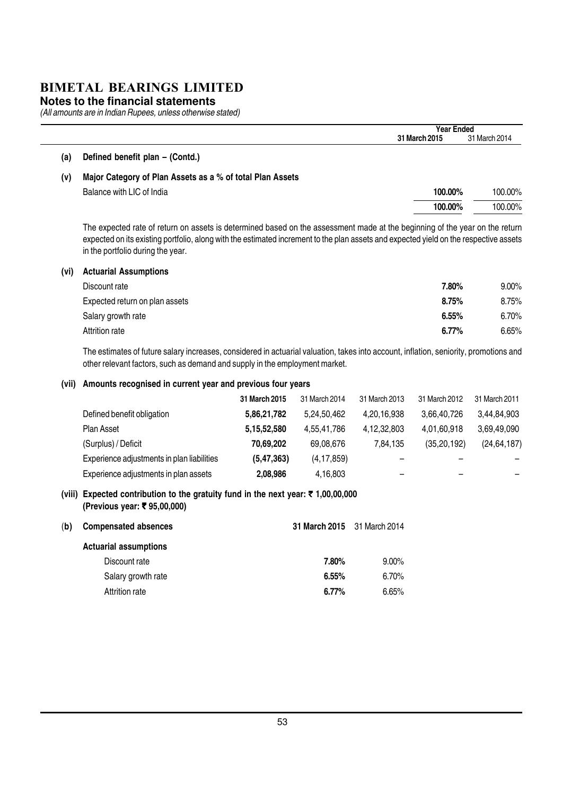#### **Notes to the financial statements**

L.

(All amounts are in Indian Rupees, unless otherwise stated)

|       | <b>Year Ended</b>                                                                                                                                                                                                                                                                                         |                            |
|-------|-----------------------------------------------------------------------------------------------------------------------------------------------------------------------------------------------------------------------------------------------------------------------------------------------------------|----------------------------|
|       | 31 March 2015                                                                                                                                                                                                                                                                                             | 31 March 2014              |
| (a)   | Defined benefit plan - (Contd.)                                                                                                                                                                                                                                                                           |                            |
| (v)   | Major Category of Plan Assets as a % of total Plan Assets                                                                                                                                                                                                                                                 |                            |
|       | Balance with LIC of India<br>100.00%                                                                                                                                                                                                                                                                      | 100.00%                    |
|       | 100.00%                                                                                                                                                                                                                                                                                                   | 100.00%                    |
|       | The expected rate of return on assets is determined based on the assessment made at the beginning of the year on the return<br>expected on its existing portfolio, along with the estimated increment to the plan assets and expected yield on the respective assets<br>in the portfolio during the year. |                            |
|       |                                                                                                                                                                                                                                                                                                           |                            |
|       | <b>Actuarial Assumptions</b>                                                                                                                                                                                                                                                                              |                            |
|       | 7.80%<br>Discount rate                                                                                                                                                                                                                                                                                    |                            |
|       | 8.75%<br>Expected return on plan assets                                                                                                                                                                                                                                                                   |                            |
|       | 6.55%<br>Salary growth rate                                                                                                                                                                                                                                                                               | $9.00\%$<br>8.75%<br>6.70% |
|       | Attrition rate<br>6.77%                                                                                                                                                                                                                                                                                   |                            |
| (vi)  | The estimates of future salary increases, considered in actuarial valuation, takes into account, inflation, seniority, promotions and<br>other relevant factors, such as demand and supply in the employment market.                                                                                      |                            |
| (vii) | Amounts recognised in current year and previous four years                                                                                                                                                                                                                                                | 6.65%                      |

| Defined benefit obligation                 | 5,86,21,782  | 5.24.50.462  | 4,20,16,938 | 3,66,40,726   | 3,44,84,903   |
|--------------------------------------------|--------------|--------------|-------------|---------------|---------------|
| Plan Asset                                 | 5,15,52,580  | 4.55.41.786  | 4,12,32,803 | 4,01,60,918   | 3,69,49,090   |
| (Surplus) / Deficit                        | 70.69.202    | 69.08.676    | 7.84.135    | (35, 20, 192) | (24, 64, 187) |
| Experience adjustments in plan liabilities | (5, 47, 363) | (4, 17, 859) | -           |               |               |
| Experience adjustments in plan assets      | 2,08,986     | 4,16,803     | -           | -             |               |

#### (viii) Expected contribution to the gratuity fund in the next year:  $\bar{\tau}$  1,00,00,000 (Previous year: ₹ 95,00,000)

| <b>Compensated absences</b>  |          |                             |  |
|------------------------------|----------|-----------------------------|--|
| <b>Actuarial assumptions</b> |          |                             |  |
| Discount rate                | 7.80%    | $9.00\%$                    |  |
| Salary growth rate           | 6.55%    | 6.70%                       |  |
| Attrition rate               | $6.77\%$ | 6.65%                       |  |
|                              |          | 31 March 2015 31 March 2014 |  |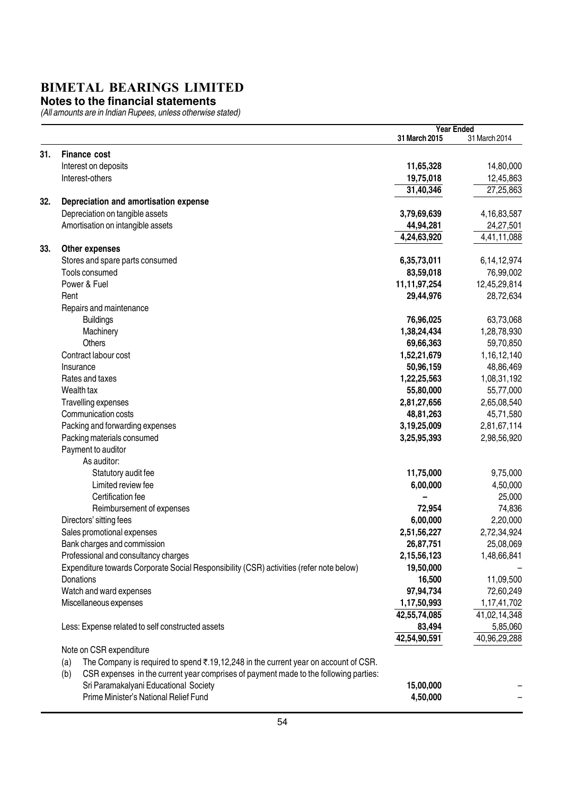#### **Notes to the financial statements**

|     |                                                                                             |                 | <b>Year Ended</b> |
|-----|---------------------------------------------------------------------------------------------|-----------------|-------------------|
|     |                                                                                             | 31 March 2015   | 31 March 2014     |
| 31. | <b>Finance cost</b>                                                                         |                 |                   |
|     | Interest on deposits                                                                        | 11,65,328       | 14,80,000         |
|     | Interest-others                                                                             | 19,75,018       | 12,45,863         |
|     |                                                                                             | 31,40,346       | 27,25,863         |
| 32. | Depreciation and amortisation expense                                                       |                 |                   |
|     | Depreciation on tangible assets                                                             | 3,79,69,639     | 4, 16, 83, 587    |
|     | Amortisation on intangible assets                                                           | 44,94,281       | 24,27,501         |
|     |                                                                                             | 4,24,63,920     | 4,41,11,088       |
| 33. | Other expenses                                                                              |                 |                   |
|     | Stores and spare parts consumed                                                             | 6,35,73,011     | 6,14,12,974       |
|     | Tools consumed                                                                              | 83,59,018       | 76,99,002         |
|     | Power & Fuel                                                                                | 11, 11, 97, 254 | 12,45,29,814      |
|     | Rent                                                                                        | 29,44,976       | 28,72,634         |
|     | Repairs and maintenance                                                                     |                 |                   |
|     | <b>Buildings</b>                                                                            | 76,96,025       | 63,73,068         |
|     | Machinery                                                                                   | 1,38,24,434     | 1,28,78,930       |
|     | Others                                                                                      | 69,66,363       | 59,70,850         |
|     | Contract labour cost                                                                        | 1,52,21,679     | 1, 16, 12, 140    |
|     | Insurance                                                                                   | 50,96,159       | 48,86,469         |
|     | Rates and taxes                                                                             | 1,22,25,563     | 1,08,31,192       |
|     | Wealth tax                                                                                  | 55,80,000       | 55,77,000         |
|     | Travelling expenses                                                                         | 2,81,27,656     | 2,65,08,540       |
|     | Communication costs                                                                         | 48,81,263       | 45,71,580         |
|     | Packing and forwarding expenses                                                             | 3,19,25,009     | 2,81,67,114       |
|     | Packing materials consumed                                                                  | 3,25,95,393     | 2,98,56,920       |
|     | Payment to auditor                                                                          |                 |                   |
|     | As auditor:                                                                                 |                 |                   |
|     | Statutory audit fee                                                                         | 11,75,000       | 9,75,000          |
|     | Limited review fee                                                                          | 6,00,000        | 4,50,000          |
|     | Certification fee                                                                           |                 | 25,000            |
|     | Reimbursement of expenses                                                                   | 72,954          | 74,836            |
|     | Directors' sitting fees                                                                     | 6,00,000        | 2,20,000          |
|     | Sales promotional expenses                                                                  | 2,51,56,227     | 2,72,34,924       |
|     | Bank charges and commission                                                                 | 26,87,751       | 25,08,069         |
|     | Professional and consultancy charges                                                        | 2,15,56,123     | 1,48,66,841       |
|     | Expenditure towards Corporate Social Responsibility (CSR) activities (refer note below)     | 19,50,000       |                   |
|     | Donations                                                                                   | 16,500          | 11,09,500         |
|     | Watch and ward expenses                                                                     | 97,94,734       | 72,60,249         |
|     | Miscellaneous expenses                                                                      | 1,17,50,993     | 1,17,41,702       |
|     |                                                                                             | 42,55,74,085    | 41,02,14,348      |
|     | Less: Expense related to self constructed assets                                            | 83,494          | 5,85,060          |
|     |                                                                                             | 42,54,90,591    | 40,96,29,288      |
|     | Note on CSR expenditure                                                                     |                 |                   |
|     | The Company is required to spend ₹.19,12,248 in the current year on account of CSR.<br>(a)  |                 |                   |
|     | CSR expenses in the current year comprises of payment made to the following parties:<br>(b) |                 |                   |
|     | Sri Paramakalyani Educational Society                                                       | 15,00,000       |                   |
|     | Prime Minister's National Relief Fund                                                       | 4,50,000        |                   |
|     |                                                                                             |                 |                   |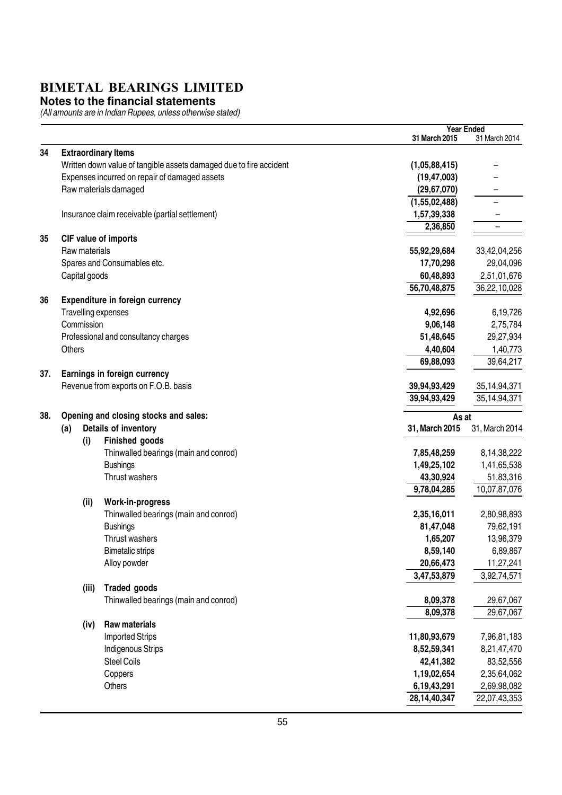#### **Notes to the financial statements**

|     |                            |                                                                    | <b>Year Ended</b> |                 |
|-----|----------------------------|--------------------------------------------------------------------|-------------------|-----------------|
|     |                            |                                                                    | 31 March 2015     | 31 March 2014   |
| 34  | <b>Extraordinary Items</b> |                                                                    |                   |                 |
|     |                            | Written down value of tangible assets damaged due to fire accident | (1,05,88,415)     |                 |
|     |                            | Expenses incurred on repair of damaged assets                      | (19, 47, 003)     |                 |
|     |                            | Raw materials damaged                                              | (29, 67, 070)     |                 |
|     |                            |                                                                    | (1,55,02,488)     |                 |
|     |                            | Insurance claim receivable (partial settlement)                    | 1,57,39,338       |                 |
|     |                            |                                                                    | 2,36,850          |                 |
| 35  |                            | CIF value of imports                                               |                   |                 |
|     | Raw materials              |                                                                    | 55,92,29,684      | 33,42,04,256    |
|     |                            | Spares and Consumables etc.                                        | 17,70,298         | 29,04,096       |
|     | Capital goods              |                                                                    | 60,48,893         | 2,51,01,676     |
|     |                            |                                                                    | 56,70,48,875      | 36,22,10,028    |
| 36  |                            | Expenditure in foreign currency                                    |                   |                 |
|     | Travelling expenses        |                                                                    | 4,92,696          | 6,19,726        |
|     | Commission                 |                                                                    | 9,06,148          | 2,75,784        |
|     |                            | Professional and consultancy charges                               | 51,48,645         | 29,27,934       |
|     | <b>Others</b>              |                                                                    | 4,40,604          | 1,40,773        |
|     |                            |                                                                    | 69,88,093         | 39,64,217       |
| 37. |                            | Earnings in foreign currency                                       |                   |                 |
|     |                            | Revenue from exports on F.O.B. basis                               | 39,94,93,429      | 35, 14, 94, 371 |
|     |                            |                                                                    | 39,94,93,429      | 35, 14, 94, 371 |
|     |                            |                                                                    |                   |                 |
| 38. |                            | Opening and closing stocks and sales:                              | As at             |                 |
|     | (a)                        | Details of inventory                                               | 31, March 2015    | 31, March 2014  |
|     | (i)                        | Finished goods                                                     |                   |                 |
|     |                            | Thinwalled bearings (main and conrod)                              | 7,85,48,259       | 8,14,38,222     |
|     |                            | <b>Bushings</b>                                                    | 1,49,25,102       | 1,41,65,538     |
|     |                            | Thrust washers                                                     | 43,30,924         | 51,83,316       |
|     |                            |                                                                    | 9,78,04,285       | 10,07,87,076    |
|     | (ii)                       | Work-in-progress                                                   |                   |                 |
|     |                            | Thinwalled bearings (main and conrod)                              | 2,35,16,011       | 2,80,98,893     |
|     |                            | <b>Bushings</b>                                                    | 81,47,048         | 79,62,191       |
|     |                            | Thrust washers                                                     | 1,65,207          | 13,96,379       |
|     |                            | <b>Bimetalic strips</b>                                            | 8,59,140          | 6,89,867        |
|     |                            | Alloy powder                                                       | 20,66,473         | 11,27,241       |
|     |                            |                                                                    | 3,47,53,879       | 3,92,74,571     |
|     | (iii)                      | <b>Traded goods</b>                                                |                   |                 |
|     |                            | Thinwalled bearings (main and conrod)                              | 8,09,378          | 29,67,067       |
|     |                            |                                                                    | 8,09,378          | 29,67,067       |
|     | (iv)                       | <b>Raw materials</b>                                               |                   |                 |
|     |                            | <b>Imported Strips</b>                                             | 11,80,93,679      | 7,96,81,183     |
|     |                            | Indigenous Strips                                                  | 8,52,59,341       | 8,21,47,470     |
|     |                            | <b>Steel Coils</b>                                                 | 42,41,382         | 83,52,556       |
|     |                            | Coppers                                                            | 1,19,02,654       | 2,35,64,062     |
|     |                            | Others                                                             | 6,19,43,291       | 2,69,98,082     |
|     |                            |                                                                    | 28,14,40,347      | 22,07,43,353    |
|     |                            |                                                                    |                   |                 |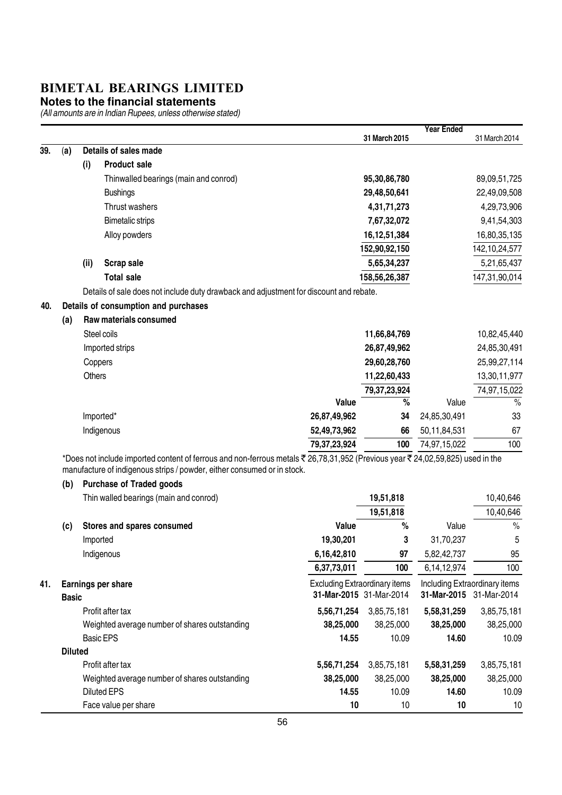#### **Notes to the financial statements**

|     |                |               |                                                                                                                              |                                      |                 | <b>Year Ended</b> |                               |
|-----|----------------|---------------|------------------------------------------------------------------------------------------------------------------------------|--------------------------------------|-----------------|-------------------|-------------------------------|
|     |                |               |                                                                                                                              |                                      | 31 March 2015   |                   | 31 March 2014                 |
| 39. | (a)            |               | Details of sales made                                                                                                        |                                      |                 |                   |                               |
|     |                | (i)           | <b>Product sale</b>                                                                                                          |                                      |                 |                   |                               |
|     |                |               | Thinwalled bearings (main and conrod)                                                                                        |                                      | 95,30,86,780    |                   | 89,09,51,725                  |
|     |                |               | <b>Bushings</b>                                                                                                              |                                      | 29,48,50,641    |                   | 22,49,09,508                  |
|     |                |               | Thrust washers                                                                                                               |                                      | 4,31,71,273     |                   | 4,29,73,906                   |
|     |                |               | <b>Bimetalic strips</b>                                                                                                      |                                      | 7,67,32,072     |                   | 9,41,54,303                   |
|     |                |               | Alloy powders                                                                                                                |                                      | 16, 12, 51, 384 |                   | 16,80,35,135                  |
|     |                |               |                                                                                                                              |                                      | 152,90,92,150   |                   | 142, 10, 24, 577              |
|     |                | (iii)         | <b>Scrap sale</b>                                                                                                            |                                      | 5,65,34,237     |                   | 5,21,65,437                   |
|     |                |               | <b>Total sale</b>                                                                                                            |                                      | 158,56,26,387   |                   | 147,31,90,014                 |
|     |                |               | Details of sale does not include duty drawback and adjustment for discount and rebate.                                       |                                      |                 |                   |                               |
| 40. |                |               | Details of consumption and purchases                                                                                         |                                      |                 |                   |                               |
|     | (a)            |               | Raw materials consumed                                                                                                       |                                      |                 |                   |                               |
|     |                |               | Steel coils                                                                                                                  |                                      | 11,66,84,769    |                   | 10,82,45,440                  |
|     |                |               | Imported strips                                                                                                              |                                      | 26,87,49,962    |                   | 24,85,30,491                  |
|     |                | Coppers       |                                                                                                                              |                                      | 29,60,28,760    |                   | 25,99,27,114                  |
|     |                | <b>Others</b> |                                                                                                                              |                                      | 11,22,60,433    |                   | 13,30,11,977                  |
|     |                |               |                                                                                                                              |                                      | 79, 37, 23, 924 |                   | 74,97,15,022                  |
|     |                |               |                                                                                                                              | Value                                | $\overline{\%}$ | Value             | $\frac{0}{0}$                 |
|     |                |               | Imported*                                                                                                                    | 26,87,49,962                         | 34              | 24,85,30,491      | 33                            |
|     |                |               | Indigenous                                                                                                                   | 52,49,73,962                         | 66              | 50,11,84,531      | 67                            |
|     |                |               |                                                                                                                              | 79, 37, 23, 924                      | 100             | 74,97,15,022      | 100                           |
|     |                |               | *Does not include imported content of ferrous and non-ferrous metals ₹26,78,31,952 (Previous year ₹24,02,59,825) used in the |                                      |                 |                   |                               |
|     |                |               | manufacture of indigenous strips / powder, either consumed or in stock.                                                      |                                      |                 |                   |                               |
|     | (b)            |               | <b>Purchase of Traded goods</b>                                                                                              |                                      |                 |                   |                               |
|     |                |               | Thin walled bearings (main and conrod)                                                                                       |                                      | 19,51,818       |                   | 10,40,646                     |
|     |                |               |                                                                                                                              |                                      | 19,51,818       |                   | 10,40,646                     |
|     | (c)            |               | Stores and spares consumed                                                                                                   | Value                                | $\%$            | Value             | $\%$                          |
|     |                | Imported      |                                                                                                                              | 19,30,201                            | 3               | 31,70,237         | 5                             |
|     |                |               | Indigenous                                                                                                                   | 6,16,42,810                          | 97              | 5,82,42,737       | 95                            |
|     |                |               |                                                                                                                              | 6,37,73,011                          | 100             | 6,14,12,974       | 100                           |
| 41. |                |               | Earnings per share                                                                                                           | <b>Excluding Extraordinary items</b> |                 |                   | Including Extraordinary items |
|     | <b>Basic</b>   |               |                                                                                                                              | 31-Mar-2015 31-Mar-2014              |                 |                   | 31-Mar-2015 31-Mar-2014       |
|     |                |               | Profit after tax                                                                                                             | 5,56,71,254                          | 3,85,75,181     | 5,58,31,259       | 3,85,75,181                   |
|     |                |               | Weighted average number of shares outstanding                                                                                | 38,25,000                            | 38,25,000       | 38,25,000         | 38,25,000                     |
|     |                |               | <b>Basic EPS</b>                                                                                                             | 14.55                                | 10.09           | 14.60             | 10.09                         |
|     | <b>Diluted</b> |               |                                                                                                                              |                                      |                 |                   |                               |
|     |                |               | Profit after tax                                                                                                             | 5,56,71,254                          | 3,85,75,181     | 5,58,31,259       | 3,85,75,181                   |
|     |                |               | Weighted average number of shares outstanding                                                                                | 38,25,000                            | 38,25,000       | 38,25,000         | 38,25,000                     |
|     |                |               | <b>Diluted EPS</b>                                                                                                           | 14.55                                | 10.09           | 14.60             | 10.09                         |
|     |                |               | Face value per share                                                                                                         | 10                                   | 10              | 10                | 10                            |
|     |                |               |                                                                                                                              |                                      |                 |                   |                               |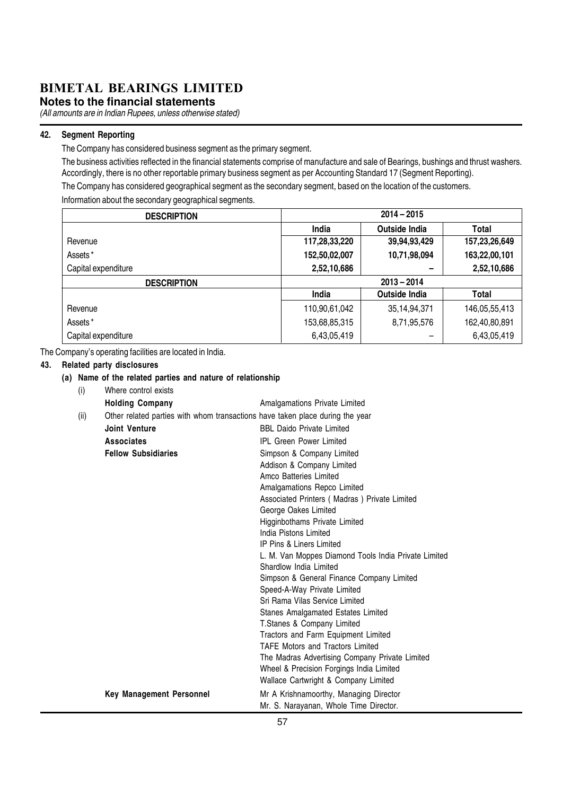**Notes to the financial statements**

(All amounts are in Indian Rupees, unless otherwise stated)

#### 42. Segment Reporting

The Company has considered business segment as the primary segment.

The business activities reflected in the financial statements comprise of manufacture and sale of Bearings, bushings and thrust washers. Accordingly, there is no other reportable primary business segment as per Accounting Standard 17 (Segment Reporting).

The Company has considered geographical segment as the secondary segment, based on the location of the customers. Information about the secondary geographical segments.

| <b>DESCRIPTION</b>  | $2014 - 2015$ |                 |               |  |
|---------------------|---------------|-----------------|---------------|--|
|                     | India         | Outside India   | Total         |  |
| Revenue             | 117,28,33,220 | 39,94,93,429    | 157,23,26,649 |  |
| Assets*             | 152,50,02,007 | 10,71,98,094    | 163,22,00,101 |  |
| Capital expenditure | 2,52,10,686   |                 | 2,52,10,686   |  |
| <b>DESCRIPTION</b>  | $2013 - 2014$ |                 |               |  |
|                     | India         | Outside India   | Total         |  |
| Revenue             | 110,90,61,042 | 35, 14, 94, 371 | 146,05,55,413 |  |
| Assets*             | 153,68,85,315 | 8,71,95,576     | 162,40,80,891 |  |
| Capital expenditure | 6,43,05,419   |                 | 6,43,05,419   |  |

The Company's operating facilities are located in India.

#### 43. Related party disclosures

#### (a) Name of the related parties and nature of relationship

| (i)  | Where control exists                                                          |                                                                                  |
|------|-------------------------------------------------------------------------------|----------------------------------------------------------------------------------|
|      | <b>Holding Company</b>                                                        | Amalgamations Private Limited                                                    |
| (ii) | Other related parties with whom transactions have taken place during the year |                                                                                  |
|      | <b>Joint Venture</b>                                                          | <b>BBL Daido Private Limited</b>                                                 |
|      | Associates                                                                    | <b>IPL Green Power Limited</b>                                                   |
|      | <b>Fellow Subsidiaries</b>                                                    | Simpson & Company Limited                                                        |
|      |                                                                               | Addison & Company Limited<br>Amco Batteries Limited                              |
|      |                                                                               | Amalgamations Repco Limited                                                      |
|      |                                                                               | Associated Printers (Madras) Private Limited                                     |
|      |                                                                               | George Oakes Limited                                                             |
|      |                                                                               | Higginbothams Private Limited                                                    |
|      |                                                                               | India Pistons Limited                                                            |
|      |                                                                               | IP Pins & Liners Limited                                                         |
|      |                                                                               | L. M. Van Moppes Diamond Tools India Private Limited                             |
|      |                                                                               | Shardlow India Limited                                                           |
|      |                                                                               | Simpson & General Finance Company Limited                                        |
|      |                                                                               | Speed-A-Way Private Limited                                                      |
|      |                                                                               | Sri Rama Vilas Service Limited                                                   |
|      |                                                                               | Stanes Amalgamated Estates Limited                                               |
|      |                                                                               | T.Stanes & Company Limited                                                       |
|      |                                                                               | Tractors and Farm Equipment Limited                                              |
|      |                                                                               | <b>TAFE Motors and Tractors Limited</b>                                          |
|      |                                                                               | The Madras Advertising Company Private Limited                                   |
|      |                                                                               | Wheel & Precision Forgings India Limited<br>Wallace Cartwright & Company Limited |
|      |                                                                               |                                                                                  |
|      | <b>Key Management Personnel</b>                                               | Mr A Krishnamoorthy, Managing Director                                           |
|      |                                                                               | Mr. S. Narayanan, Whole Time Director.<br>$- -$                                  |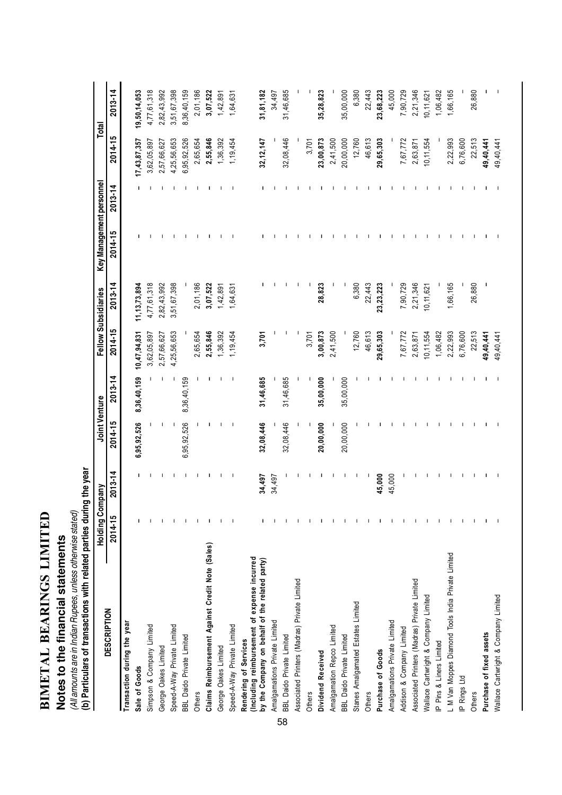| ם המידי <b>די ה</b> | $\ddot{\phantom{0}}$                             |
|---------------------|--------------------------------------------------|
|                     | ֖֖֖֖֖֖֖֖ׅׅׅ֚֚֚֚֚֚֚֚֚֚֚֚֚֬֝֝֘֡֡֬֝֡֬֝֬֝֬֝֬֝֬֝֬֝֬֝֬ |
|                     | ֚֬֝֬֝֬֝֬֝֬֝֬                                     |
| TOTAL THEFT         | l                                                |
|                     | .<br>.                                           |
| IN THE 4            |                                                  |
|                     | ׇ֦֧֢֦֧֦֧֦֧֦֧֦֧֦֧֦֧֦֧֦֧֦֧֦֧֦֧֚֚֬֓֕֓֓֕֓֓֕֓֓֡       |

# **Notes to the financial statements**

Notes to the financial statements<br>(All amounts are in Indian Rupees, unless otherwise stated)<br>(b) Particulars of transactions with related parties during the year (b) Particulars of transactions with related parties during the year (All amounts are in Indian Rupees, unless otherwise stated)

|                                                                                                                         | <b>Holding Company</b> |             | Joint Venture |             |              | Fellow Subsidiaries | Key Management personnel |             | Total        |             |
|-------------------------------------------------------------------------------------------------------------------------|------------------------|-------------|---------------|-------------|--------------|---------------------|--------------------------|-------------|--------------|-------------|
| <b>DESCRIPTION</b>                                                                                                      | 2014-15                | $2013 - 14$ | 2014-15       | 2013-14     | 2014-15      | $2013 - 14$         | $2014 - 15$              | $2013 - 14$ | 2014-15      | $2013 - 14$ |
| Transaction during the year                                                                                             |                        |             |               |             |              |                     |                          |             |              |             |
| Sale of Goods                                                                                                           |                        |             | 6,95,92,526   | 8,36,40,159 | 10,47,94,831 | 11, 13, 73, 894     |                          |             | 17,43,87,357 | 9,50,14,053 |
| Simpson & Company Limited                                                                                               |                        |             |               |             | 3,62,05,897  | 4,77,61,318         |                          |             | 3,62,05,897  | 4,77,61,318 |
| George Oakes Limited                                                                                                    |                        |             |               |             | 2,57,66,627  | 2,82,43,992         |                          |             | 2,57,66,627  | 2,82,43,992 |
| Speed-A-Way Private Limited                                                                                             |                        |             |               | ı           | 4,25,56,653  | 3,51,67,398         |                          |             | 4,25,56,653  | 3,51,67,398 |
| BBL Daido Private Limited                                                                                               |                        |             | 6,95,92,526   | 8,36,40,159 |              |                     |                          |             | 6,95,92,526  | 8,36,40,159 |
| Others                                                                                                                  |                        |             |               |             | 2,65,654     | 2,01,186            |                          |             | 2,65,654     | 2,01,186    |
| Claims Reimbursement Against Credit Note (Sales)                                                                        |                        |             |               |             | 2,55,846     | 3,07,522            |                          |             | 2,55,846     | 3,07,522    |
| George Oakes Limited                                                                                                    |                        |             |               |             | 1,36,392     | 1,42,891            |                          |             | 1,36,392     | 1,42,891    |
| Speed-A-Way Private Limited                                                                                             |                        | Т           | Т             | J.          | 1, 19, 454   | 1,64,631            |                          |             | 1,19,454     | 1,64,631    |
| (Including reimbursement of expense incurred<br>by the Company on behalf of the related party)<br>Rendering of Services |                        | 34,497      | 32,08,446     | 31,46,685   | 3,701        |                     |                          |             | 32, 12, 147  | 31,81,182   |
| Amalgamations Private Limited                                                                                           |                        | 34,497      |               |             |              |                     |                          |             |              | 34,497      |
| BBL Daido Private Limited<br>58                                                                                         |                        |             | 32,08,446     | 31,46,685   |              |                     |                          |             | 32,08,446    | 31,46,685   |
| Associated Printers (Madras) Private Limited                                                                            |                        |             |               |             |              |                     |                          |             |              |             |
| Others                                                                                                                  |                        |             |               |             | 3,701        |                     |                          |             | 3,701        |             |
| Dividend Received                                                                                                       |                        |             | 20,00,000     | 35,00,000   | 3,00,873     | 28,823              |                          |             | 23,00,873    | 35,28,823   |
| Amalgamation Repco Limited                                                                                              |                        |             |               |             | 2,41,500     |                     |                          |             | 2,41,500     |             |
| BBL Daido Private Limited                                                                                               |                        |             | 20,00,000     | 35,00,000   |              |                     |                          |             | 20,00,000    | 35,00,000   |
| Stanes Amalgamated Estates Limited                                                                                      |                        |             |               |             | 12,760       | 6,380               |                          |             | 12,760       | 6,380       |
| Others                                                                                                                  |                        |             |               |             | 46,613       | 22,443              |                          |             | 46,613       | 22,443      |
| Purchase of Goods                                                                                                       |                        | 45,000      |               |             | 29,65,303    | 23,23,223           |                          |             | 29,65,303    | 23,68,223   |
| Amalgamations Private Limited                                                                                           |                        | 45,000      |               |             |              |                     |                          |             |              | 45,000      |
| Addison & Company Limited                                                                                               |                        |             |               |             | 7,67,772     | 7,90,729            |                          |             | 7,67,772     | 7,90,729    |
| Associated Printers (Madras) Private Limited                                                                            |                        |             |               |             | 2,63,871     | 2,21,346            |                          |             | 2,63,871     | 2,21,346    |
| Wallace Cartwright & Company Limited                                                                                    |                        |             |               |             | 10, 11, 554  | 10, 11, 621         |                          |             | 10, 11, 554  | 10, 11, 62  |
| IP Pins & Liners Limited                                                                                                |                        |             |               |             | 1,06,482     |                     |                          |             |              | 1,06,482    |
| L M Van Moppes Diamond Tools India Private Limited                                                                      |                        |             |               |             | 2,22,993     | 1,66,165            |                          |             | 2,22,993     | 1,66,165    |
| IP Rings Ltd                                                                                                            |                        |             |               |             | 6,76,600     |                     |                          |             | 6,76,600     |             |
| Others                                                                                                                  |                        |             |               |             | 22,513       | 26,880              |                          |             | 22,513       | 26,880      |
| Purchase of fixed assets                                                                                                |                        |             |               |             | 49,40,441    |                     |                          |             | 49,40,441    |             |
| Wallace Cartwright & Company Limited                                                                                    |                        |             |               |             | 49,40,441    |                     |                          |             | 49,40,441    |             |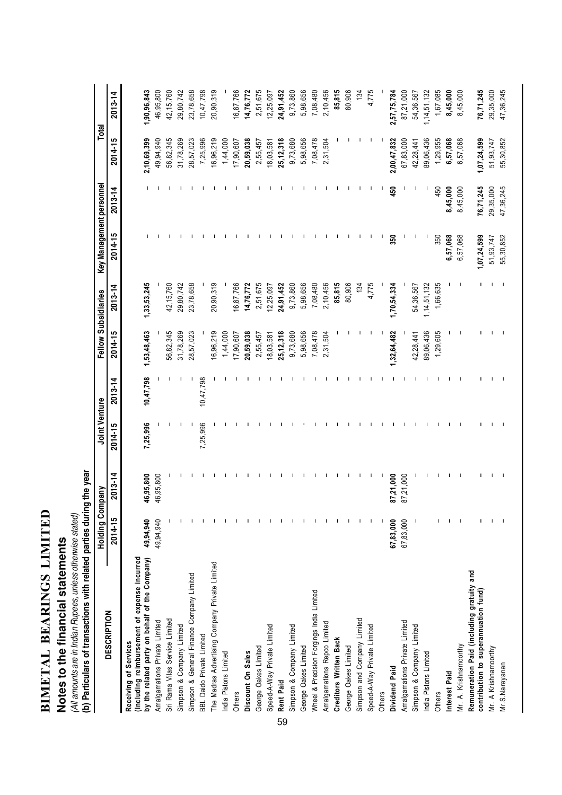| LIMITED         |             |
|-----------------|-------------|
|                 |             |
| <b>BEARINGS</b> |             |
|                 |             |
|                 |             |
|                 |             |
|                 |             |
|                 |             |
|                 |             |
|                 |             |
| BIMETAL         |             |
|                 |             |
|                 |             |
|                 | ֦֧ <u>֦</u> |
|                 |             |

# Notes to the financial statements **Notes to the financial statements**

(All amounts are in Indian Rupees, unless otherwise stated)

(All amounts are in Indian Rupees, unless otherwise stated)<br>(b) Particulars of transactions with related parties during the year (b) Particulars of transactions with related parties during the year

|                                                                                   | Holding Company |             | Joint Venture |             | Fellow Subsidiaries |                | Key Management personnel |             | Total       |                 |
|-----------------------------------------------------------------------------------|-----------------|-------------|---------------|-------------|---------------------|----------------|--------------------------|-------------|-------------|-----------------|
| <b>DESCRIPTION</b>                                                                | 2014-15         | $2013 - 14$ | 2014-15       | $2013 - 14$ | 2014-15             | 2013-14        | 2014-15                  | $2013 - 14$ | 2014-15     | ⅎ<br>$2013 - 1$ |
| (Including reimbursement of expense incurred<br>Receiving of Services             |                 |             |               |             |                     |                |                          |             |             |                 |
| by the related party on behalf of the Company)                                    | 49,94,940       | 46,95,800   | 7,25,996      | 10,47,798   | 1,53,48,463         | 1, 33, 53, 245 |                          |             | 2,10,69,399 | 1,90,96,843     |
| Amalgamations Private Limited                                                     | 49,94,940       | 46,95,800   |               |             |                     |                |                          |             | 49,94,940   | 46,95,800       |
| Sri Rama Vilas Service Limited                                                    |                 |             |               |             | 56,82,345           | 42,15,760      |                          |             | 56,82,345   | 42, 15, 760     |
| Simpson & Company Limited                                                         |                 |             |               |             | 31,78,269           | 29,80,742      |                          |             | 31,78,269   | 29,80,742       |
| Simpson & General Finance Company Limited                                         |                 |             |               | J           | 28,57,023           | 23,78,658      |                          |             | 28,57,023   | 23,78,658       |
| BBL Daido Private Limited                                                         |                 |             | 7,25,996      | 10,47,798   |                     |                |                          |             | 7,25,996    | 10,47,798       |
| The Madras Advertising Company Private Limited                                    |                 |             |               |             | 16,96,219           | 20,90,319      |                          |             | 16,96,219   | 20,90,319       |
| India Pistons Limited                                                             |                 |             |               |             | 1,44,000            |                |                          |             | 1,44,000    |                 |
| Others                                                                            |                 |             |               |             | 17,90,607           | 16,87,766      |                          |             | 17,90,607   | 16,87,766       |
| Discount On Sales                                                                 |                 |             |               |             | 20,59,038           | 14,76,772      |                          |             | 20,59,038   | 14,76,772       |
| George Oakes Limited                                                              |                 |             |               |             | 2,55,457            | 2,51,675       |                          |             | 2,55,457    | 2,51,675        |
| Speed-A-Way Private Limited                                                       |                 |             |               |             | 18,03,581           | 12,25,097      |                          |             | 18,03,581   | 12,25,097       |
| Rent Paid<br>59                                                                   |                 |             |               |             | 25,12,318           | 24,91,452      |                          |             | 25, 12, 318 | 24,91,452       |
| Simpson & Company Limited                                                         |                 |             |               |             | 9,73,680            | 9,73,860       |                          |             | 9,73,680    | 9,73,860        |
| George Oakes Limited                                                              |                 |             |               |             | 5,98,656            | 5,98,656       |                          |             | 5,98,656    | 5,98,656        |
| Wheel & Precision Forgings India Limited                                          |                 |             |               |             | 7,08,478            | 7,08,480       |                          |             | 7,08,478    | 7,08,480        |
| Amalgamations Repco Limited                                                       |                 |             |               |             | 2,31,504            | 2,10,456       |                          |             | 2,31,504    | 2,10,456        |
| <b>Creditors Written Back</b>                                                     |                 |             |               |             |                     | 85,815         |                          |             |             | 85,815          |
| George Oakes Limited                                                              |                 |             |               |             |                     | 80,906         |                          |             |             | 80,906          |
| Simpson and Company Limited                                                       |                 |             |               |             |                     | 134            |                          |             |             | 134             |
| Speed-A-Way Private Limited                                                       |                 |             |               |             |                     | 4,775          | Ш                        |             |             | 4,775           |
| <b>Others</b>                                                                     |                 |             |               |             |                     |                | J.                       |             |             |                 |
| Dividend Paid                                                                     | 67,83,000       | 87,21,000   |               |             | , 32, 64, 482       | 1,70,54,334    | 350                      | 450         | 2,00,47,832 | 2,57,75,784     |
| Amalgamations Private Limited                                                     | 67,83,000       | 87,21,000   |               |             |                     |                | -1                       |             | 67,83,000   | 87,21,000       |
| Simpson & Company Limited                                                         |                 |             |               |             | 42,28,441           | 54,36,567      | ı                        |             | 42,28,441   | 54,36,567       |
| India Pistons Limited                                                             |                 |             |               |             | 89,06,436           | 1, 14, 51, 132 |                          |             | 89,06,436   | 1,14,51,132     |
| Others                                                                            |                 |             |               |             | 1,29,605            | 1,66,635       | 350                      | 450         | 1,29,955    | 1,67,085        |
| Interest Paid                                                                     |                 |             |               |             |                     |                | 6,57,068                 | 8,45,000    | 6,57,068    | 8,45,000        |
| Mr. A. Krishnamoorthy                                                             |                 |             |               |             |                     |                | 6,57,068                 | 8,45,000    | 6,57,068    | 8,45,000        |
| Remuneration Paid (including gratuity and<br>contribution to superannuation fund) |                 |             |               |             |                     |                | 1,07,24,599              | 76,71,245   | 1,07,24,599 | 76,71,245       |
| Mr. A Krishnamoorthy                                                              |                 |             |               |             |                     |                | 51,93,747                | 29,35,000   | 51,93,747   | 29,35,000       |
| Mr.S.Narayanan                                                                    |                 |             |               |             |                     |                | 55,30,852                | 47,36,245   | 55,30,852   | 47,36,245       |
|                                                                                   |                 |             |               |             |                     |                |                          |             |             |                 |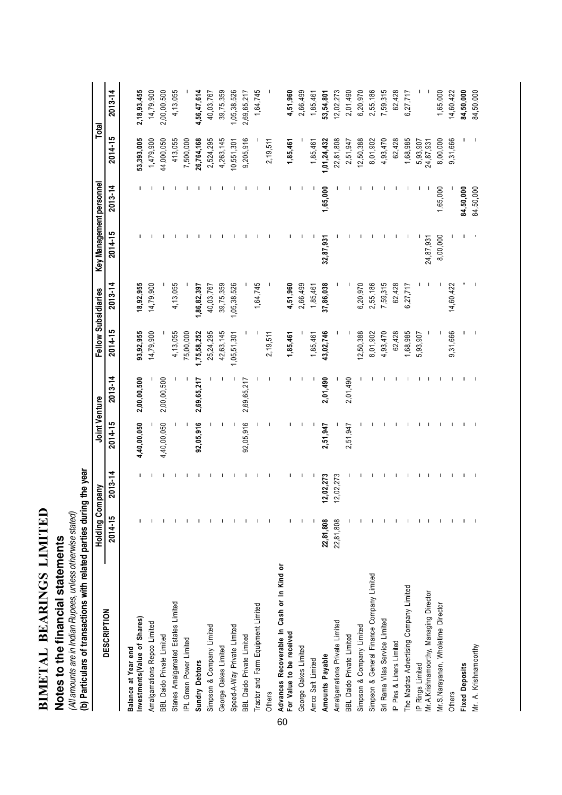| ם הירו ואו ז<br>֦֧֦֦֧֧֧֡֓֓֓֓֓֓֓֓֓֓֓֓֓֓֓֓֓֓֡֓֓֓֡֓֓֓֓֡֓֓֓֡֓֓֡֓֓֓֡֓֓֓֡֡֡֬֓֓֓֡֬֓֓֩֓֩֓ |  |
|-----------------------------------------------------------------------------------|--|
| $\overline{C}$                                                                    |  |
|                                                                                   |  |
|                                                                                   |  |
|                                                                                   |  |
|                                                                                   |  |
| N<br>R<br>R                                                                       |  |
|                                                                                   |  |
|                                                                                   |  |
|                                                                                   |  |
| IETAI                                                                             |  |
| $\mathbf{\Xi}$                                                                    |  |
|                                                                                   |  |
|                                                                                   |  |

# Notes to the financial statements **Notes to the financial statements**

(All amounts are in Indian Rupees, unless otherwise stated)<br>(b) Particulars of transactions with related parties during the year (b) Particulars of transactions with related parties during the year (All amounts are in Indian Rupees, unless otherwise stated)

|                                                  | <b>Holding Company</b> |             | Joint Venture |             |             | Fellow Subsidiaries | Key Management personnel |             |             | Total       |
|--------------------------------------------------|------------------------|-------------|---------------|-------------|-------------|---------------------|--------------------------|-------------|-------------|-------------|
| <b>DESCRIPTION</b>                               | 2014-15                | $2013 - 14$ | 2014-15       | 2013-14     | 2014-15     | 2013-14             | 2014-15                  | $2013 - 14$ | 2014-15     | $2013 - 14$ |
| Balance at Year end                              |                        |             |               |             |             |                     |                          |             |             |             |
| Investments (Value of Shares)                    |                        |             | 4,40,00,050   | 2,00,00,500 | 93,92,955   | 18,92,955           |                          |             | 53,393,005  | 2,18,93,455 |
| Amalgamations Repco Limited                      |                        |             |               |             | 14,79,900   | 14,79,900           |                          |             | 1,479,900   | 14,79,900   |
| BBL Daido Private Limited                        |                        |             | 4,40,00,050   | 2,00,00,500 |             |                     |                          |             | 44,000,050  | 2,00,00,500 |
| Stanes Amalgamated Estates Limited               |                        |             |               |             | 4,13,055    | 4, 13, 055          |                          |             | 413,055     | 4,13,055    |
| IPL Green Power Limited                          |                        |             |               |             | 75,00,000   |                     |                          |             | 7,500,000   |             |
| <b>Sundry Debtors</b>                            |                        |             | 92,05,916     | 2,69,65,217 | 1,75,58,252 | 1,86,82,397         |                          |             | 26,764,168  | 4,56,47,614 |
| Simpson & Company Limited                        |                        |             |               |             | 25,24,295   | 40,03,767           |                          |             | 2,524,295   | 40,03,767   |
| George Oakes Limited                             |                        |             |               |             | 42,63,145   | 39,75,359           |                          |             | 4,263,145   | 39,75,359   |
| Speed-A-Way Private Limited                      |                        |             |               |             | ,05,51,301  | 1,05,38,526         |                          |             | 10,551,301  | 1,05,38,526 |
| BBL Daido Private Limited                        |                        |             | 92,05,916     | 2,69,65,217 |             |                     |                          |             | 9,205,916   | 2,69,65,217 |
| Tractor and Farm Equipment Limited               |                        |             |               |             |             | 1,64,745            |                          |             |             | 1,64,745    |
| Others                                           |                        |             |               |             | 2,19,511    |                     |                          |             | 2,19,511    |             |
| Advances Recoverable In Cash or In Kind or<br>60 |                        |             |               |             |             |                     |                          |             |             |             |
| For Value to be received                         |                        |             |               |             | 1,85,461    | 4,51,960            |                          |             | 1,85,461    | 4,51,960    |
| George Oakes Limited                             |                        |             |               |             |             | 2,66,499            |                          |             |             | 2,66,499    |
| Amco Saft Limited                                |                        |             |               |             | 1,85,461    | 1,85,461            |                          |             | 1,85,461    | 1,85,461    |
| Amounts Payable                                  | 22,81,808              | 12,02,273   | 2,51,947      | 2,01,490    | 43,02,746   | 37,86,038           | 32,87,931                | 1,65,000    | 1,01,24,432 | 53,54,801   |
| Amalgamations Private Limited                    | 22,81,808              | 12,02,273   |               |             |             |                     |                          |             | 22,81,808   | 12,02,273   |
| <b>BBL Daido Private Limited</b>                 |                        |             | 2,51,947      | 2,01,490    |             |                     |                          |             | 2,51,947    | 2,01,490    |
| Simpson & Company Limited                        |                        |             |               |             | 12,50,388   | 6,20,970            |                          |             | 12,50,388   | 6,20,970    |
| Simpson & General Finance Company Limited        |                        |             |               |             | 8,01,902    | 2,55,186            |                          |             | 8,01,902    | 2,55,186    |
| Sri Rama Vilas Service Limited                   |                        |             |               |             | 4,93,470    | 7,59,315            |                          |             | 4,93,470    | 7,59,315    |
| P Pins & Liners Limited                          |                        |             |               |             | 62,428      | 62,428              |                          |             | 62,428      | 62,428      |
| The Madras Advertising Company Limited           |                        |             |               |             | ,68,985     | 6,27,717            |                          |             | 1,68,985    | 6,27,717    |
| IP Rings Limited                                 |                        |             |               |             | 5,93,907    |                     |                          |             | 5,93,907    |             |
| Mr.A.Krishnamoorthy, Managing Director           |                        |             |               |             |             |                     | 24,87,931                |             | 24,87,931   |             |
| Mr.S.Narayanan, Wholetime Director               |                        |             |               |             |             |                     | 8,00,000                 | 1,65,000    | 8,00,000    | 1,65,000    |
| Others                                           |                        |             |               |             | 9,31,666    | 14,60,422           |                          |             | 9,31,666    | 14,60,422   |
| <b>Fixed Deposits</b>                            |                        |             |               |             |             |                     |                          | 84,50,000   |             | 84,50,000   |
| Mr. A. Krishnamoorthy                            |                        |             |               |             |             |                     |                          | 84,50,000   |             | 84,50,000   |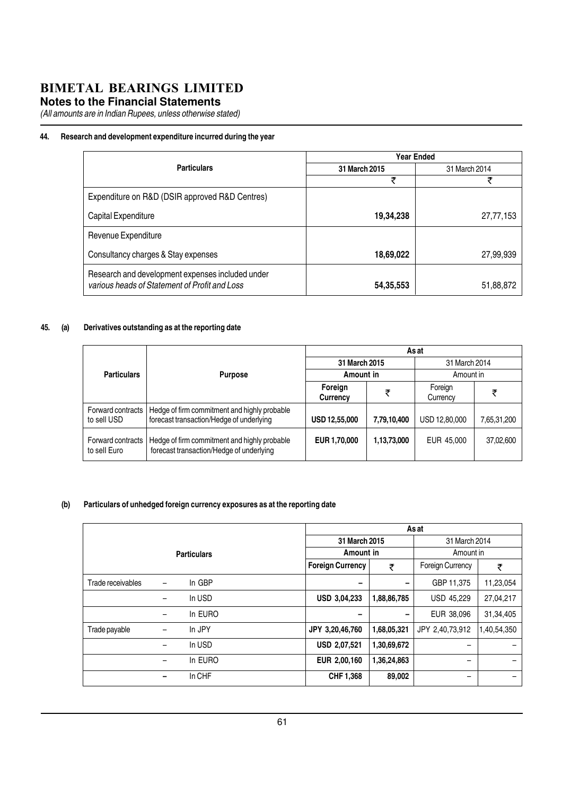#### **Notes to the Financial Statements**

(All amounts are in Indian Rupees, unless otherwise stated)

#### 44. Research and development expenditure incurred during the year

|                                                                                                   |               | Year Ended    |
|---------------------------------------------------------------------------------------------------|---------------|---------------|
| <b>Particulars</b>                                                                                | 31 March 2015 | 31 March 2014 |
|                                                                                                   | ₹             | ₹             |
| Expenditure on R&D (DSIR approved R&D Centres)                                                    |               |               |
| Capital Expenditure                                                                               | 19,34,238     | 27,77,153     |
| Revenue Expenditure                                                                               |               |               |
| Consultancy charges & Stay expenses                                                               | 18,69,022     | 27,99,939     |
| Research and development expenses included under<br>various heads of Statement of Profit and Loss | 54,35,553     | 51,88,872     |

#### 45. (a) Derivatives outstanding as at the reporting date

|                                   |                                                                                          |                      |             | As at               |             |
|-----------------------------------|------------------------------------------------------------------------------------------|----------------------|-------------|---------------------|-------------|
|                                   |                                                                                          | 31 March 2015        |             | 31 March 2014       |             |
| <b>Particulars</b>                | <b>Purpose</b>                                                                           | Amount in            |             | Amount in           |             |
|                                   |                                                                                          | Foreign<br>Currency  | ₹           | Foreign<br>Currency | ₹           |
| Forward contracts<br>to sell USD  | Hedge of firm commitment and highly probable<br>forecast transaction/Hedge of underlying | <b>USD 12,55,000</b> | 7,79,10,400 | USD 12,80,000       | 7,65,31,200 |
| Forward contracts<br>to sell Euro | Hedge of firm commitment and highly probable<br>forecast transaction/Hedge of underlying | EUR 1,70,000         | 1,13,73,000 | EUR 45,000          | 37,02,600   |

#### (b) Particulars of unhedged foreign currency exposures as at the reporting date

|                   |   |                    |                          |             | As at                   |                          |
|-------------------|---|--------------------|--------------------------|-------------|-------------------------|--------------------------|
|                   |   |                    | 31 March 2015            |             | 31 March 2014           |                          |
|                   |   | <b>Particulars</b> | Amount in                |             | Amount in               |                          |
|                   |   |                    | <b>Foreign Currency</b>  | ₹           | <b>Foreign Currency</b> | ₹                        |
| Trade receivables | - | In GBP             | $\overline{\phantom{0}}$ | -           | GBP 11,375              | 11,23,054                |
|                   | - | In USD             | <b>USD 3,04,233</b>      | 1,88,86,785 | <b>USD 45,229</b>       | 27,04,217                |
|                   | - | In EURO            | $\overline{\phantom{0}}$ |             | EUR 38,096              | 31,34,405                |
| Trade payable     | - | In JPY             | JPY 3,20,46,760          | 1,68,05,321 | JPY 2,40,73,912         | 1,40,54,350              |
|                   | - | In USD             | USD 2,07,521             | 1,30,69,672 | -                       | $\overline{\phantom{0}}$ |
|                   | - | In EURO            | EUR 2,00,160             | 1,36,24,863 | -                       | -                        |
|                   | - | In CHF             | CHF 1,368                | 89,002      | -                       | $\overline{\phantom{0}}$ |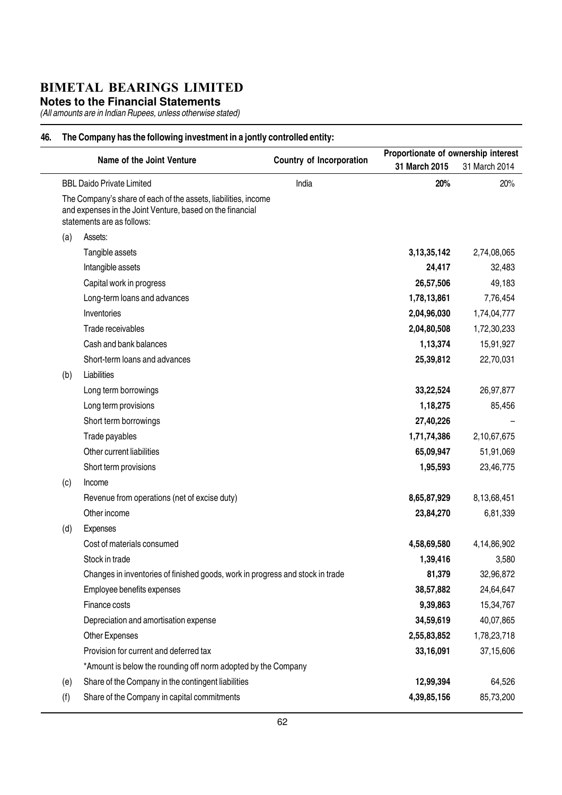**Notes to the Financial Statements**

(All amounts are in Indian Rupees, unless otherwise stated)

#### 46. The Company has the following investment in a jontly controlled entity:

|     | Name of the Joint Venture                                                                                                                                                                     | <b>Country of Incorporation</b> | Proportionate of ownership interest |               |
|-----|-----------------------------------------------------------------------------------------------------------------------------------------------------------------------------------------------|---------------------------------|-------------------------------------|---------------|
|     |                                                                                                                                                                                               |                                 | 31 March 2015                       | 31 March 2014 |
|     | <b>BBL Daido Private Limited</b><br>The Company's share of each of the assets, liabilities, income<br>and expenses in the Joint Venture, based on the financial<br>statements are as follows: | India                           | 20%                                 | 20%           |
| (a) | Assets:                                                                                                                                                                                       |                                 |                                     |               |
|     | Tangible assets                                                                                                                                                                               |                                 | 3, 13, 35, 142                      | 2,74,08,065   |
|     | Intangible assets                                                                                                                                                                             |                                 | 24,417                              | 32,483        |
|     | Capital work in progress                                                                                                                                                                      |                                 | 26,57,506                           | 49,183        |
|     | Long-term loans and advances                                                                                                                                                                  |                                 | 1,78,13,861                         | 7,76,454      |
|     | Inventories                                                                                                                                                                                   |                                 | 2,04,96,030                         | 1,74,04,777   |
|     | Trade receivables                                                                                                                                                                             |                                 | 2,04,80,508                         | 1,72,30,233   |
|     | Cash and bank balances                                                                                                                                                                        |                                 | 1,13,374                            | 15,91,927     |
|     | Short-term loans and advances                                                                                                                                                                 |                                 | 25,39,812                           | 22,70,031     |
| (b) | Liabilities                                                                                                                                                                                   |                                 |                                     |               |
|     | Long term borrowings                                                                                                                                                                          |                                 | 33,22,524                           | 26,97,877     |
|     | Long term provisions                                                                                                                                                                          |                                 | 1,18,275                            | 85,456        |
|     | Short term borrowings                                                                                                                                                                         |                                 | 27,40,226                           |               |
|     | Trade payables                                                                                                                                                                                |                                 | 1,71,74,386                         | 2,10,67,675   |
|     | Other current liabilities                                                                                                                                                                     |                                 | 65,09,947                           | 51,91,069     |
|     | Short term provisions                                                                                                                                                                         |                                 | 1,95,593                            | 23,46,775     |
| (c) | Income                                                                                                                                                                                        |                                 |                                     |               |
|     | Revenue from operations (net of excise duty)                                                                                                                                                  |                                 | 8,65,87,929                         | 8,13,68,451   |
|     | Other income                                                                                                                                                                                  |                                 | 23,84,270                           | 6,81,339      |
| (d) | Expenses                                                                                                                                                                                      |                                 |                                     |               |
|     | Cost of materials consumed                                                                                                                                                                    |                                 | 4,58,69,580                         | 4,14,86,902   |
|     | Stock in trade                                                                                                                                                                                |                                 | 1,39,416                            | 3,580         |
|     | Changes in inventories of finished goods, work in progress and stock in trade                                                                                                                 |                                 | 81,379                              | 32,96,872     |
|     | Employee benefits expenses                                                                                                                                                                    |                                 | 38,57,882                           | 24,64,647     |
|     | Finance costs                                                                                                                                                                                 |                                 | 9,39,863                            | 15,34,767     |
|     | Depreciation and amortisation expense                                                                                                                                                         |                                 | 34,59,619                           | 40,07,865     |
|     | Other Expenses                                                                                                                                                                                |                                 | 2,55,83,852                         | 1,78,23,718   |
|     | Provision for current and deferred tax                                                                                                                                                        |                                 | 33,16,091                           | 37,15,606     |
|     | *Amount is below the rounding off norm adopted by the Company                                                                                                                                 |                                 |                                     |               |
| (e) | Share of the Company in the contingent liabilities                                                                                                                                            |                                 | 12,99,394                           | 64,526        |
| (f) | Share of the Company in capital commitments                                                                                                                                                   |                                 | 4,39,85,156                         | 85,73,200     |
|     |                                                                                                                                                                                               |                                 |                                     |               |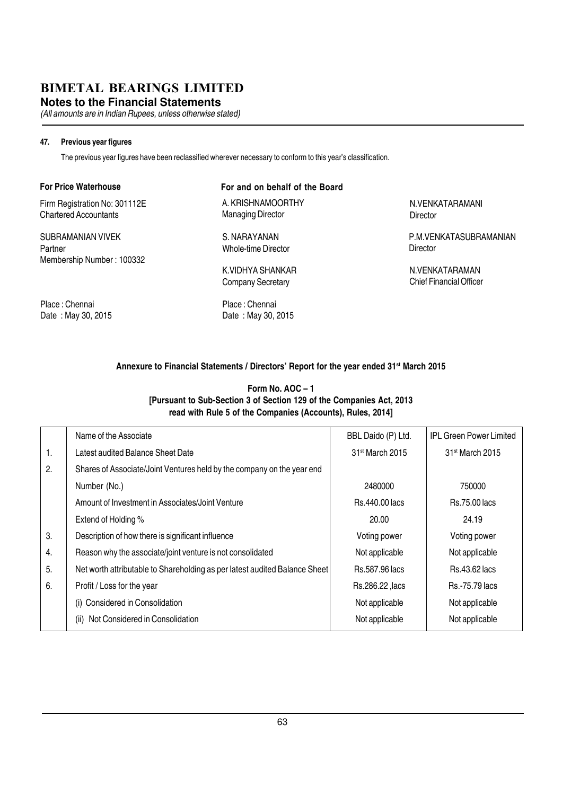**Notes to the Financial Statements**

(All amounts are in Indian Rupees, unless otherwise stated)

#### 47. Previous year figures

The previous year figures have been reclassified wherever necessary to conform to this year's classification.

#### For Price Waterhouse

Firm Registration No: 301112E Chartered Accountants

SUBRAMANIAN VIVEK Partner Membership Number : 100332

Place : Chennai Date : May 30, 2015

#### For and on behalf of the Board

A. KRISHNAMOORTHY Managing Director

S. NARAYANAN Whole-time Director

K.VIDHYA SHANKAR Company Secretary

Place : Chennai Date : May 30, 2015 N.VENKATARAMANI **Director** 

P.M.VENKATASUBRAMANIAN **Director** 

N.VENKATARAMAN Chief Financial Officer

#### Annexure to Financial Statements / Directors' Report for the year ended 31<sup>st</sup> March 2015

#### Form No. AOC – 1 [Pursuant to Sub-Section 3 of Section 129 of the Companies Act, 2013 read with Rule 5 of the Companies (Accounts), Rules, 2014]

|    | Name of the Associate                                                      | BBL Daido (P) Ltd.          | <b>IPL Green Power Limited</b> |
|----|----------------------------------------------------------------------------|-----------------------------|--------------------------------|
| 1. | Latest audited Balance Sheet Date                                          | 31 <sup>st</sup> March 2015 | 31 <sup>st</sup> March 2015    |
| 2. | Shares of Associate/Joint Ventures held by the company on the year end     |                             |                                |
|    | Number (No.)                                                               | 2480000                     | 750000                         |
|    | Amount of Investment in Associates/Joint Venture                           | <b>Rs.440.00 lacs</b>       | <b>Rs.75.00 lacs</b>           |
|    | Extend of Holding %                                                        | 20.00                       | 24.19                          |
| 3. | Description of how there is significant influence                          | Voting power                | Voting power                   |
| 4. | Reason why the associate/joint venture is not consolidated                 | Not applicable              | Not applicable                 |
| 5. | Net worth attributable to Shareholding as per latest audited Balance Sheet | Rs.587.96 lacs              | <b>Rs.43.62 lacs</b>           |
| 6. | Profit / Loss for the year                                                 | Rs.286.22, lacs             | <b>Rs.-75.79 lacs</b>          |
|    | (i) Considered in Consolidation                                            | Not applicable              | Not applicable                 |
|    | Not Considered in Consolidation<br>(ii)                                    | Not applicable              | Not applicable                 |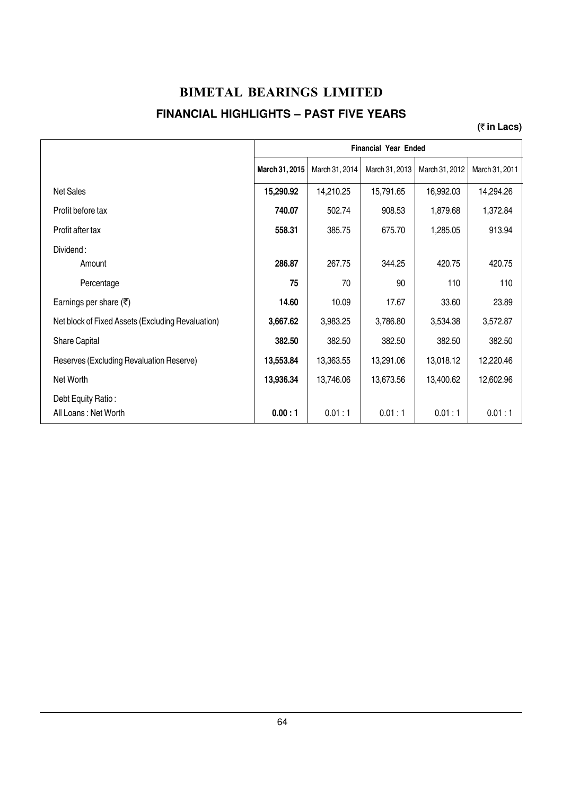#### **BIMETAL BEARINGS LIMITED FINANCIAL HIGHLIGHTS – PAST FIVE YEARS**

#### **(**` **in Lacs)**

|                                                   |                |                | <b>Financial Year Ended</b> |                |                |
|---------------------------------------------------|----------------|----------------|-----------------------------|----------------|----------------|
|                                                   | March 31, 2015 | March 31, 2014 | March 31, 2013              | March 31, 2012 | March 31, 2011 |
| <b>Net Sales</b>                                  | 15,290.92      | 14,210.25      | 15,791.65                   | 16,992.03      | 14,294.26      |
| Profit before tax                                 | 740.07         | 502.74         | 908.53                      | 1,879.68       | 1,372.84       |
| Profit after tax                                  | 558.31         | 385.75         | 675.70                      | 1,285.05       | 913.94         |
| Dividend:<br>Amount                               | 286.87         | 267.75         | 344.25                      | 420.75         | 420.75         |
| Percentage                                        | 75             | 70             | 90                          | 110            | 110            |
| Earnings per share $(\overline{\tau})$            | 14.60          | 10.09          | 17.67                       | 33.60          | 23.89          |
| Net block of Fixed Assets (Excluding Revaluation) | 3,667.62       | 3,983.25       | 3,786.80                    | 3,534.38       | 3,572.87       |
| Share Capital                                     | 382.50         | 382.50         | 382.50                      | 382.50         | 382.50         |
| Reserves (Excluding Revaluation Reserve)          | 13,553.84      | 13,363.55      | 13,291.06                   | 13,018.12      | 12,220.46      |
| Net Worth                                         | 13,936.34      | 13,746.06      | 13,673.56                   | 13,400.62      | 12,602.96      |
| Debt Equity Ratio:<br>All Loans: Net Worth        | 0.00:1         | 0.01:1         | 0.01:1                      | 0.01:1         | 0.01:1         |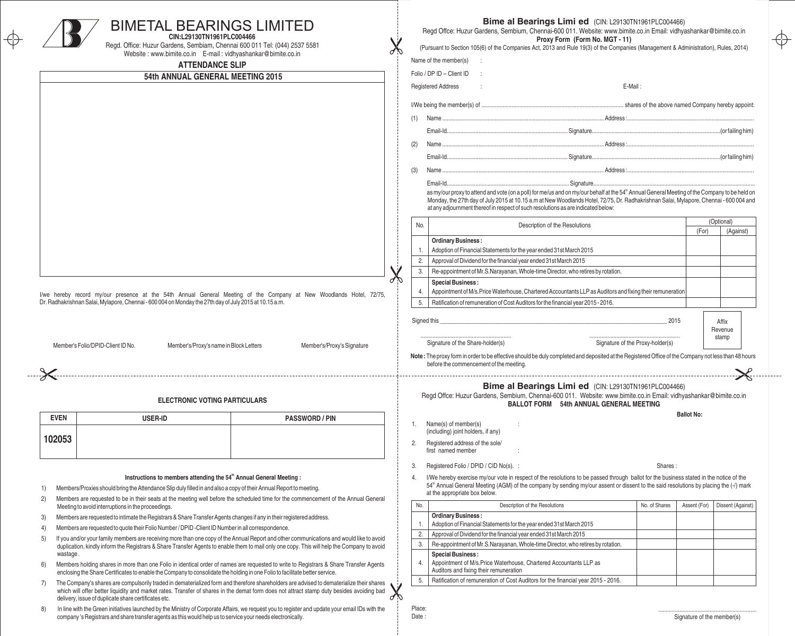|                                                                                                                     | <b>BIMETAL BEARINGS LIMITED</b><br>CIN:L29130TN1961PLC004466<br>Regd. Office: Huzur Gardens, Sembiam, Chennai 600 011 Tel: (044) 2537 5581<br>Website: www.bimite.co.in E-mail: vidhyashankar@bimite.co.in<br><b>ATTENDANCE SLIP</b>                                                                                                                      |    |                                                                                                                                       | Bime al Bearings Limi ed (CIN: L29130TN1961PLC004466)<br>Regd Offce: Huzur Gardens, Sembium, Chennai-600 011. Website: www.bimite.co.in Email: vidhyashankar@bimite.co.in<br>Proxy Form (Form No. MGT - 11)<br>(Pursuant to Section 105(6) of the Companies Act, 2013 and Rule 19(3) of the Companies (Management & Administration), Rules, 2014)<br>Name of the member(s)<br>Folio / DP ID - Client ID |           |
|---------------------------------------------------------------------------------------------------------------------|-----------------------------------------------------------------------------------------------------------------------------------------------------------------------------------------------------------------------------------------------------------------------------------------------------------------------------------------------------------|----|---------------------------------------------------------------------------------------------------------------------------------------|---------------------------------------------------------------------------------------------------------------------------------------------------------------------------------------------------------------------------------------------------------------------------------------------------------------------------------------------------------------------------------------------------------|-----------|
|                                                                                                                     | 54th ANNUAL GENERAL MEETING 2015                                                                                                                                                                                                                                                                                                                          |    |                                                                                                                                       | <b>Registered Address</b><br>E-Mail:                                                                                                                                                                                                                                                                                                                                                                    |           |
|                                                                                                                     |                                                                                                                                                                                                                                                                                                                                                           |    |                                                                                                                                       |                                                                                                                                                                                                                                                                                                                                                                                                         |           |
|                                                                                                                     |                                                                                                                                                                                                                                                                                                                                                           |    |                                                                                                                                       |                                                                                                                                                                                                                                                                                                                                                                                                         |           |
|                                                                                                                     |                                                                                                                                                                                                                                                                                                                                                           |    |                                                                                                                                       |                                                                                                                                                                                                                                                                                                                                                                                                         |           |
|                                                                                                                     |                                                                                                                                                                                                                                                                                                                                                           |    |                                                                                                                                       |                                                                                                                                                                                                                                                                                                                                                                                                         |           |
|                                                                                                                     |                                                                                                                                                                                                                                                                                                                                                           |    |                                                                                                                                       |                                                                                                                                                                                                                                                                                                                                                                                                         |           |
|                                                                                                                     |                                                                                                                                                                                                                                                                                                                                                           |    |                                                                                                                                       |                                                                                                                                                                                                                                                                                                                                                                                                         |           |
|                                                                                                                     |                                                                                                                                                                                                                                                                                                                                                           |    |                                                                                                                                       |                                                                                                                                                                                                                                                                                                                                                                                                         |           |
|                                                                                                                     |                                                                                                                                                                                                                                                                                                                                                           |    |                                                                                                                                       | as my/our proxy to attend and vote (on a poll) for me/us and on my/our behalf at the 54 <sup>th</sup> Annual General Meeting of the Company to be held on<br>Monday, the 27th day of July 2015 at 10.15 a.m at New Woodlands Hotel, 72/75, Dr. Radhakrishnan Salai, Mylapore, Chennai - 600 004 and<br>at any adjournment thereof in respect of such resolutions as are indicated below:                |           |
|                                                                                                                     |                                                                                                                                                                                                                                                                                                                                                           |    | No.                                                                                                                                   | (Optional)<br>Description of the Resolutions                                                                                                                                                                                                                                                                                                                                                            |           |
|                                                                                                                     |                                                                                                                                                                                                                                                                                                                                                           |    |                                                                                                                                       | (For)<br><b>Ordinary Business:</b>                                                                                                                                                                                                                                                                                                                                                                      | (Against) |
|                                                                                                                     |                                                                                                                                                                                                                                                                                                                                                           |    |                                                                                                                                       | Adoption of Financial Statements for the year ended 31st March 2015                                                                                                                                                                                                                                                                                                                                     |           |
|                                                                                                                     |                                                                                                                                                                                                                                                                                                                                                           |    | 2.                                                                                                                                    | Approval of Dividend for the financial year ended 31st March 2015                                                                                                                                                                                                                                                                                                                                       |           |
| I/we hereby record my/our presence at the 54th Annual General Meeting of the Company at New Woodlands Hotel, 72/75, | $\sigma_{\mathcal{D}}$                                                                                                                                                                                                                                                                                                                                    | 3. | Re-appointment of Mr.S.Narayanan, Whole-time Director, who retires by rotation.                                                       |                                                                                                                                                                                                                                                                                                                                                                                                         |           |
|                                                                                                                     |                                                                                                                                                                                                                                                                                                                                                           |    | <b>Special Business:</b><br>Appointment of M/s. Price Waterhouse, Chartered Accountants LLP as Auditors and fixing their remuneration |                                                                                                                                                                                                                                                                                                                                                                                                         |           |
| Dr. Radhakrishnan Salai, Mylapore, Chennai - 600 004 on Monday the 27th day of July 2015 at 10.15 a.m.              |                                                                                                                                                                                                                                                                                                                                                           |    |                                                                                                                                       | Ratification of remuneration of Cost Auditors for the financial year 2015 - 2016.                                                                                                                                                                                                                                                                                                                       |           |
|                                                                                                                     | Member's Folio/DPID-Client ID No.<br>Member's/Proxy's Signature<br>Member's/Proxy's name in Block Letters                                                                                                                                                                                                                                                 |    | Signed this                                                                                                                           | 2015<br>Affix<br>Revenue<br>stamp<br>Signature of the Share-holder(s)<br>Signature of the Proxy-holder(s)<br>Note: The proxy form in order to be effective should be duly completed and deposited at the Registered Office of the Company not less than 48 hours<br>before the commencement of the meeting.                                                                                             |           |
|                                                                                                                     |                                                                                                                                                                                                                                                                                                                                                           |    |                                                                                                                                       |                                                                                                                                                                                                                                                                                                                                                                                                         |           |
|                                                                                                                     | <b>ELECTRONIC VOTING PARTICULARS</b>                                                                                                                                                                                                                                                                                                                      |    |                                                                                                                                       | Bime al Bearings Limi ed (CIN: L29130TN1961PLC004466)<br>Regd Offce: Huzur Gardens, Sembium, Chennai-600 011. Website: www.bimite.co.in Email: vidhyashankar@bimite.co.in<br><b>BALLOT FORM 54th ANNUAL GENERAL MEETING</b><br><b>Ballot No:</b>                                                                                                                                                        |           |
| <b>EVEN</b>                                                                                                         | <b>USER-ID</b><br><b>PASSWORD / PIN</b>                                                                                                                                                                                                                                                                                                                   |    |                                                                                                                                       | Name(s) of member(s)<br>(including) joint holders, if any)                                                                                                                                                                                                                                                                                                                                              |           |
| 102053                                                                                                              |                                                                                                                                                                                                                                                                                                                                                           |    |                                                                                                                                       | Registered address of the sole/<br>first named member                                                                                                                                                                                                                                                                                                                                                   |           |
|                                                                                                                     |                                                                                                                                                                                                                                                                                                                                                           |    |                                                                                                                                       | Registered Folio / DPID / CID No(s). :<br>Shares:                                                                                                                                                                                                                                                                                                                                                       |           |
|                                                                                                                     |                                                                                                                                                                                                                                                                                                                                                           |    |                                                                                                                                       |                                                                                                                                                                                                                                                                                                                                                                                                         |           |
|                                                                                                                     | Instructions to members attending the 54 <sup>th</sup> Annual General Meeting :<br>Members/Proxies should bring the Attendance Slip duly filled in and also a copy of their Annual Report to meeting.                                                                                                                                                     |    |                                                                                                                                       | I/We hereby exercise my/our vote in respect of the resolutions to be passed through ballot for the business stated in the notice of the<br>54 <sup>th</sup> Annual General Meeting (AGM) of the company by sending my/our assent or dissent to the said resolutions by placing the (-/) mark<br>at the appropriate box below.                                                                           |           |
| $\mathbf{2}$                                                                                                        | Members are requested to be in their seats at the meeting well before the scheduled time for the commencement of the Annual General<br>Meeting to avoid interruptions in the proceedings.                                                                                                                                                                 |    | No.                                                                                                                                   | Description of the Resolutions<br>Assent (For)   Dissent (Against)<br>No. of Shares                                                                                                                                                                                                                                                                                                                     |           |
| 3)                                                                                                                  | Members are requested to intimate the Registrars & Share Transfer Agents changes if any in their registered address.                                                                                                                                                                                                                                      |    |                                                                                                                                       | <b>Ordinary Business:</b>                                                                                                                                                                                                                                                                                                                                                                               |           |
|                                                                                                                     | Members are requested to quote their Folio Number / DPID - Client ID Number in all correspondence.                                                                                                                                                                                                                                                        |    | 2.                                                                                                                                    | Adoption of Financial Statements for the year ended 31st March 2015<br>Approval of Dividend for the financial year ended 31st March 2015                                                                                                                                                                                                                                                                |           |
| wastage.                                                                                                            | If you and/or your family members are receiving more than one copy of the Annual Report and other communications and would like to avoid<br>duplication, kindly inform the Registrars & Share Transfer Agents to enable them to mail only one copy. This will help the Company to avoid                                                                   |    | -3.                                                                                                                                   | Re-appointment of Mr.S.Narayanan, Whole-time Director, who retires by rotation.<br><b>Special Business:</b>                                                                                                                                                                                                                                                                                             |           |
| 6)                                                                                                                  | Members holding shares in more than one Folio in identical order of names are requested to write to Registrars & Share Transfer Agents<br>enclosing the Share Certificates to enable the Company to consolidate the holding in one Folio to facilitate better service.                                                                                    |    | 4.                                                                                                                                    | Appointment of M/s. Price Waterhouse, Chartered Accountants LLP as<br>Auditors and fixing their remuneration                                                                                                                                                                                                                                                                                            |           |
|                                                                                                                     | The Company's shares are compulsorily traded in dematerialized form and therefore shareholders are advised to dematerialize their shares<br>which will offer better liquidity and market rates. Transfer of shares in the demat form does not attract stamp duty besides avoiding bad<br>$\sigma$<br>delivery, issue of duplicate share certificates etc. |    | 5.                                                                                                                                    | Ratification of remuneration of Cost Auditors for the financial year 2015 - 2016.                                                                                                                                                                                                                                                                                                                       |           |

Ŧ

Date :

| THE WILL THE WILL THE CHEEF INTERFERENCE BOULDING BY THE MINISTRY OF COLDOTALE ATTAITS, WE request you to register and update your em |
|---------------------------------------------------------------------------------------------------------------------------------------|
| company 's Registrars and share transfer agents as this would help us to service your needs electronically.                           |
|                                                                                                                                       |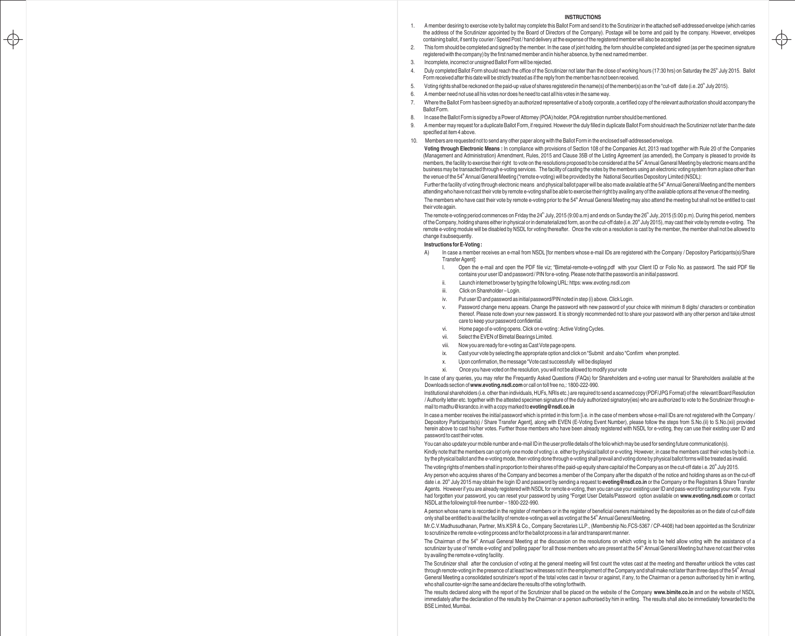#### **INSTRUCTIONS**

- 1. A member desiring to exercise vote by ballot may complete this Ballot Form and send it to the Scrutinizer in the attached self-addressed envelope (which carries the address of the Scrutinizer appointed by the Board of Directors of the Company). Postage will be borne and paid by the company. However, envelopes containing ballot, if sent by courier / Speed Post / hand delivery at the expense of the registered member will also be accepted
- 2. This form should be completed and signed by the member. In the case of joint holding, the form should be completed and signed (as per the specimen signature registered with the company) by the first named member and in his/her absence, by the next named member.

 $\Rightarrow$ 

3. Incomplete, incorrect or unsigned Ballot Form will be rejected.

 $\Rightarrow$ 

- 4. Duly completed Ballot Form should reach the office of the Scrutinizer not later than the close of working hours (17:30 hrs) on Saturday the 25<sup>th</sup> July 2015. Ballot Form received after this date will be strictly treated as if the reply from the member has not been received.
- 5. Voting rights shall be reckoned on the paid-up value of shares registered in the name(s) of the member(s) as on the "cut-off" date (i.e. 20<sup>n</sup> July 2015).
- 6. A member need not use all his votes nor does he need to cast all his votes in the same way.
- 7. Where the Ballot Form has been signed by an authorized representative of a body corporate, a certified copy of the relevant authorization should accompany the Ballot Form.
- 8. In case the Ballot Form is signed by a Power of Attorney (POA) holder, POA registration number should be mentioned.
- 9. A member may request for a duplicate Ballot Form, if required. However the duly filled in duplicate Ballot Form should reach the Scrutinizer not later than the date specified at item 4 above.
- 10. Members are requested not to send any other paper along with the Ballot Form in the enclosed self-addressed envelope.

**Voting through Electronic Means :** In compliance with provisions of Section 108 of the Companies Act, 2013 read together with Rule 20 of the Companies (Management and Administration) Amendment, Rules, 2015 and Clause 35B of the Listing Agreement (as amended), the Company is pleased to provide its members, the facility to exercise their right to vote on the resolutions proposed to be considered at the 54<sup>th</sup> Annual General Meeting by electronic means and the business may be transacted through e-voting services. The facility of casting the votes by the members using an electronic voting system from a place other than the venue of the 54<sup>th</sup> Annual General Meeting ("remote e-voting) will be provided by the National Securities Depository Limited (NSDL):

Further the facility of voting through electronic means and physical ballot paper will be also made available at the 54<sup>th</sup> Annual General Meeting and the members attending who have not cast their vote by remote e-voting shall be able to exercise their right by availing any of the available options at the venue of the meeting. The members who have cast their vote by remote e-voting prior to the 54<sup>th</sup> Annual General Meeting may also attend the meeting but shall not be entitled to cast

their vote again.

The remote e-voting period commences on Friday the 24<sup>th</sup> July, 2015 (9:00 a.m) and ends on Sunday the 26<sup>th</sup> July, 2015 (5:00 p.m). During this period, members of the Company, holding shares either in physical or in dematerialized form, as on the cut-off date (i.e. 20<sup>th</sup> July 2015), may cast their vote by remote e-voting. The remote e-voting module will be disabled by NSDL for voting thereafter. Once the vote on a resolution is cast by the member, the member shall not be allowed to change it subsequently.

#### **Instructions for E-Voting :**

- A) In case a member receives an e-mail from NSDL [for members whose e-mail IDs are registered with the Company / Depository Participants(s)/Share Transfer Agent]:
	- I. Open the e-mail and open the PDF file viz; "Bimetal-remote-e-voting.pdf with your Client ID or Folio No. as password. The said PDF file contains your user ID and password / PIN for e-voting. Please note that the password is an initial password.
	- ii. Launch internet browser by typing the following URL: https: www.evoting.nsdl.com
	- iii. Click on Shareholder Login.
	- iv. Put user ID and password as initial password/PIN noted in step (i) above. Click Login.
	- Password change menu appears. Change the password with new password of your choice with minimum 8 digits/ characters or combination thereof. Please note down your new password. It is strongly recommended not to share your password with any other person and take utmost care to keep your password confidential.
	- vi. Home page of e-voting opens. Click on e-voting : Active Voting Cycles.
	- vii. Select the EVEN of Bimetal Bearings Limited.
	- viii. Now you are ready for e-voting as Cast Vote page opens.
	- ix. Cast your vote by selecting the appropriate option and click on "Submit and also "Confirm when prompted.
	- x. Upon confirmation, the message "Vote cast successfully will be displayed
	- xi. Once you have voted on the resolution, you will not be allowed to modify your vote

In case of any queries, you may refer the Frequently Asked Questions (FAQs) for Shareholders and e-voting user manual for Shareholders available at the Downloads section of **www.evoting.nsdl.com**or call on toll free no,: 1800-222-990.

Institutional shareholders (i.e. other than individuals, HUFs, NRIs etc.) are required to send a scanned copy (PDF/JPG Format) of the relevant Board Resolution / Authority letter etc. together with the attested specimen signature of the duly authorized signatory(ies) who are authorized to vote to the Scrutinizer through email to madhu@ksrandco.in with a copy marked to **evoting@nsdl.co.in**

In case a member receives the initial password which is printed in this form [i.e. in the case of members whose e-mail IDs are not registered with the Company / Depository Participants(s) / Share Transfer Agent], along with EVEN (E-Voting Event Number), please follow the steps from S.No.(ii) to S.No.(xii) provided herein above to cast his/her votes. Further those members who have been already registered with NSDL for e-voting, they can use their existing user ID and password to cast their votes.

You can also update your mobile number and e-mail ID in the user profile details of the folio which may be used for sending future communication(s).

Kindly note that the members can opt only one mode of voting i.e. either by physical ballot or e-voting. However, in case the members cast their votes by both i.e. by the physical ballot and the e-voting mode, then voting done through e-voting shall prevail and voting done by physical ballot forms will be treated as invalid.

The voting rights of members shall in proportion to their shares of the paid-up equity share capital of the Company as on the cut-off date i.e.  $20^{\circ}$  July 2015.

Any person who acquires shares of the Company and becomes a member of the Company after the dispatch of the notice and holding shares as on the cut-off date i.e. 20<sup>th</sup> July 2015 may obtain the login ID and password by sending a request to **evoting@nsdl.co.in** or the Company or the Registrars & Share Transfer Agents. However if you are already registered with NSDL for remote e-voting, then you can use your existing user ID and pass-word for casting your vote. If you had forgotten your password, you can reset your password by using "Forget User Details/Password" option available on **www.evoting.nsdl.com** or contact NSDL at the following toll-free number – 1800-222-990.

A person whose name is recorded in the register of members or in the register of beneficial owners maintained by the depositories as on the date of cut-off date only shall be entitled to avail the facility of remote e-voting as well as voting at the 54<sup>th</sup> Annual General Meeting.

Mr.C.V.Madhusudhanan, Partner, M/s.KSR & Co., Company Secretaries LLP., (Membership No.FCS-5367 / CP-4408) had been appointed as the Scrutinizer to scrutinize the remote e-voting process and for the ballot process in a fair and transparent manner.

The Chairman of the 54<sup>th</sup> Annual General Meeting at the discussion on the resolutions on which voting is to be held allow voting with the assistance of a scrutinizer by use of 'remote e-voting' and 'polling paper' for all those members who are present at the 54<sup>th</sup> Annual General Meeting but have not cast their votes by availing the remote e-voting facility.

The Scrutinizer shall after the conclusion of voting at the general meeting will first count the votes cast at the meeting and thereafter unblock the votes cast through remote-voting in the presence of at least two witnesses not in the employment of the Company and shall make not later than three days of the 54" Annual General Meeting a consolidated scrutinizer's report of the total votes cast in favour or against, if any, to the Chairman or a person authorised by him in writing, who shall counter-sign the same and declare the results of the voting forthwith.

The results declared along with the report of the Scrutinizer shall be placed on the website of the Company **www.bimite.co.in** and on the website of NSDL immediately after the declaration of the results by the Chairman or a person authorised by him in writing. The results shall also be immediately forwarded to the BSE Limited, Mumbai.